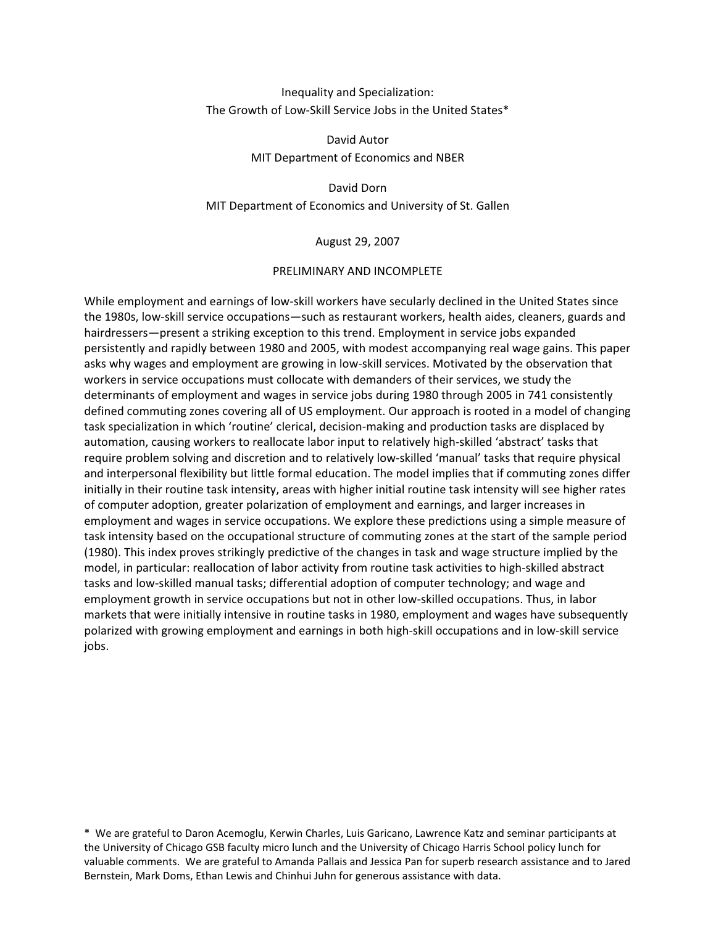# Inequality and Specialization: The Growth of Low-Skill Service Jobs in the United States\*

David Autor MIT Department of Economics and NBER

David-Dorn-MIT Department of Economics and University of St. Gallen

August 29, 2007

## PRELIMINARY AND INCOMPLETE

While employment and earnings of low-skill workers have secularly declined in the United States since the 1980s, low-skill service occupations—such as restaurant workers, health aides, cleaners, guards and hairdressers—present a striking exception to this trend. Employment in service jobs expanded persistently and rapidly between 1980 and 2005, with modest accompanying real wage gains. This paper asks why wages and employment are growing in low-skill services. Motivated by the observation that workers in service occupations must collocate with demanders of their services, we study the determinants of employment and wages in service jobs during 1980 through 2005 in 741 consistently defined commuting zones covering all of US employment. Our approach is rooted in a model of changing task specialization in which 'routine' clerical, decision-making and production tasks are displaced by automation, causing workers to reallocate labor input to relatively high-skilled 'abstract' tasks that require problem solving and discretion and to relatively low-skilled 'manual' tasks that require physical and interpersonal flexibility but little formal education. The model implies that if commuting zones differ initially in their routine task intensity, areas with higher initial routine task intensity will see higher rates of computer adoption, greater polarization of employment and earnings, and larger increases in employment and wages in service occupations. We explore these predictions using a simple measure of task intensity based on the occupational structure of commuting zones at the start of the sample period (1980). This index proves strikingly predictive of the changes in task and wage structure implied by the model, in particular: reallocation of labor activity from routine task activities to high-skilled abstract tasks and low-skilled manual tasks; differential adoption of computer technology; and wage and employment growth in service occupations but not in other low-skilled occupations. Thus, in labor markets that were initially intensive in routine tasks in 1980, employment and wages have subsequently polarized with growing employment and earnings in both high-skill occupations and in low-skill service jobs.

\* We are grateful to Daron Acemoglu, Kerwin Charles, Luis Garicano, Lawrence Katz and seminar participants at the University of Chicago GSB faculty micro lunch and the University of Chicago Harris School policy lunch for valuable comments. We are grateful to Amanda Pallais and Jessica Pan for superb research assistance and to Jared Bernstein, Mark Doms, Ethan Lewis and Chinhui Juhn for generous assistance with data.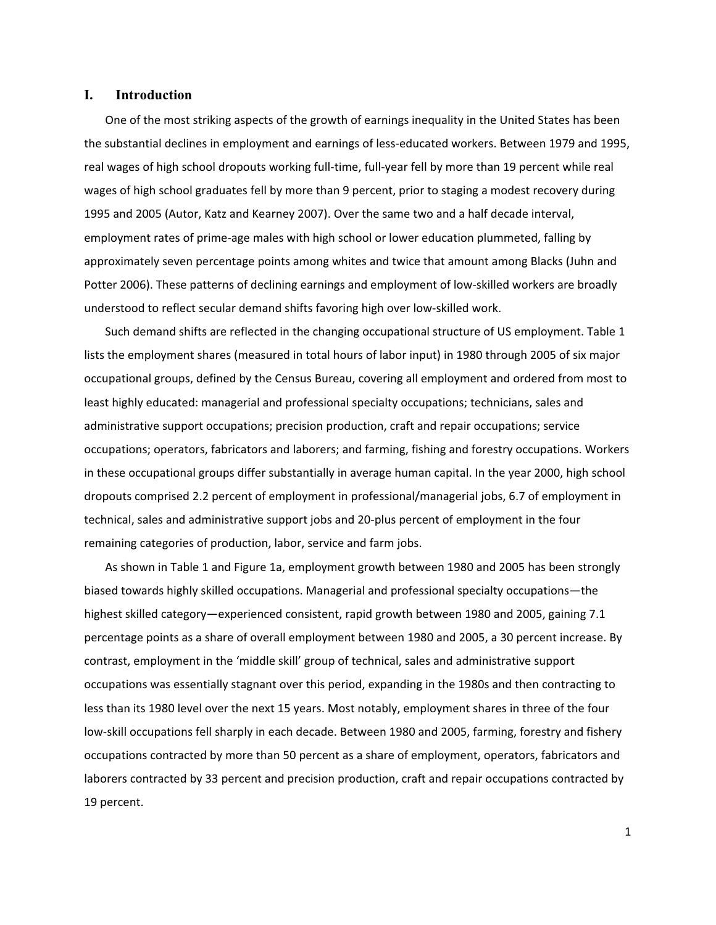## **I. Introduction**

One of the most striking aspects of the growth of earnings inequality in the United States has been the substantial declines in employment and earnings of less-educated workers. Between 1979 and 1995, real wages of high school dropouts working full-time, full-year fell by more than 19 percent while real wages of high school graduates fell by more than 9 percent, prior to staging a modest recovery during 1995 and 2005 (Autor, Katz and Kearney 2007). Over the same two and a half decade interval, employment rates of prime-age males with high school or lower education plummeted, falling by approximately seven percentage points among whites and twice that amount among Blacks (Juhn and Potter 2006). These patterns of declining earnings and employment of low-skilled workers are broadly understood to reflect secular demand shifts favoring high over low-skilled work.

Such demand shifts are reflected in the changing occupational structure of US employment. Table 1 lists the employment shares (measured in total hours of labor input) in 1980 through 2005 of six major occupational groups, defined by the Census Bureau, covering all employment and ordered from most to least highly educated: managerial and professional specialty occupations; technicians, sales and administrative support occupations; precision production, craft and repair occupations; service occupations; operators, fabricators and laborers; and farming, fishing and forestry occupations. Workers in these occupational groups differ substantially in average human capital. In the year 2000, high school dropouts comprised 2.2 percent of employment in professional/managerial jobs, 6.7 of employment in technical, sales and administrative support jobs and 20-plus percent of employment in the four remaining categories of production, labor, service and farm jobs.

As shown in Table 1 and Figure 1a, employment growth between 1980 and 2005 has been strongly biased towards highly skilled occupations. Managerial and professional specialty occupations-the highest skilled category—experienced consistent, rapid growth between 1980 and 2005, gaining 7.1 percentage points as a share of overall employment between 1980 and 2005, a 30 percent increase. By contrast, employment in the 'middle skill' group of technical, sales and administrative support occupations was essentially stagnant over this period, expanding in the 1980s and then contracting to less than its 1980 level over the next 15 years. Most notably, employment shares in three of the four low-skill occupations fell sharply in each decade. Between 1980 and 2005, farming, forestry and fishery occupations contracted by more than 50 percent as a share of employment, operators, fabricators and laborers contracted by 33 percent and precision production, craft and repair occupations contracted by 19 percent.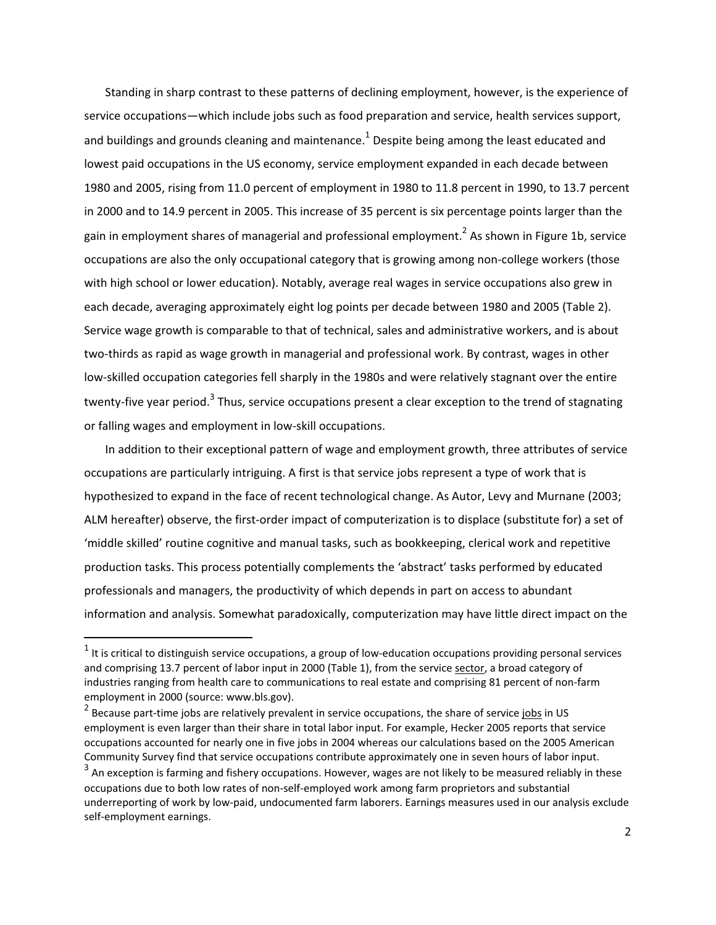Standing in sharp contrast to these patterns of declining employment, however, is the experience of service occupations—which include jobs such as food preparation and service, health services support, and buildings and grounds cleaning and maintenance. $^{1}$  Despite being among the least educated and lowest paid occupations in the US economy, service employment expanded in each decade between 1980 and 2005, rising from 11.0 percent of employment in 1980 to 11.8 percent in 1990, to 13.7 percent in 2000 and to 14.9 percent in 2005. This increase of 35 percent is six percentage points larger than the gain in employment shares of managerial and professional employment.<sup>2</sup> As shown in Figure 1b, service occupations are also the only occupational category that is growing among non-college workers (those with high school or lower education). Notably, average real wages in service occupations also grew in each decade, averaging approximately eight log points per decade between 1980 and 2005 (Table 2). Service wage growth is comparable to that of technical, sales and administrative workers, and is about two-thirds as rapid as wage growth in managerial and professional work. By contrast, wages in other low-skilled occupation categories fell sharply in the 1980s and were relatively stagnant over the entire twenty-five year period.<sup>3</sup> Thus, service occupations present a clear exception to the trend of stagnating or falling wages and employment in low-skill occupations.

In addition to their exceptional pattern of wage and employment growth, three attributes of service occupations are particularly intriguing. A first is that service jobs represent a type of work that is hypothesized to expand in the face of recent technological change. As Autor, Levy and Murnane (2003; ALM hereafter) observe, the first-order impact of computerization is to displace (substitute for) a set of 'middle skilled' routine cognitive and manual tasks, such as bookkeeping, clerical work and repetitive production tasks. This process potentially complements the 'abstract' tasks performed by educated professionals and managers, the productivity of which depends in part on access to abundant information and analysis. Somewhat paradoxically, computerization may have little direct impact on the

-----------------------------------------------------------

 $^{\text{1}}$  It is critical to distinguish service occupations, a group of low-education occupations providing personal services and comprising 13.7 percent of labor input in 2000 (Table 1), from the service sector, a broad category of industries ranging from health care to communications to real estate and comprising 81 percent of non-farm employment in 2000 (source: www.bls.gov).

<sup>&</sup>lt;sup>2</sup> Because part-time jobs are relatively prevalent in service occupations, the share of service jobs in US employment is even larger than their share in total labor input. For example, Hecker 2005 reports that service occupations accounted for nearly one in five jobs in 2004 whereas our calculations based on the 2005 American Community Survey find that service occupations contribute approximately one in seven hours of labor input.

 $^3$  An exception is farming and fishery occupations. However, wages are not likely to be measured reliably in these occupations due to both low rates of non-self-employed work among farm proprietors and substantial underreporting of work by low-paid, undocumented farm laborers. Earnings measures used in our analysis exclude self-employment earnings.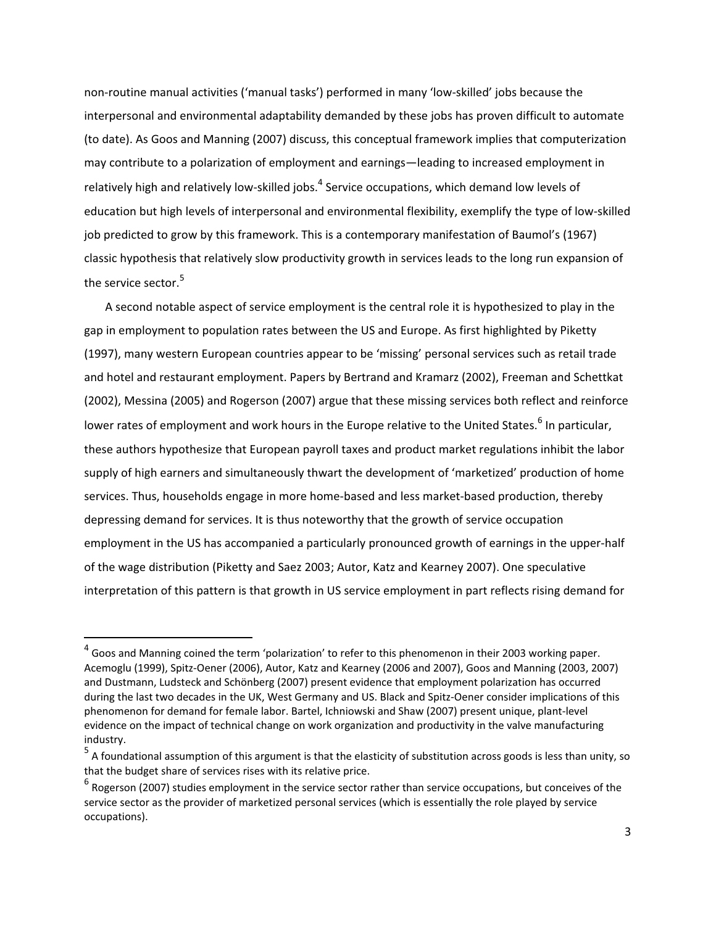non-routine manual activities ('manual tasks') performed in many 'low-skilled' jobs because the interpersonal and environmental adaptability demanded by these jobs has proven difficult to automate (to date). As Goos and Manning (2007) discuss, this conceptual framework implies that computerization may contribute to a polarization of employment and earnings—leading to increased employment in relatively high and relatively low-skilled jobs.<sup>4</sup> Service occupations, which demand low levels of education but high levels of interpersonal and environmental flexibility, exemplify the type of low-skilled job predicted to grow by this framework. This is a contemporary manifestation of Baumol's (1967) classic hypothesis that relatively slow productivity growth in services leads to the long run expansion of the service sector. $^{\mathsf{5}}$ 

A second notable aspect of service employment is the central role it is hypothesized to play in the gap in employment to population rates between the US and Europe. As first highlighted by Piketty (1997), many western European countries appear to be 'missing' personal services such as retail trade and hotel and restaurant employment. Papers by Bertrand and Kramarz (2002), Freeman and Schettkat (2002), Messina (2005) and Rogerson (2007) argue that these missing services both reflect and reinforce lower rates of employment and work hours in the Europe relative to the United States.<sup>6</sup> In particular, these authors hypothesize that European payroll taxes and product market regulations inhibit the labor supply of high earners and simultaneously thwart the development of 'marketized' production of home services. Thus, households engage in more home-based and less market-based production, thereby depressing demand for services. It is thus noteworthy that the growth of service occupation employment in the US has accompanied a particularly pronounced growth of earnings in the upper-half of the wage distribution (Piketty and Saez 2003; Autor, Katz and Kearney 2007). One speculative interpretation of this pattern is that growth in US service employment in part reflects rising demand for

-----------------------------------------------------------

 $^4$  Goos and Manning coined the term 'polarization' to refer to this phenomenon in their 2003 working paper. Acemoglu (1999), Spitz-Oener (2006), Autor, Katz and Kearney (2006 and 2007), Goos and Manning (2003, 2007) and Dustmann, Ludsteck and Schönberg (2007) present evidence that employment polarization has occurred during the last two decades in the UK, West Germany and US. Black and Spitz-Oener consider implications of this phenomenon for demand for female labor. Bartel, Ichniowski and Shaw (2007) present unique, plant-level evidence on the impact of technical change on work organization and productivity in the valve manufacturing industry.

<sup>&</sup>lt;sup>5</sup> A foundational assumption of this argument is that the elasticity of substitution across goods is less than unity, so that the budget share of services rises with its relative price.

 $^6$  Rogerson (2007) studies employment in the service sector rather than service occupations, but conceives of the service sector as the provider of marketized personal services (which is essentially the role played by service occupations).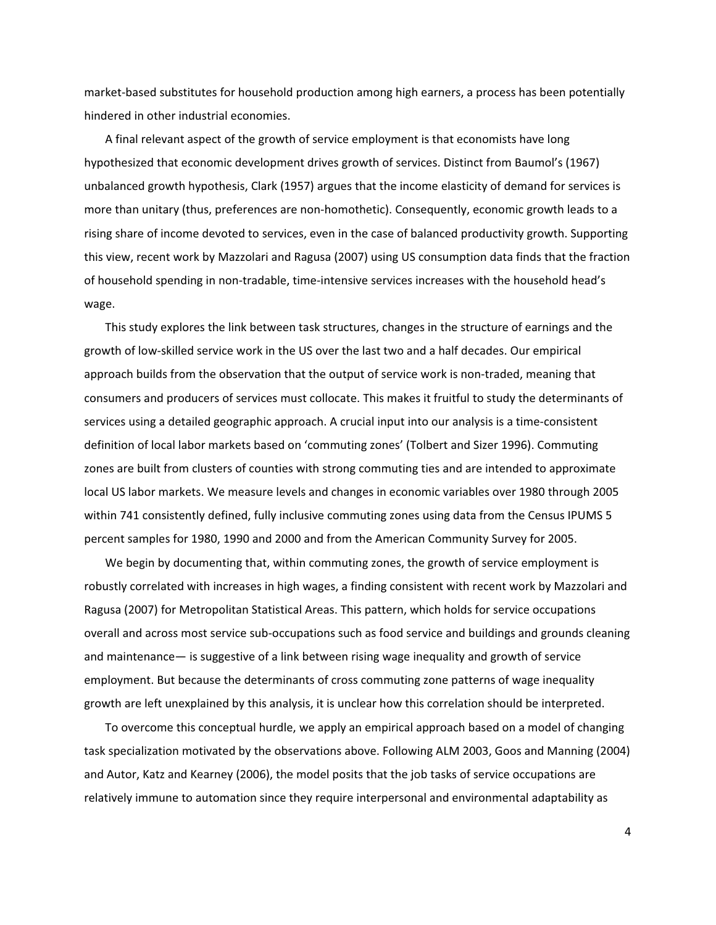market-based substitutes for household production among high earners, a process has been potentially hindered in other industrial economies.

A final relevant aspect of the growth of service employment is that economists have long hypothesized that economic development drives growth of services. Distinct from Baumol's (1967) unbalanced growth hypothesis, Clark (1957) argues that the income elasticity of demand for services is more than unitary (thus, preferences are non-homothetic). Consequently, economic growth leads to a rising share of income devoted to services, even in the case of balanced productivity growth. Supporting this view, recent work by Mazzolari and Ragusa (2007) using US consumption data finds that the fraction of household spending in non-tradable, time-intensive services increases with the household head's wage.

This study explores the link between task structures, changes in the structure of earnings and the growth of low-skilled service work in the US over the last two and a half decades. Our empirical approach builds from the observation that the output of service work is non-traded, meaning that consumers and producers of services must collocate. This makes it fruitful to study the determinants of services using a detailed geographic approach. A crucial input into our analysis is a time-consistent definition of local labor markets based on 'commuting zones' (Tolbert and Sizer 1996). Commuting zones are built from clusters of counties with strong commuting ties and are intended to approximate local US labor markets. We measure levels and changes in economic variables over 1980 through 2005 within 741 consistently defined, fully inclusive commuting zones using data from the Census IPUMS 5 percent samples for 1980, 1990 and 2000 and from the American Community Survey for 2005.

We begin by documenting that, within commuting zones, the growth of service employment is robustly correlated with increases in high wages, a finding consistent with recent work by Mazzolari and Ragusa (2007) for Metropolitan Statistical Areas. This pattern, which holds for service occupations overall and across most service sub-occupations such as food service and buildings and grounds cleaning and maintenance- is suggestive of a link between rising wage inequality and growth of service employment. But because the determinants of cross commuting zone patterns of wage inequality growth are left unexplained by this analysis, it is unclear how this correlation should be interpreted.

To overcome this conceptual hurdle, we apply an empirical approach based on a model of changing task specialization motivated by the observations above. Following ALM 2003, Goos and Manning (2004) and Autor, Katz and Kearney (2006), the model posits that the job tasks of service occupations are relatively immune to automation since they require interpersonal and environmental adaptability as

4-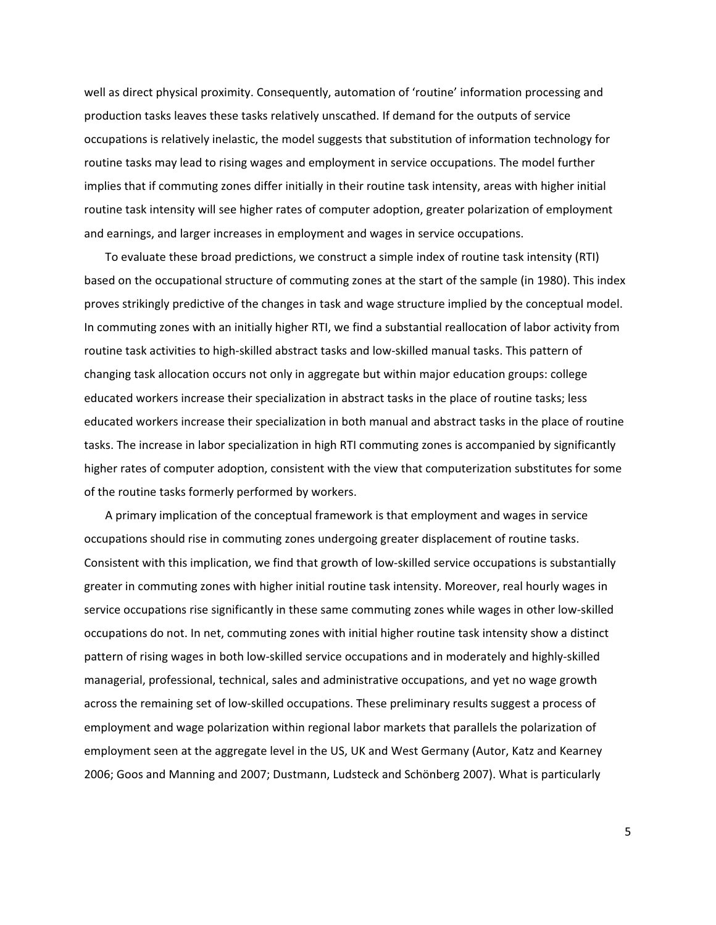well as direct physical proximity. Consequently, automation of 'routine' information processing and production tasks leaves these tasks relatively unscathed. If demand for the outputs of service occupations is relatively inelastic, the model suggests that substitution of information technology for routine tasks may lead to rising wages and employment in service occupations. The model further implies that if commuting zones differ initially in their routine task intensity, areas with higher initial routine task intensity will see higher rates of computer adoption, greater polarization of employment and earnings, and larger increases in employment and wages in service occupations.

To evaluate these broad predictions, we construct a simple index of routine task intensity (RTI) based on the occupational structure of commuting zones at the start of the sample (in 1980). This index proves strikingly predictive of the changes in task and wage structure implied by the conceptual model. In commuting zones with an initially higher RTI, we find a substantial reallocation of labor activity from routine task activities to high-skilled abstract tasks and low-skilled manual tasks. This pattern of changing task allocation occurs not only in aggregate but within major education groups: college educated workers increase their specialization in abstract tasks in the place of routine tasks; less educated workers increase their specialization in both manual and abstract tasks in the place of routine tasks. The increase in labor specialization in high RTI commuting zones is accompanied by significantly higher rates of computer adoption, consistent with the view that computerization substitutes for some of the routine tasks formerly performed by workers.

A primary implication of the conceptual framework is that employment and wages in service occupations should rise in commuting zones undergoing greater displacement of routine tasks. Consistent with this implication, we find that growth of low-skilled service occupations is substantially greater in commuting zones with higher initial routine task intensity. Moreover, real hourly wages in service occupations rise significantly in these same commuting zones while wages in other low-skilled occupations do not. In net, commuting zones with initial higher routine task intensity show a distinct pattern of rising wages in both low-skilled service occupations and in moderately and highly-skilled managerial, professional, technical, sales and administrative occupations, and yet no wage growth across the remaining set of low-skilled occupations. These preliminary results suggest a process of employment and wage polarization within regional labor markets that parallels the polarization of employment seen at the aggregate level in the US, UK and West Germany (Autor, Katz and Kearney 2006; Goos and Manning and 2007; Dustmann, Ludsteck and Schönberg 2007). What is particularly

5-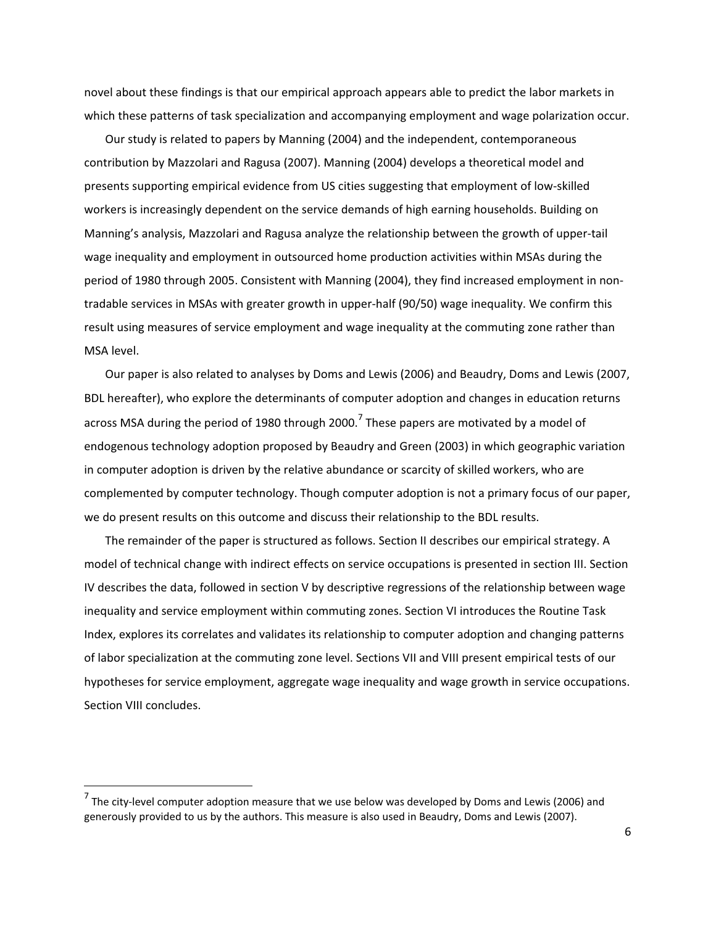novel about these findings is that our empirical approach appears able to predict the labor markets in which these patterns of task specialization and accompanying employment and wage polarization occur.

Our study is related to papers by Manning (2004) and the independent, contemporaneous contribution by Mazzolari and Ragusa (2007). Manning (2004) develops a theoretical model and presents supporting empirical evidence from US cities suggesting that employment of low-skilled workers is increasingly dependent on the service demands of high earning households. Building on Manning's analysis, Mazzolari and Ragusa analyze the relationship between the growth of upper-tail wage inequality and employment in outsourced home production activities within MSAs during the period of 1980 through 2005. Consistent with Manning (2004), they find increased employment in nontradable services in MSAs with greater growth in upper-half (90/50) wage inequality. We confirm this result using measures of service employment and wage inequality at the commuting zone rather than MSA level.

Our paper is also related to analyses by Doms and Lewis (2006) and Beaudry, Doms and Lewis (2007, BDL hereafter), who explore the determinants of computer adoption and changes in education returns across MSA during the period of 1980 through 2000.<sup>7</sup> These papers are motivated by a model of endogenous technology adoption proposed by Beaudry and Green (2003) in which geographic variation in computer adoption is driven by the relative abundance or scarcity of skilled workers, who are complemented by computer technology. Though computer adoption is not a primary focus of our paper, we do present results on this outcome and discuss their relationship to the BDL results.

The remainder of the paper is structured as follows. Section II describes our empirical strategy. A model of technical change with indirect effects on service occupations is presented in section III. Section IV describes the data, followed in section V by descriptive regressions of the relationship between wage inequality and service employment within commuting zones. Section VI introduces the Routine Task Index, explores its correlates and validates its relationship to computer adoption and changing patterns of labor specialization at the commuting zone level. Sections VII and VIII present empirical tests of our hypotheses for service employment, aggregate wage inequality and wage growth in service occupations. Section VIII concludes.

-----------------------------------------------------------

<sup>&</sup>lt;sup>7</sup> The city-level computer adoption measure that we use below was developed by Doms and Lewis (2006) and generously provided to us by the authors. This measure is also used in Beaudry, Doms and Lewis (2007).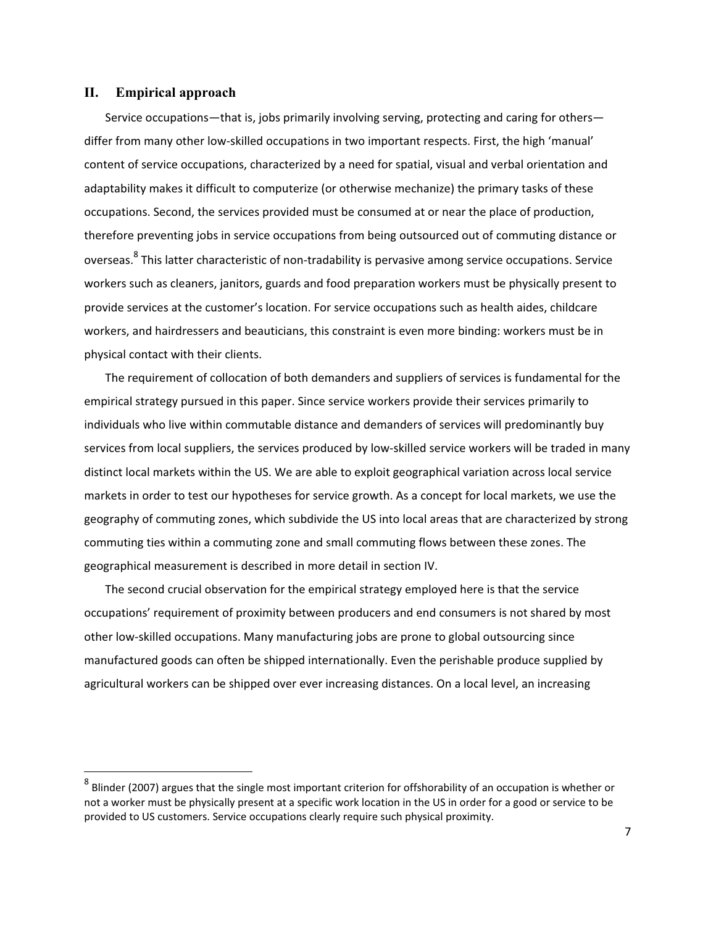### **II. Empirical approach**

-----------------------------------------------------------

Service occupations—that is, jobs primarily involving serving, protecting and caring for others differ from many other low-skilled occupations in two important respects. First, the high 'manual' content of service occupations, characterized by a need for spatial, visual and verbal orientation and adaptability makes it difficult to computerize (or otherwise mechanize) the primary tasks of these occupations. Second, the services provided must be consumed at or near the place of production, therefore preventing jobs in service occupations from being outsourced out of commuting distance or overseas. <sup>8</sup> This latter characteristic of non-tradability is pervasive among service occupations. Service workers such as cleaners, janitors, guards and food preparation workers must be physically present to provide services at the customer's location. For service occupations such as health aides, childcare workers, and hairdressers and beauticians, this constraint is even more binding: workers must be in physical contact with their clients.

The requirement of collocation of both demanders and suppliers of services is fundamental for the empirical strategy pursued in this paper. Since service workers provide their services primarily to individuals who live within commutable distance and demanders of services will predominantly buy services from local suppliers, the services produced by low-skilled service workers will be traded in many distinct local markets within the US. We are able to exploit geographical variation across local service markets in order to test our hypotheses for service growth. As a concept for local markets, we use the geography of commuting zones, which subdivide the US into local areas that are characterized by strong commuting ties within a commuting zone and small commuting flows between these zones. The geographical measurement is described in more detail in section IV.

The second crucial observation for the empirical strategy employed here is that the service occupations' requirement of proximity between producers and end consumers is not shared by most other low-skilled occupations. Many manufacturing jobs are prone to global outsourcing since manufactured goods can often be shipped internationally. Even the perishable produce supplied by agricultural workers can be shipped over ever increasing distances. On a local level, an increasing

 $^8$  Blinder (2007) argues that the single most important criterion for offshorability of an occupation is whether or not a worker must be physically present at a specific work location in the US in order for a good or service to be provided to US customers. Service occupations clearly require such physical proximity.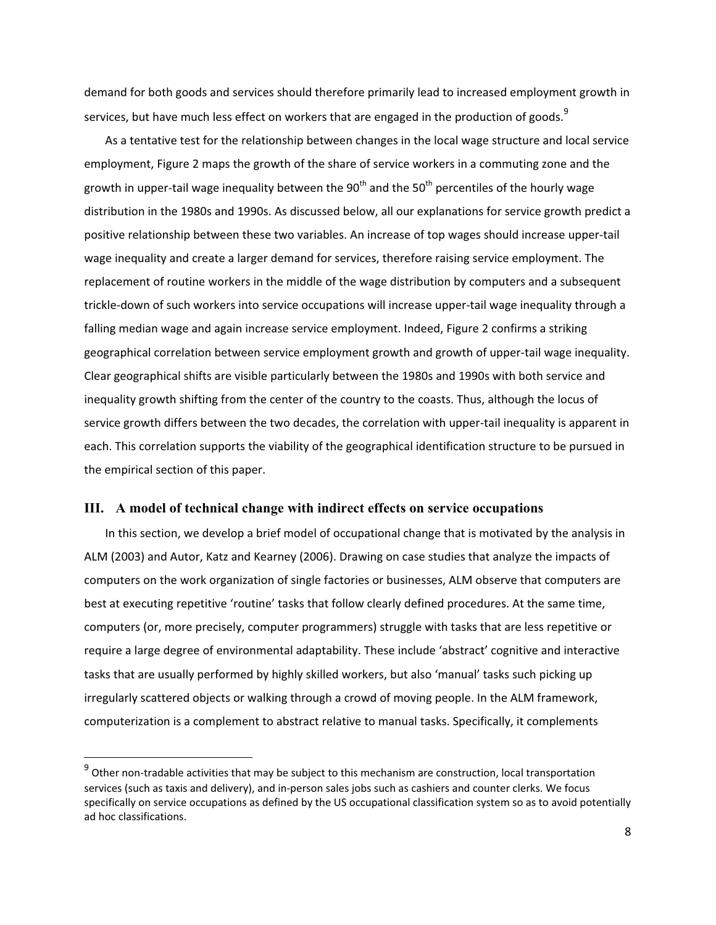demand for both goods and services should therefore primarily lead to increased employment growth in services, but have much less effect on workers that are engaged in the production of goods.<sup>9</sup>

As a tentative test for the relationship between changes in the local wage structure and local service employment, Figure 2 maps the growth of the share of service workers in a commuting zone and the growth in upper-tail wage inequality between the 90<sup>th</sup> and the 50<sup>th</sup> percentiles of the hourly wage distribution in the 1980s and 1990s. As discussed below, all our explanations for service growth predict a positive relationship between these two variables. An increase of top wages should increase upper-tail wage inequality and create a larger demand for services, therefore raising service employment. The replacement of routine workers in the middle of the wage distribution by computers and a subsequent trickle-down of such workers into service occupations will increase upper-tail wage inequality through a falling median wage and again increase service employment. Indeed, Figure 2 confirms a striking geographical correlation between service employment growth and growth of upper-tail wage inequality. Clear geographical shifts are visible particularly between the 1980s and 1990s with both service and inequality growth shifting from the center of the country to the coasts. Thus, although the locus of service growth differs between the two decades, the correlation with upper-tail inequality is apparent in each. This correlation supports the viability of the geographical identification structure to be pursued in the empirical section of this paper.

#### **III. A model of technical change with indirect effects on service occupations**

-----------------------------------------------------------

In this section, we develop a brief model of occupational change that is motivated by the analysis in ALM (2003) and Autor, Katz and Kearney (2006). Drawing on case studies that analyze the impacts of computers on the work organization of single factories or businesses, ALM observe that computers are best at executing repetitive 'routine' tasks that follow clearly defined procedures. At the same time, computers (or, more precisely, computer programmers) struggle with tasks that are less repetitive or require a large degree of environmental adaptability. These include 'abstract' cognitive and interactive tasks that are usually performed by highly skilled workers, but also 'manual' tasks such picking up irregularly scattered objects or walking through a crowd of moving people. In the ALM framework, computerization is a complement to abstract relative to manual tasks. Specifically, it complements

 $^9$  Other non-tradable activities that may be subject to this mechanism are construction, local transportation services (such as taxis and delivery), and in-person sales jobs such as cashiers and counter clerks. We focus specifically on service occupations as defined by the US occupational classification system so as to avoid potentially ad hoc classifications.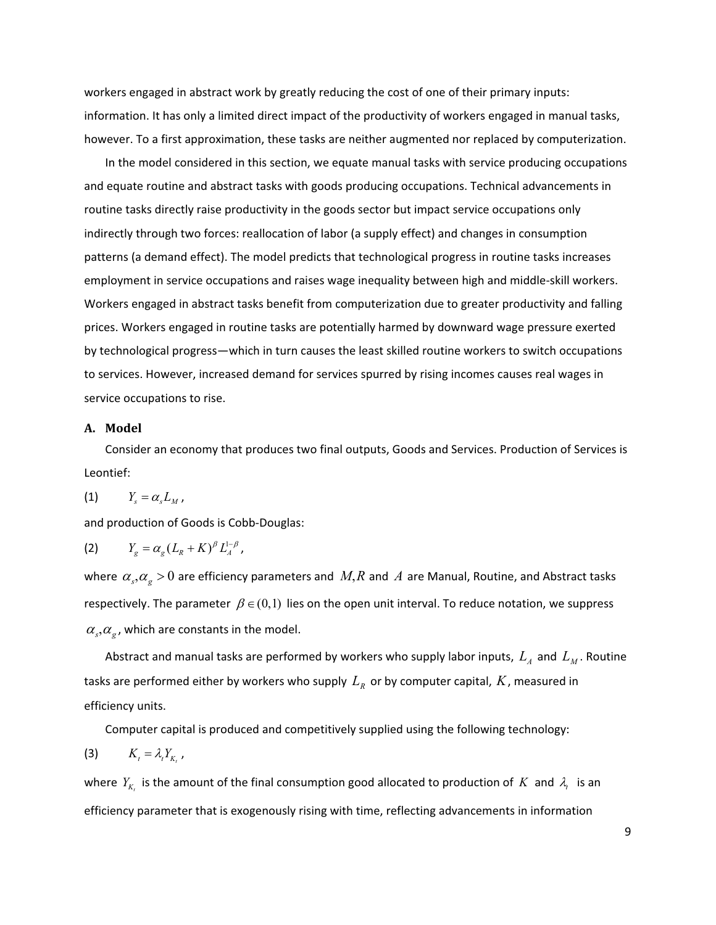workers engaged in abstract work by greatly reducing the cost of one of their primary inputs: information. It has only a limited direct impact of the productivity of workers engaged in manual tasks, however. To a first approximation, these tasks are neither augmented nor replaced by computerization.

In the model considered in this section, we equate manual tasks with service producing occupations and equate routine and abstract tasks with goods producing occupations. Technical advancements in routine tasks directly raise productivity in the goods sector but impact service occupations only indirectly through two forces: reallocation of labor (a supply effect) and changes in consumption patterns (a demand effect). The model predicts that technological progress in routine tasks increases employment in service occupations and raises wage inequality between high and middle-skill workers. Workers engaged in abstract tasks benefit from computerization due to greater productivity and falling prices. Workers engaged in routine tasks are potentially harmed by downward wage pressure exerted by technological progress—which in turn causes the least skilled routine workers to switch occupations to services. However, increased demand for services spurred by rising incomes causes real wages in service occupations to rise.

#### A. Model

Consider an economy that produces two final outputs, Goods and Services. Production of Services is Leontief:

$$
(1) \t Y_s = \alpha_s L_M,
$$

and production of Goods is Cobb-Douglas:

$$
(2) \t Y_g = \alpha_g (L_R + K)^\beta L_A^{1-\beta},
$$

where  $\alpha_{_s}^{},\alpha_{_g}^{}>0$  are efficiency parameters and  $\ M,R$  and  $\ A$  are Manual, Routine, and Abstract tasks respectively. The parameter  $\beta \in (0,1)$  lies on the open unit interval. To reduce notation, we suppress  $\alpha_{s}$ ,  $\alpha_{g}$ , which are constants in the model.

Abstract and manual tasks are performed by workers who supply labor inputs,  $L_{\scriptscriptstyle A}$  and  $L_{\scriptscriptstyle M}$ . Routine tasks are performed either by workers who supply  $\, L_{\scriptscriptstyle R}\,$  or by computer capital,  $\,K$ , measured in efficiency units.

Computer capital is produced and competitively supplied using the following technology:

$$
(3) \t K_{t} = \lambda_{t} Y_{K_{t}},
$$

where  $Y_{K_t}$  is the amount of the final consumption good allocated to production of  $K$  and  $\lambda$ <sub>r</sub> is an efficiency parameter that is exogenously rising with time, reflecting advancements in information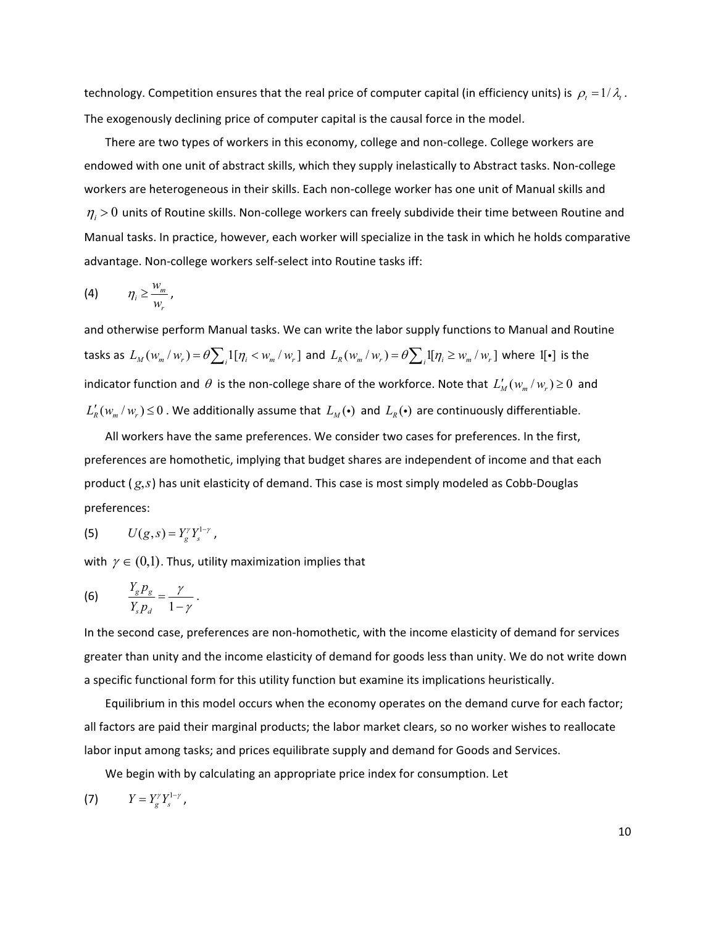technology. Competition ensures that the real price of computer capital (in efficiency units) is  $\rho_{_t}$  = 1/ $\lambda_{_t}$ . The exogenously declining price of computer capital is the causal force in the model.

There are two types of workers in this economy, college and non-college. College workers are endowed with one unit of abstract skills, which they supply inelastically to Abstract tasks. Non-college workers are heterogeneous in their skills. Each non-college worker has one unit of Manual skills and  $\eta_i$  > 0 units of Routine skills. Non-college workers can freely subdivide their time between Routine and Manual tasks. In practice, however, each worker will specialize in the task in which he holds comparative advantage. Non-college workers self-select into Routine tasks iff:

$$
\text{(4)} \qquad \eta_i \geq \frac{w_m}{w_r},
$$

and otherwise perform Manual tasks. We can write the labor supply functions to Manual and Routine tasks as  $L_M(w_m/w_r) = \theta \sum_i 1[\eta_i < w_m/w_r]$  and  $L_R(w_m/w_r) = \theta \sum_i 1[\eta_i \ge w_m/w_r]$  where  $1[\cdot]$  is the indicator function and  $\theta$  is the non-college share of the workforce. Note that  $L'_M(w_{_m}/w_{_r})\!\ge\!0\,$  and  $L'_R(w_m/w_r) \leq 0$  . We additionally assume that  $L_M(\cdot)$  and  $L_R(\cdot)$  are continuously differentiable.

All workers have the same preferences. We consider two cases for preferences. In the first, preferences are homothetic, implying that budget shares are independent of income and that each product (*g*,*s*) has unit elasticity of demand. This case is most simply modeled as Cobb-Douglas preferences:

(5) 
$$
U(g, s) = Y_g^{\gamma} Y_s^{1-\gamma}
$$
,

with  $\gamma \in (0,1)$ . Thus, utility maximization implies that

$$
(6) \qquad \frac{Y_g p_g}{Y_s p_d} = \frac{\gamma}{1-\gamma} \, .
$$

In the second case, preferences are non-homothetic, with the income elasticity of demand for services greater than unity and the income elasticity of demand for goods less than unity. We do not write down a specific functional form for this utility function but examine its implications heuristically.

Equilibrium in this model occurs when the economy operates on the demand curve for each factor; all factors are paid their marginal products; the labor market clears, so no worker wishes to reallocate labor input among tasks; and prices equilibrate supply and demand for Goods and Services.

We begin with by calculating an appropriate price index for consumption. Let

$$
(7) \t Y = Y_g^{\gamma} Y_s^{1-\gamma},
$$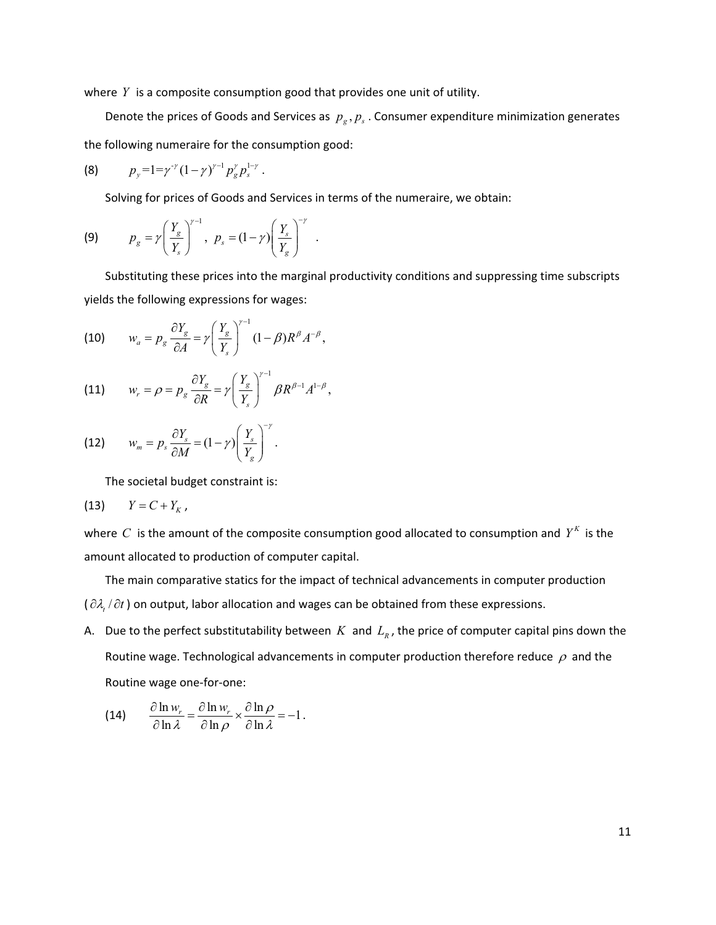where  $Y$  is a composite consumption good that provides one unit of utility.

Denote the prices of Goods and Services as  $p_g$ ,  $p_s$ . Consumer expenditure minimization generates the following numeraire for the consumption good:

(8) 
$$
p_y=1=\gamma^{\gamma}(1-\gamma)^{\gamma-1}p_g^{\gamma}p_s^{1-\gamma}
$$
.

Solving for prices of Goods and Services in terms of the numeraire, we obtain:

$$
\textbf{(9)} \hspace{1cm} p_g = \gamma \left( \frac{Y_g}{Y_s} \right)^{\gamma - 1}, \hspace{1cm} p_s = (1 - \gamma) \left( \frac{Y_s}{Y_g} \right)^{-\gamma} \hspace{1cm}.
$$

Substituting these prices into the marginal productivity conditions and suppressing time subscripts yields the following expressions for wages:

(10) 
$$
w_a = p_g \frac{\partial Y_g}{\partial A} = \gamma \left(\frac{Y_g}{Y_s}\right)^{\gamma-1} (1-\beta) R^{\beta} A^{-\beta},
$$

(11) 
$$
w_r = \rho = p_g \frac{\partial Y_g}{\partial R} = \gamma \left(\frac{Y_g}{Y_s}\right)^{\gamma-1} \beta R^{\beta-1} A^{1-\beta},
$$

(12) 
$$
w_m = p_s \frac{\partial Y_s}{\partial M} = (1 - \gamma) \left( \frac{Y_s}{Y_g} \right)^{-\gamma}.
$$

The societal budget constraint is:

$$
(13) \qquad Y = C + Y_K,
$$

where  $C$  is the amount of the composite consumption good allocated to consumption and  $Y^K$  is the amount allocated to production of computer capital.

The main comparative statics for the impact of technical advancements in computer production ( $\partial \lambda_i / \partial t$ ) on output, labor allocation and wages can be obtained from these expressions.

A. Due to the perfect substitutability between  $K$  and  $L_R$ , the price of computer capital pins down the Routine wage. Technological advancements in computer production therefore reduce  $\rho$  and the Routine wage one-for-one:

(14) 
$$
\frac{\partial \ln w_r}{\partial \ln \lambda} = \frac{\partial \ln w_r}{\partial \ln \rho} \times \frac{\partial \ln \rho}{\partial \ln \lambda} = -1.
$$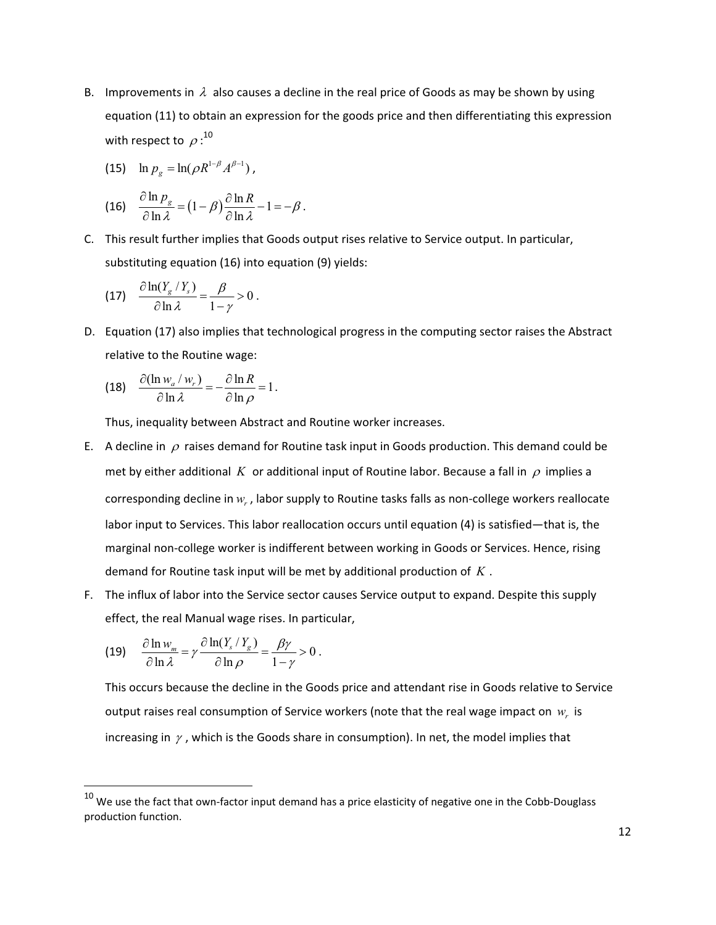B. Improvements in  $\lambda$  also causes a decline in the real price of Goods as may be shown by using equation (11) to obtain an expression for the goods price and then differentiating this expression with respect to  $\rho: ^{10}$ 

(15) 
$$
\ln p_g = \ln(\rho R^{1-\beta} A^{\beta-1}),
$$

(16) 
$$
\frac{\partial \ln p_{g}}{\partial \ln \lambda} = (1 - \beta) \frac{\partial \ln R}{\partial \ln \lambda} - 1 = -\beta.
$$

C. This result further implies that Goods output rises relative to Service output. In particular, substituting equation (16) into equation (9) yields:

(17) 
$$
\frac{\partial \ln(Y_g / Y_s)}{\partial \ln \lambda} = \frac{\beta}{1 - \gamma} > 0.
$$

D. Equation (17) also implies that technological progress in the computing sector raises the Abstract relative to the Routine wage:

(18) 
$$
\frac{\partial(\ln w_a/w_r)}{\partial \ln \lambda} = -\frac{\partial \ln R}{\partial \ln \rho} = 1.
$$

Thus, inequality between Abstract and Routine worker increases.

- E. A decline in  $\rho$  raises demand for Routine task input in Goods production. This demand could be met by either additional K or additional input of Routine labor. Because a fall in  $\rho$  implies a corresponding decline in  $w_r$ , labor supply to Routine tasks falls as non-college workers reallocate labor input to Services. This labor reallocation occurs until equation (4) is satisfied—that is, the marginal non-college worker is indifferent between working in Goods or Services. Hence, rising demand for Routine task input will be met by additional production of  $K$ .
- F. The influx of labor into the Service sector causes Service output to expand. Despite this supply effect, the real Manual wage rises. In particular,

(19) 
$$
\frac{\partial \ln w_m}{\partial \ln \lambda} = \gamma \frac{\partial \ln(Y_s/Y_g)}{\partial \ln \rho} = \frac{\beta \gamma}{1-\gamma} > 0.
$$

This occurs because the decline in the Goods price and attendant rise in Goods relative to Service output raises real consumption of Service workers (note that the real wage impact on  $w<sub>r</sub>$  is increasing in  $\gamma$ , which is the Goods share in consumption). In net, the model implies that

<sup>-</sup>---------------------------------------------------------- 10-We-use-the-fact-that-ownfactor-input-demand-has-a-price-elasticity-of-negative-one-in-the-CobbDouglass production function.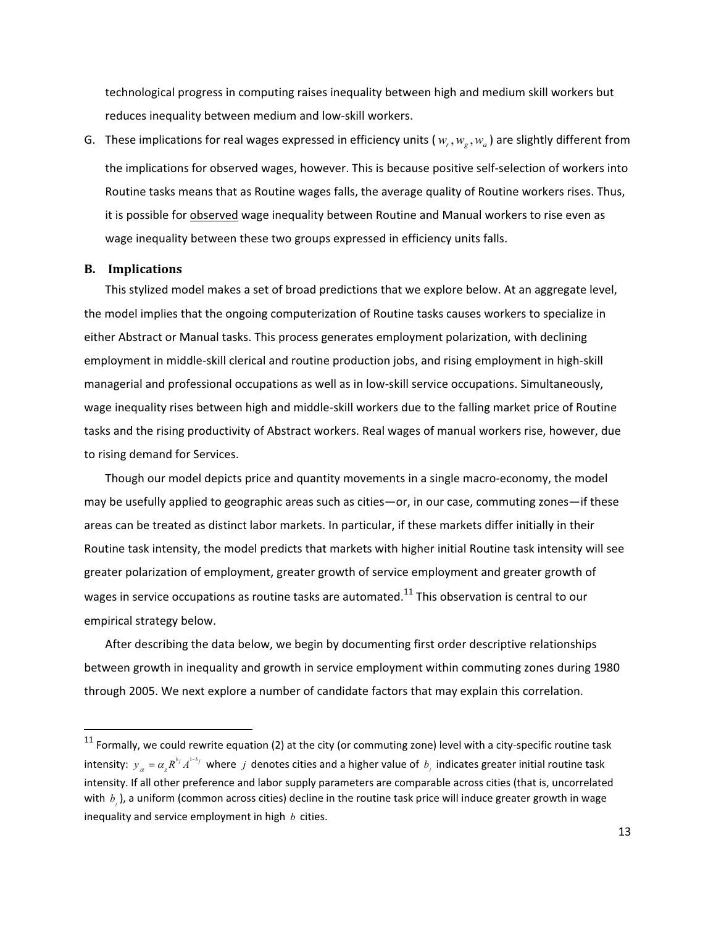technological progress in computing raises inequality between high and medium skill workers but reduces inequality between medium and low-skill workers.

G. These implications for real wages expressed in efficiency units ( $w_r, w_g, w_a$ ) are slightly different from the implications for observed wages, however. This is because positive self-selection of workers into Routine tasks means that as Routine wages falls, the average quality of Routine workers rises. Thus, it is possible for **observed** wage inequality between Routine and Manual workers to rise even as wage inequality between these two groups expressed in efficiency units falls.

#### **B.** Implications

-----------------------------------------------------------

This stylized model makes a set of broad predictions that we explore below. At an aggregate level, the model implies that the ongoing computerization of Routine tasks causes workers to specialize in either Abstract or Manual tasks. This process generates employment polarization, with declining employment in middle-skill clerical and routine production jobs, and rising employment in high-skill managerial and professional occupations as well as in low-skill service occupations. Simultaneously, wage inequality rises between high and middle-skill workers due to the falling market price of Routine tasks and the rising productivity of Abstract workers. Real wages of manual workers rise, however, due to rising demand for Services.

Though our model depicts price and quantity movements in a single macro-economy, the model may be usefully applied to geographic areas such as cities—or, in our case, commuting zones—if these areas can be treated as distinct labor markets. In particular, if these markets differ initially in their Routine task intensity, the model predicts that markets with higher initial Routine task intensity will see greater polarization of employment, greater growth of service employment and greater growth of wages in service occupations as routine tasks are automated.<sup>11</sup> This observation is central to our empirical strategy below.

After describing the data below, we begin by documenting first order descriptive relationships between growth in inequality and growth in service employment within commuting zones during 1980 through 2005. We next explore a number of candidate factors that may explain this correlation.

 $^{11}$  Formally, we could rewrite equation (2) at the city (or commuting zone) level with a city-specific routine task intensity:  $y_{j_g} = \alpha_g R^{b_j} A^{1-b_j}$  where *j* denotes cities and a higher value of  $b_j$  indicates greater initial routine task intensity. If all other preference and labor supply parameters are comparable across cities (that is, uncorrelated with  $b_j$ ), a uniform (common across cities) decline in the routine task price will induce greater growth in wage inequality and service employment in high  $b$  cities.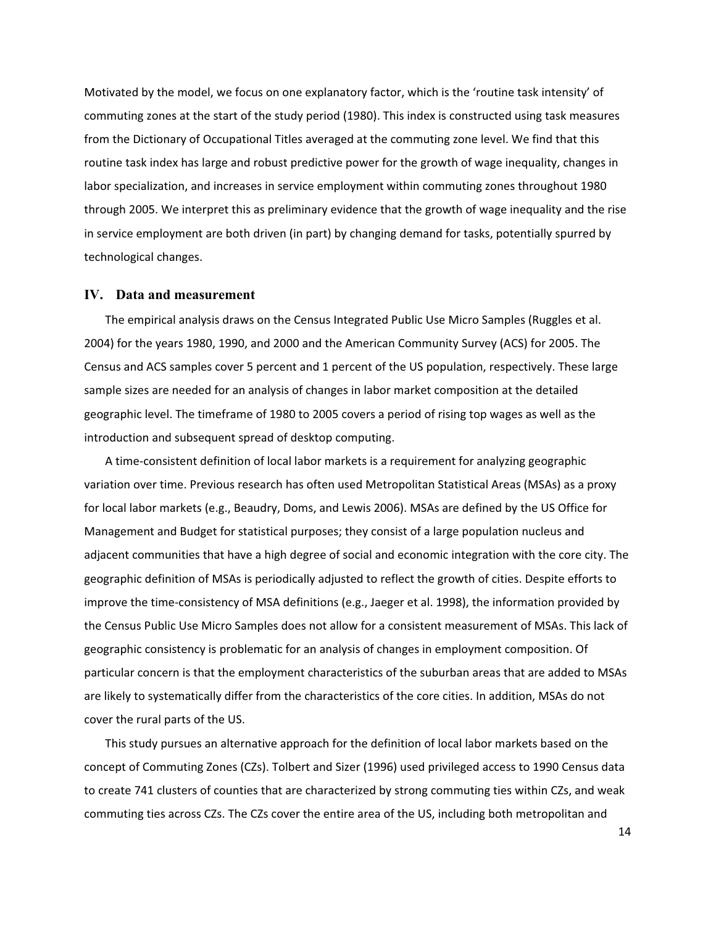Motivated by the model, we focus on one explanatory factor, which is the 'routine task intensity' of commuting zones at the start of the study period (1980). This index is constructed using task measures from the Dictionary of Occupational Titles averaged at the commuting zone level. We find that this routine task index has large and robust predictive power for the growth of wage inequality, changes in labor specialization, and increases in service employment within commuting zones throughout 1980 through 2005. We interpret this as preliminary evidence that the growth of wage inequality and the rise in service employment are both driven (in part) by changing demand for tasks, potentially spurred by technological changes.

#### **IV. Data and measurement**

The empirical analysis draws on the Census Integrated Public Use Micro Samples (Ruggles et al. 2004) for the years 1980, 1990, and 2000 and the American Community Survey (ACS) for 2005. The Census and ACS samples cover 5 percent and 1 percent of the US population, respectively. These large sample sizes are needed for an analysis of changes in labor market composition at the detailed geographic level. The timeframe of 1980 to 2005 covers a period of rising top wages as well as the introduction and subsequent spread of desktop computing.

A time-consistent definition of local labor markets is a requirement for analyzing geographic variation over time. Previous research has often used Metropolitan Statistical Areas (MSAs) as a proxy for local labor markets (e.g., Beaudry, Doms, and Lewis 2006). MSAs are defined by the US Office for Management and Budget for statistical purposes; they consist of a large population nucleus and adjacent communities that have a high degree of social and economic integration with the core city. The geographic definition of MSAs is periodically adjusted to reflect the growth of cities. Despite efforts to improve the time-consistency of MSA definitions (e.g., Jaeger et al. 1998), the information provided by the Census Public Use Micro Samples does not allow for a consistent measurement of MSAs. This lack of geographic consistency is problematic for an analysis of changes in employment composition. Of particular concern is that the employment characteristics of the suburban areas that are added to MSAs are likely to systematically differ from the characteristics of the core cities. In addition, MSAs do not cover the rural parts of the US.

This study pursues an alternative approach for the definition of local labor markets based on the concept of Commuting Zones (CZs). Tolbert and Sizer (1996) used privileged access to 1990 Census data to create 741 clusters of counties that are characterized by strong commuting ties within CZs, and weak commuting ties across CZs. The CZs cover the entire area of the US, including both metropolitan and

14-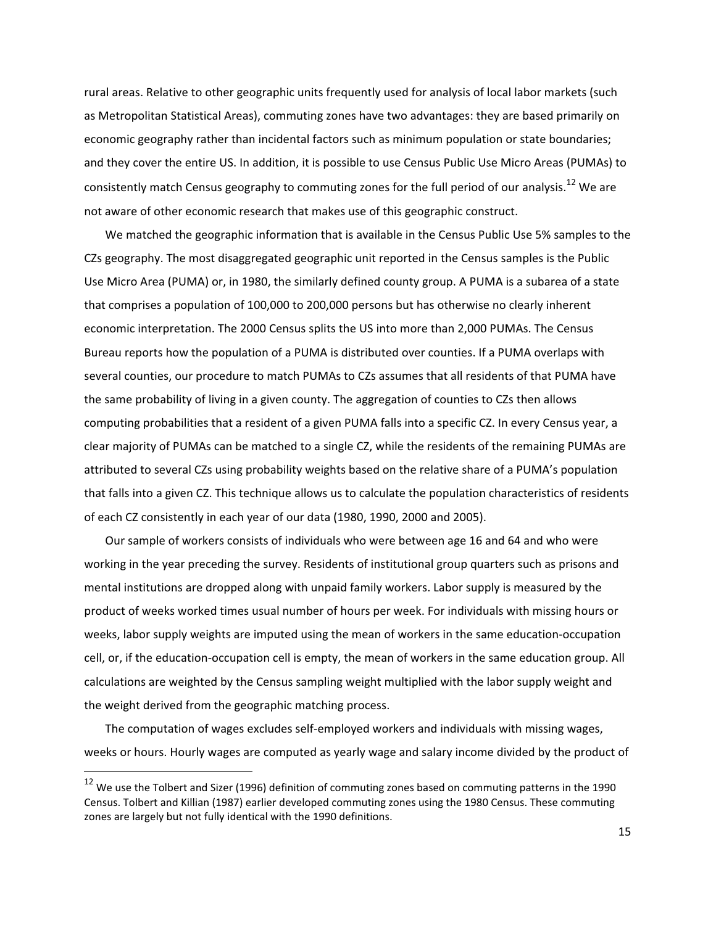rural areas. Relative to other geographic units frequently used for analysis of local labor markets (such as Metropolitan Statistical Areas), commuting zones have two advantages: they are based primarily on economic geography rather than incidental factors such as minimum population or state boundaries; and they cover the entire US. In addition, it is possible to use Census Public Use Micro Areas (PUMAs) to consistently match Census geography to commuting zones for the full period of our analysis.<sup>12</sup> We are not aware of other economic research that makes use of this geographic construct.

We matched the geographic information that is available in the Census Public Use 5% samples to the CZs geography. The most disaggregated geographic unit reported in the Census samples is the Public Use Micro Area (PUMA) or, in 1980, the similarly defined county group. A PUMA is a subarea of a state that comprises a population of 100,000 to 200,000 persons but has otherwise no clearly inherent economic interpretation. The 2000 Census splits the US into more than 2,000 PUMAs. The Census Bureau reports how the population of a PUMA is distributed over counties. If a PUMA overlaps with several counties, our procedure to match PUMAs to CZs assumes that all residents of that PUMA have the same probability of living in a given county. The aggregation of counties to CZs then allows computing probabilities that a resident of a given PUMA falls into a specific CZ. In every Census year, a clear majority of PUMAs can be matched to a single CZ, while the residents of the remaining PUMAs are attributed to several CZs using probability weights based on the relative share of a PUMA's population that falls into a given CZ. This technique allows us to calculate the population characteristics of residents of each CZ consistently in each year of our data (1980, 1990, 2000 and 2005).

Our sample of workers consists of individuals who were between age 16 and 64 and who were working in the year preceding the survey. Residents of institutional group quarters such as prisons and mental institutions are dropped along with unpaid family workers. Labor supply is measured by the product of weeks worked times usual number of hours per week. For individuals with missing hours or weeks, labor supply weights are imputed using the mean of workers in the same education-occupation cell, or, if the education-occupation cell is empty, the mean of workers in the same education group. All calculations are weighted by the Census sampling weight multiplied with the labor supply weight and the weight derived from the geographic matching process.

The computation of wages excludes self-employed workers and individuals with missing wages, weeks or hours. Hourly wages are computed as yearly wage and salary income divided by the product of

-----------------------------------------------------------

 $^{12}$  We use the Tolbert and Sizer (1996) definition of commuting zones based on commuting patterns in the 1990 Census. Tolbert and Killian (1987) earlier developed commuting zones using the 1980 Census. These commuting zones are largely but not fully identical with the 1990 definitions.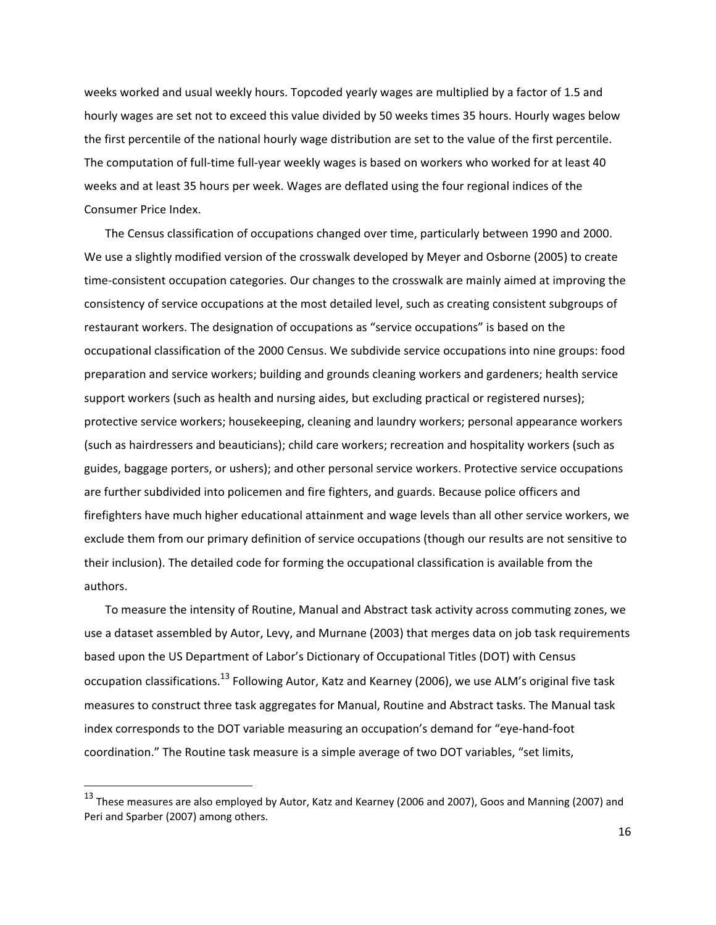weeks worked and usual weekly hours. Topcoded yearly wages are multiplied by a factor of 1.5 and hourly wages are set not to exceed this value divided by 50 weeks times 35 hours. Hourly wages below the first percentile of the national hourly wage distribution are set to the value of the first percentile. The computation of full-time full-year weekly wages is based on workers who worked for at least 40 weeks and at least 35 hours per week. Wages are deflated using the four regional indices of the Consumer Price Index.

The Census classification of occupations changed over time, particularly between 1990 and 2000. We use a slightly modified version of the crosswalk developed by Meyer and Osborne (2005) to create time-consistent occupation categories. Our changes to the crosswalk are mainly aimed at improving the consistency of service occupations at the most detailed level, such as creating consistent subgroups of restaurant workers. The designation of occupations as "service occupations" is based on the occupational classification of the 2000 Census. We subdivide service occupations into nine groups: food preparation and service workers; building and grounds cleaning workers and gardeners; health service support workers (such as health and nursing aides, but excluding practical or registered nurses); protective service workers; housekeeping, cleaning and laundry workers; personal appearance workers (such as hairdressers and beauticians); child care workers; recreation and hospitality workers (such as guides, baggage porters, or ushers); and other personal service workers. Protective service occupations are further subdivided into policemen and fire fighters, and guards. Because police officers and firefighters have much higher educational attainment and wage levels than all other service workers, we exclude them from our primary definition of service occupations (though our results are not sensitive to their inclusion). The detailed code for forming the occupational classification is available from the authors.

To measure the intensity of Routine, Manual and Abstract task activity across commuting zones, we use a dataset assembled by Autor, Levy, and Murnane (2003) that merges data on job task requirements based upon the US Department of Labor's Dictionary of Occupational Titles (DOT) with Census occupation classifications.<sup>13</sup> Following Autor, Katz and Kearney (2006), we use ALM's original five task measures to construct three task aggregates for Manual, Routine and Abstract tasks. The Manual task index corresponds to the DOT variable measuring an occupation's demand for "eye-hand-foot coordination." The Routine task measure is a simple average of two DOT variables, "set limits,

-----------------------------------------------------------

 $^{13}$  These measures are also employed by Autor, Katz and Kearney (2006 and 2007), Goos and Manning (2007) and Peri and Sparber (2007) among others.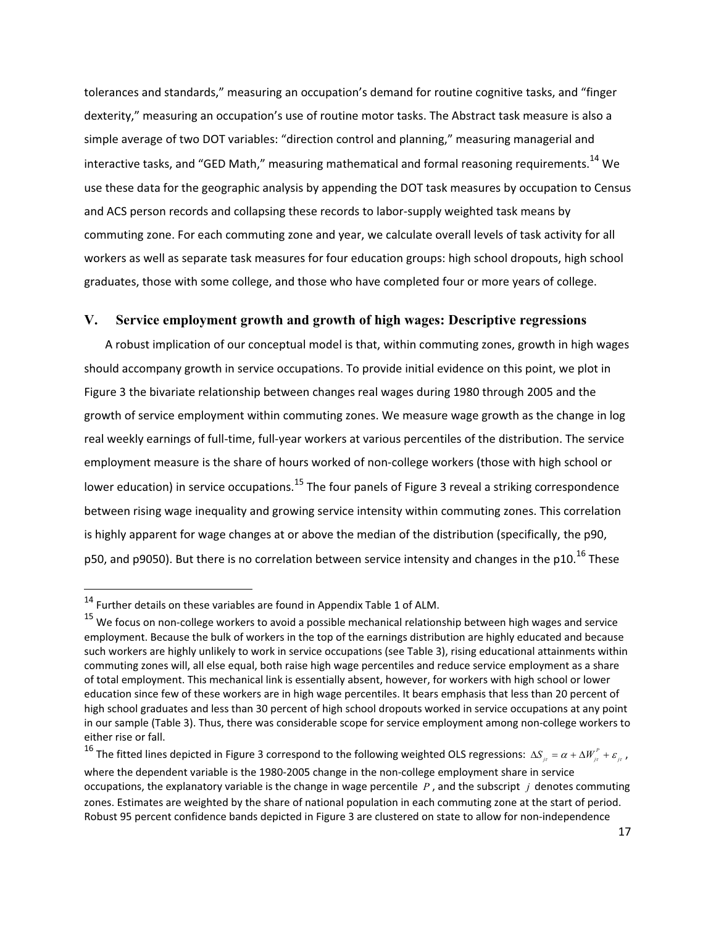tolerances and standards," measuring an occupation's demand for routine cognitive tasks, and "finger dexterity," measuring an occupation's use of routine motor tasks. The Abstract task measure is also a simple average of two DOT variables: "direction control and planning," measuring managerial and interactive tasks, and "GED Math," measuring mathematical and formal reasoning requirements.<sup>14</sup> We use these data for the geographic analysis by appending the DOT task measures by occupation to Census and ACS person records and collapsing these records to labor-supply weighted task means by commuting zone. For each commuting zone and year, we calculate overall levels of task activity for all workers as well as separate task measures for four education groups: high school dropouts, high school graduates, those with some college, and those who have completed four or more years of college.

### **V. Service employment growth and growth of high wages: Descriptive regressions**

A robust implication of our conceptual model is that, within commuting zones, growth in high wages should accompany growth in service occupations. To provide initial evidence on this point, we plot in Figure 3 the bivariate relationship between changes real wages during 1980 through 2005 and the growth of service employment within commuting zones. We measure wage growth as the change in log real weekly earnings of full-time, full-year workers at various percentiles of the distribution. The service employment measure is the share of hours worked of non-college workers (those with high school or lower education) in service occupations.<sup>15</sup> The four panels of Figure 3 reveal a striking correspondence between rising wage inequality and growing service intensity within commuting zones. This correlation is highly apparent for wage changes at or above the median of the distribution (specifically, the p90, p50, and p9050). But there is no correlation between service intensity and changes in the p10.<sup>16</sup> These

-----------------------------------------------------------

<sup>16</sup> The fitted lines depicted in Figure 3 correspond to the following weighted OLS regressions:  $\Delta S_{_{jr}}=\alpha+\Delta W_{_{jr}}^p+\varepsilon_{_{jr}}$  , where the dependent variable is the 1980-2005 change in the non-college employment share in service occupations, the explanatory variable is the change in wage percentile  $P$ , and the subscript  $j$  denotes commuting zones. Estimates are weighted by the share of national population in each commuting zone at the start of period. Robust 95 percent confidence bands depicted in Figure 3 are clustered on state to allow for non-independence

 $^{14}$  Further details on these variables are found in Appendix Table 1 of ALM.

 $^{15}$  We focus on non-college workers to avoid a possible mechanical relationship between high wages and service employment. Because the bulk of workers in the top of the earnings distribution are highly educated and because such workers are highly unlikely to work in service occupations (see Table 3), rising educational attainments within commuting zones will, all else equal, both raise high wage percentiles and reduce service employment as a share of total employment. This mechanical link is essentially absent, however, for workers with high school or lower education since few of these workers are in high wage percentiles. It bears emphasis that less than 20 percent of high school graduates and less than 30 percent of high school dropouts worked in service occupations at any point in our sample (Table 3). Thus, there was considerable scope for service employment among non-college workers to either rise or fall.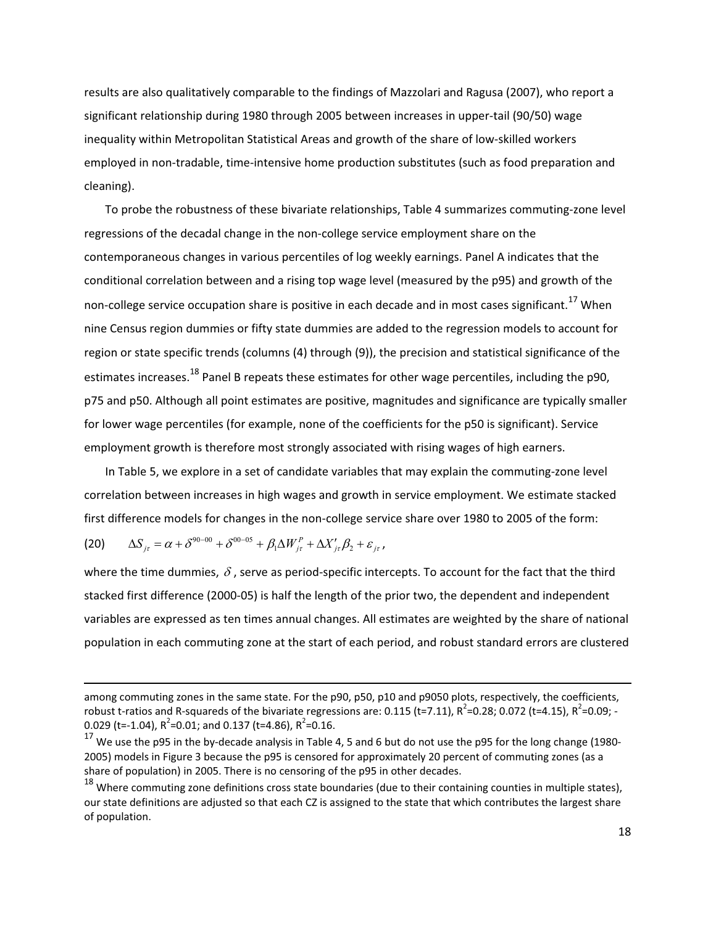results are also qualitatively comparable to the findings of Mazzolari and Ragusa (2007), who report a significant relationship during 1980 through 2005 between increases in upper-tail (90/50) wage inequality within Metropolitan Statistical Areas and growth of the share of low-skilled workers employed in non-tradable, time-intensive home production substitutes (such as food preparation and cleaning).

To probe the robustness of these bivariate relationships, Table 4 summarizes commuting-zone level regressions of the decadal change in the non-college service employment share on the contemporaneous changes in various percentiles of log weekly earnings. Panel A indicates that the conditional correlation between and a rising top wage level (measured by the p95) and growth of the non-college service occupation share is positive in each decade and in most cases significant.<sup>17</sup> When nine Census region dummies or fifty state dummies are added to the regression models to account for region or state specific trends (columns (4) through (9)), the precision and statistical significance of the estimates increases.<sup>18</sup> Panel B repeats these estimates for other wage percentiles, including the p90, p75 and p50. Although all point estimates are positive, magnitudes and significance are typically smaller for lower wage percentiles (for example, none of the coefficients for the p50 is significant). Service employment growth is therefore most strongly associated with rising wages of high earners.

In Table 5, we explore in a set of candidate variables that may explain the commuting-zone level correlation between increases in high wages and growth in service employment. We estimate stacked first difference models for changes in the non-college service share over 1980 to 2005 of the form:

(20) 
$$
\Delta S_{j\tau} = \alpha + \delta^{90-00} + \delta^{00-05} + \beta_1 \Delta W_{j\tau}^P + \Delta X'_{j\tau} \beta_2 + \varepsilon_{j\tau},
$$

-----------------------------------------------------------------------------------------------------------------------------------------------------------------------------------------------

where the time dummies,  $\delta$  , serve as period-specific intercepts. To account for the fact that the third stacked first difference (2000-05) is half the length of the prior two, the dependent and independent variables are expressed as ten times annual changes. All estimates are weighted by the share of national population in each commuting zone at the start of each period, and robust standard errors are clustered

among commuting zones in the same state. For the p90, p50, p10 and p9050 plots, respectively, the coefficients, robust t-ratios and R-squareds of the bivariate regressions are: 0.115 (t=7.11), R<sup>2</sup>=0.28; 0.072 (t=4.15), R<sup>2</sup>=0.09; -0.029 (t=-1.04),  $R^2$ =0.01; and 0.137 (t=4.86),  $R^2$ =0.16.

 $^{17}$  We use the p95 in the by-decade analysis in Table 4, 5 and 6 but do not use the p95 for the long change (1980-2005) models in Figure 3 because the p95 is censored for approximately 20 percent of commuting zones (as a share of population) in 2005. There is no censoring of the p95 in other decades.

 $^{18}$  Where commuting zone definitions cross state boundaries (due to their containing counties in multiple states), our state definitions are adjusted so that each CZ is assigned to the state that which contributes the largest share of population.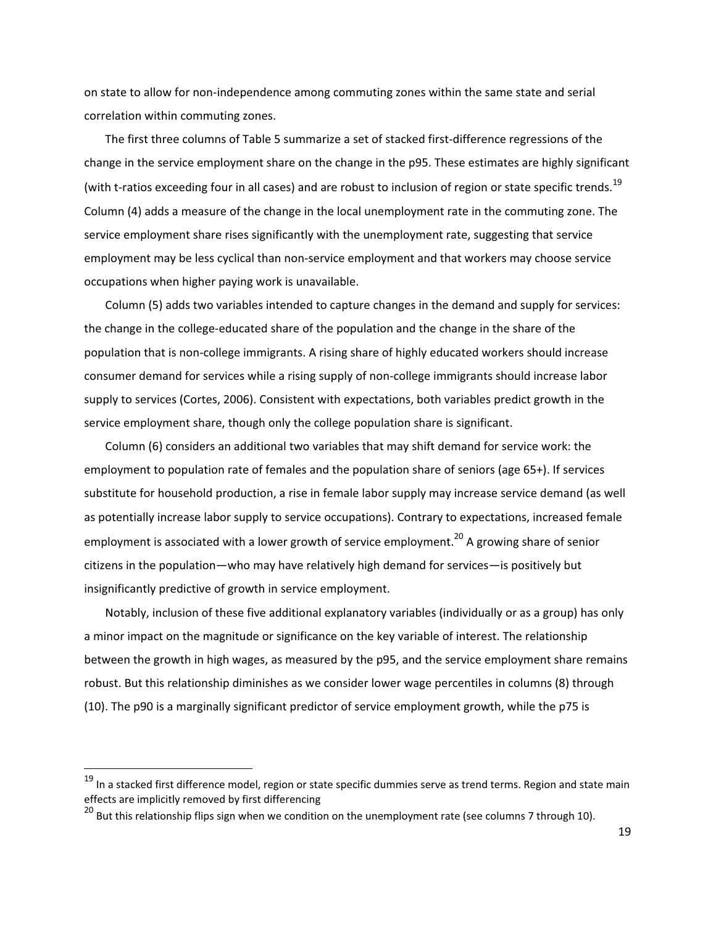on state to allow for non-independence among commuting zones within the same state and serial correlation within commuting zones.

The first three columns of Table 5 summarize a set of stacked first-difference regressions of the change in the service employment share on the change in the p95. These estimates are highly significant (with t-ratios exceeding four in all cases) and are robust to inclusion of region or state specific trends.<sup>19</sup> Column (4) adds a measure of the change in the local unemployment rate in the commuting zone. The service employment share rises significantly with the unemployment rate, suggesting that service employment may be less cyclical than non-service employment and that workers may choose service occupations when higher paying work is unavailable.

Column (5) adds two variables intended to capture changes in the demand and supply for services: the change in the college-educated share of the population and the change in the share of the population that is non-college immigrants. A rising share of highly educated workers should increase consumer demand for services while a rising supply of non-college immigrants should increase labor supply to services (Cortes, 2006). Consistent with expectations, both variables predict growth in the service employment share, though only the college population share is significant.

Column (6) considers an additional two variables that may shift demand for service work: the employment to population rate of females and the population share of seniors (age 65+). If services substitute for household production, a rise in female labor supply may increase service demand (as well as potentially increase labor supply to service occupations). Contrary to expectations, increased female employment is associated with a lower growth of service employment.<sup>20</sup> A growing share of senior citizens in the population—who may have relatively high demand for services—is positively but insignificantly predictive of growth in service employment.

Notably, inclusion of these five additional explanatory variables (individually or as a group) has only a minor impact on the magnitude or significance on the key variable of interest. The relationship between the growth in high wages, as measured by the p95, and the service employment share remains robust. But this relationship diminishes as we consider lower wage percentiles in columns (8) through (10). The p90 is a marginally significant predictor of service employment growth, while the p75 is

-----------------------------------------------------------

<sup>&</sup>lt;sup>19</sup> In a stacked first difference model, region or state specific dummies serve as trend terms. Region and state main effects are implicitly removed by first differencing effects are implicitly removed by first differencing<br><sup>20</sup> But this relationship flips sign when we condition on the unemployment rate (see columns 7 through 10).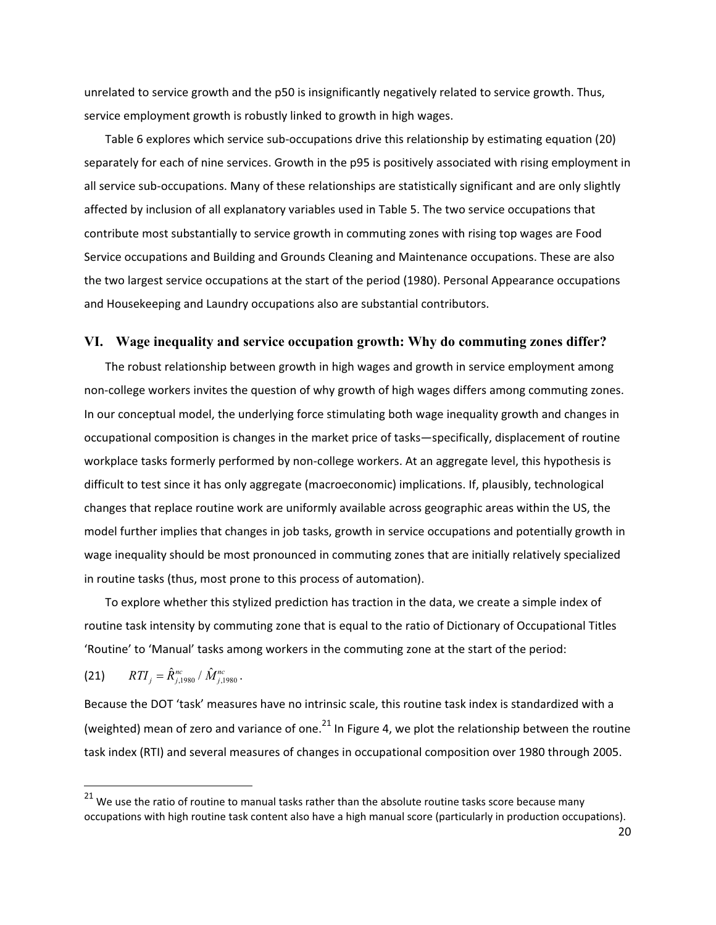unrelated to service growth and the p50 is insignificantly negatively related to service growth. Thus, service employment growth is robustly linked to growth in high wages.

Table 6 explores which service sub-occupations drive this relationship by estimating equation (20) separately for each of nine services. Growth in the p95 is positively associated with rising employment in all service sub-occupations. Many of these relationships are statistically significant and are only slightly affected by inclusion of all explanatory variables used in Table 5. The two service occupations that contribute most substantially to service growth in commuting zones with rising top wages are Food Service occupations and Building and Grounds Cleaning and Maintenance occupations. These are also the two largest service occupations at the start of the period (1980). Personal Appearance occupations and Housekeeping and Laundry occupations also are substantial contributors.

#### **VI. Wage inequality and service occupation growth: Why do commuting zones differ?**

The robust relationship between growth in high wages and growth in service employment among non-college workers invites the question of why growth of high wages differs among commuting zones. In our conceptual model, the underlying force stimulating both wage inequality growth and changes in occupational composition is changes in the market price of tasks-specifically, displacement of routine workplace tasks formerly performed by non-college workers. At an aggregate level, this hypothesis is difficult to test since it has only aggregate (macroeconomic) implications. If, plausibly, technological changes that replace routine work are uniformly available across geographic areas within the US, the model further implies that changes in job tasks, growth in service occupations and potentially growth in wage inequality should be most pronounced in commuting zones that are initially relatively specialized in routine tasks (thus, most prone to this process of automation).

To explore whether this stylized prediction has traction in the data, we create a simple index of routine task intensity by commuting zone that is equal to the ratio of Dictionary of Occupational Titles 'Routine' to 'Manual' tasks among workers in the commuting zone at the start of the period:

(21) 
$$
RTI_j = \hat{R}_{j,1980}^{nc} / \hat{M}_{j,1980}^{nc}.
$$

-----------------------------------------------------------

Because the DOT 'task' measures have no intrinsic scale, this routine task index is standardized with a (weighted) mean of zero and variance of one. $^{21}$  In Figure 4, we plot the relationship between the routine task index (RTI) and several measures of changes in occupational composition over 1980 through 2005.

 $^{21}$  We use the ratio of routine to manual tasks rather than the absolute routine tasks score because many occupations with high routine task content also have a high manual score (particularly in production occupations).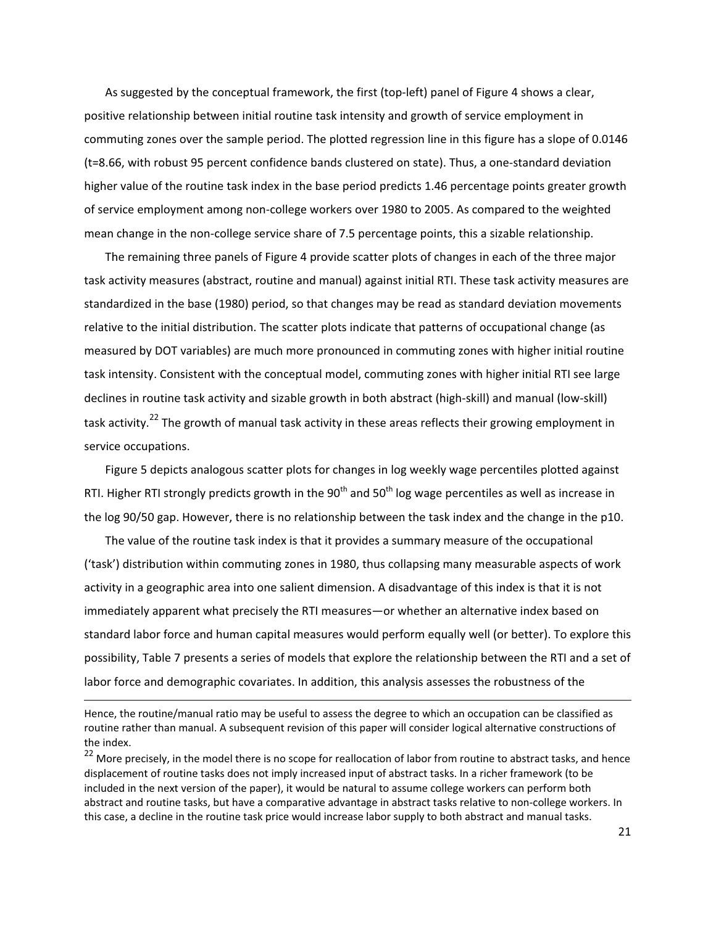As suggested by the conceptual framework, the first (top-left) panel of Figure 4 shows a clear, positive relationship between initial routine task intensity and growth of service employment in commuting zones over the sample period. The plotted regression line in this figure has a slope of 0.0146 (t=8.66, with robust 95 percent confidence bands clustered on state). Thus, a one-standard deviation higher value of the routine task index in the base period predicts 1.46 percentage points greater growth of service employment among non-college workers over 1980 to 2005. As compared to the weighted mean change in the non-college service share of 7.5 percentage points, this a sizable relationship.

The remaining three panels of Figure 4 provide scatter plots of changes in each of the three major task activity measures (abstract, routine and manual) against initial RTI. These task activity measures are standardized in the base (1980) period, so that changes may be read as standard deviation movements relative to the initial distribution. The scatter plots indicate that patterns of occupational change (as measured by DOT variables) are much more pronounced in commuting zones with higher initial routine task intensity. Consistent with the conceptual model, commuting zones with higher initial RTI see large declines in routine task activity and sizable growth in both abstract (high-skill) and manual (low-skill) task activity.<sup>22</sup> The growth of manual task activity in these areas reflects their growing employment in service occupations.

Figure 5 depicts analogous scatter plots for changes in log weekly wage percentiles plotted against RTI. Higher RTI strongly predicts growth in the 90<sup>th</sup> and 50<sup>th</sup> log wage percentiles as well as increase in the log 90/50 gap. However, there is no relationship between the task index and the change in the p10.

The value of the routine task index is that it provides a summary measure of the occupational ('task') distribution within commuting zones in 1980, thus collapsing many measurable aspects of work activity in a geographic area into one salient dimension. A disadvantage of this index is that it is not immediately apparent what precisely the RTI measures—or whether an alternative index based on standard labor force and human capital measures would perform equally well (or better). To explore this possibility, Table 7 presents a series of models that explore the relationship between the RTI and a set of labor force and demographic covariates. In addition, this analysis assesses the robustness of the

-----------------------------------------------------------------------------------------------------------------------------------------------------------------------------------------------

Hence, the routine/manual ratio may be useful to assess the degree to which an occupation can be classified as routine rather than manual. A subsequent revision of this paper will consider logical alternative constructions of the index.

 $^{22}$  More precisely, in the model there is no scope for reallocation of labor from routine to abstract tasks, and hence displacement of routine tasks does not imply increased input of abstract tasks. In a richer framework (to be included in the next version of the paper), it would be natural to assume college workers can perform both abstract and routine tasks, but have a comparative advantage in abstract tasks relative to non-college workers. In this case, a decline in the routine task price would increase labor supply to both abstract and manual tasks.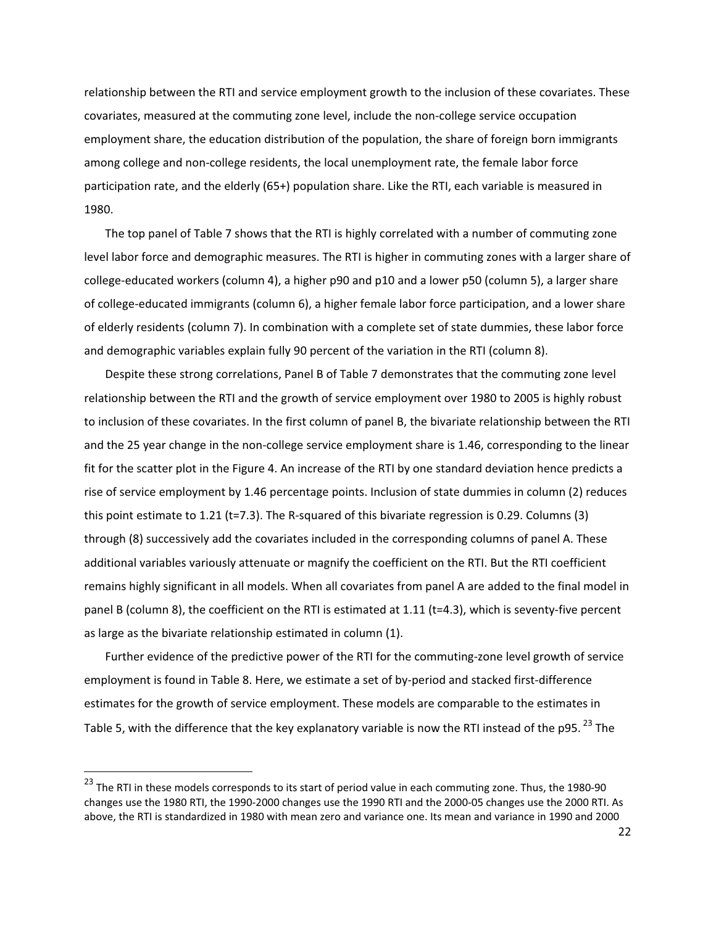relationship between the RTI and service employment growth to the inclusion of these covariates. These covariates, measured at the commuting zone level, include the non-college service occupation employment share, the education distribution of the population, the share of foreign born immigrants among college and non-college residents, the local unemployment rate, the female labor force participation rate, and the elderly (65+) population share. Like the RTI, each variable is measured in 1980.-

The top panel of Table 7 shows that the RTI is highly correlated with a number of commuting zone level labor force and demographic measures. The RTI is higher in commuting zones with a larger share of college-educated workers (column 4), a higher p90 and p10 and a lower p50 (column 5), a larger share of college-educated immigrants (column 6), a higher female labor force participation, and a lower share of elderly residents (column 7). In combination with a complete set of state dummies, these labor force and demographic variables explain fully 90 percent of the variation in the RTI (column 8).

Despite these strong correlations, Panel B of Table 7 demonstrates that the commuting zone level relationship between the RTI and the growth of service employment over 1980 to 2005 is highly robust to inclusion of these covariates. In the first column of panel B, the bivariate relationship between the RTI and the 25 year change in the non-college service employment share is 1.46, corresponding to the linear fit for the scatter plot in the Figure 4. An increase of the RTI by one standard deviation hence predicts a rise of service employment by 1.46 percentage points. Inclusion of state dummies in column (2) reduces this point estimate to 1.21 (t=7.3). The R-squared of this bivariate regression is 0.29. Columns (3) through (8) successively add the covariates included in the corresponding columns of panel A. These additional variables variously attenuate or magnify the coefficient on the RTI. But the RTI coefficient remains highly significant in all models. When all covariates from panel A are added to the final model in panel B (column 8), the coefficient on the RTI is estimated at 1.11 (t=4.3), which is seventy-five percent as large as the bivariate relationship estimated in column (1).

Further evidence of the predictive power of the RTI for the commuting-zone level growth of service employment is found in Table 8. Here, we estimate a set of by-period and stacked first-difference estimates for the growth of service employment. These models are comparable to the estimates in Table 5, with the difference that the key explanatory variable is now the RTI instead of the p95.  $^{23}$  The

-----------------------------------------------------------

<sup>&</sup>lt;sup>23</sup> The RTI in these models corresponds to its start of period value in each commuting zone. Thus, the 1980-90 changes use the 1980 RTI, the 1990-2000 changes use the 1990 RTI and the 2000-05 changes use the 2000 RTI. As above, the RTI is standardized in 1980 with mean zero and variance one. Its mean and variance in 1990 and 2000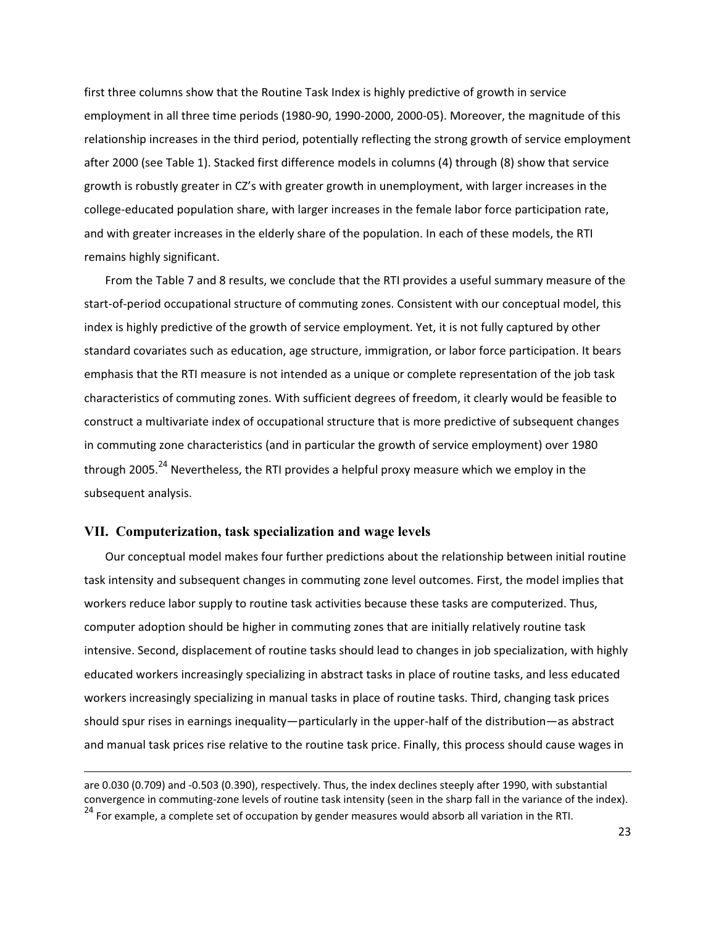first three columns show that the Routine Task Index is highly predictive of growth in service employment in all three time periods (1980-90, 1990-2000, 2000-05). Moreover, the magnitude of this relationship increases in the third period, potentially reflecting the strong growth of service employment after 2000 (see Table 1). Stacked first difference models in columns (4) through (8) show that service growth is robustly greater in CZ's with greater growth in unemployment, with larger increases in the college-educated population share, with larger increases in the female labor force participation rate, and with greater increases in the elderly share of the population. In each of these models, the RTI remains highly significant.

From the Table 7 and 8 results, we conclude that the RTI provides a useful summary measure of the start-of-period occupational structure of commuting zones. Consistent with our conceptual model, this index is highly predictive of the growth of service employment. Yet, it is not fully captured by other standard covariates such as education, age structure, immigration, or labor force participation. It bears emphasis that the RTI measure is not intended as a unique or complete representation of the job task characteristics of commuting zones. With sufficient degrees of freedom, it clearly would be feasible to construct a multivariate index of occupational structure that is more predictive of subsequent changes in commuting zone characteristics (and in particular the growth of service employment) over 1980 through 2005.<sup>24</sup> Nevertheless, the RTI provides a helpful proxy measure which we employ in the subsequent analysis.

### **VII. Computerization, task specialization and wage levels**

-----------------------------------------------------------------------------------------------------------------------------------------------------------------------------------------------

Our conceptual model makes four further predictions about the relationship between initial routine task intensity and subsequent changes in commuting zone level outcomes. First, the model implies that workers reduce labor supply to routine task activities because these tasks are computerized. Thus, computer adoption should be higher in commuting zones that are initially relatively routine task intensive. Second, displacement of routine tasks should lead to changes in job specialization, with highly educated workers increasingly specializing in abstract tasks in place of routine tasks, and less educated workers increasingly specializing in manual tasks in place of routine tasks. Third, changing task prices should spur rises in earnings inequality—particularly in the upper-half of the distribution—as abstract and manual task prices rise relative to the routine task price. Finally, this process should cause wages in

are 0.030 (0.709) and -0.503 (0.390), respectively. Thus, the index declines steeply after 1990, with substantial convergence in commuting-zone levels of routine task intensity (seen in the sharp fall in the variance of the index).  $^{24}$  For example, a complete set of occupation by gender measures would absorb all variation in the RTI.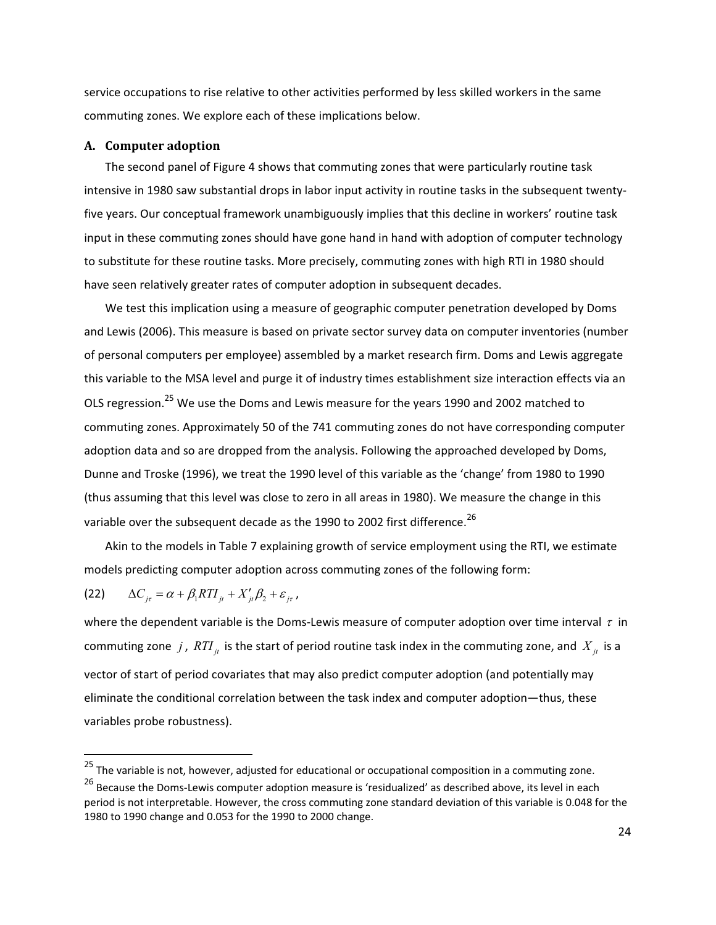service occupations to rise relative to other activities performed by less skilled workers in the same commuting zones. We explore each of these implications below.

#### A. Computer adoption

The second panel of Figure 4 shows that commuting zones that were particularly routine task intensive in 1980 saw substantial drops in labor input activity in routine tasks in the subsequent twentyfive years. Our conceptual framework unambiguously implies that this decline in workers' routine task input in these commuting zones should have gone hand in hand with adoption of computer technology to substitute for these routine tasks. More precisely, commuting zones with high RTI in 1980 should have seen relatively greater rates of computer adoption in subsequent decades.

We test this implication using a measure of geographic computer penetration developed by Doms and Lewis (2006). This measure is based on private sector survey data on computer inventories (number of personal computers per employee) assembled by a market research firm. Doms and Lewis aggregate this variable to the MSA level and purge it of industry times establishment size interaction effects via an OLS regression.<sup>25</sup> We use the Doms and Lewis measure for the years 1990 and 2002 matched to commuting zones. Approximately 50 of the 741 commuting zones do not have corresponding computer adoption data and so are dropped from the analysis. Following the approached developed by Doms, Dunne and Troske (1996), we treat the 1990 level of this variable as the 'change' from 1980 to 1990 (thus assuming that this level was close to zero in all areas in 1980). We measure the change in this variable over the subsequent decade as the 1990 to 2002 first difference.<sup>26</sup>

Akin to the models in Table 7 explaining growth of service employment using the RTI, we estimate models predicting computer adoption across commuting zones of the following form:

(22) 
$$
\Delta C_{j\tau} = \alpha + \beta_1 RT I_{j\tau} + X'_{j\tau} \beta_2 + \varepsilon_{j\tau},
$$

where the dependent variable is the Doms-Lewis measure of computer adoption over time interval  $\tau$  in commuting zone  $j$  ,  $RTI_{\mu}$  is the start of period routine task index in the commuting zone, and  $X_{\mu}$  is a vector of start of period covariates that may also predict computer adoption (and potentially may eliminate the conditional correlation between the task index and computer adoption-thus, these variables probe robustness).

<sup>-</sup>---------------------------------------------------------- 25-The-variable-is-not,-however,-adjusted-for-educational-or-occupational-composition-in-a-commuting-zone.-

<sup>&</sup>lt;sup>26</sup> Because the Doms-Lewis computer adoption measure is 'residualized' as described above, its level in each period is not interpretable. However, the cross commuting zone standard deviation of this variable is 0.048 for the 1980 to 1990 change and 0.053 for the 1990 to 2000 change.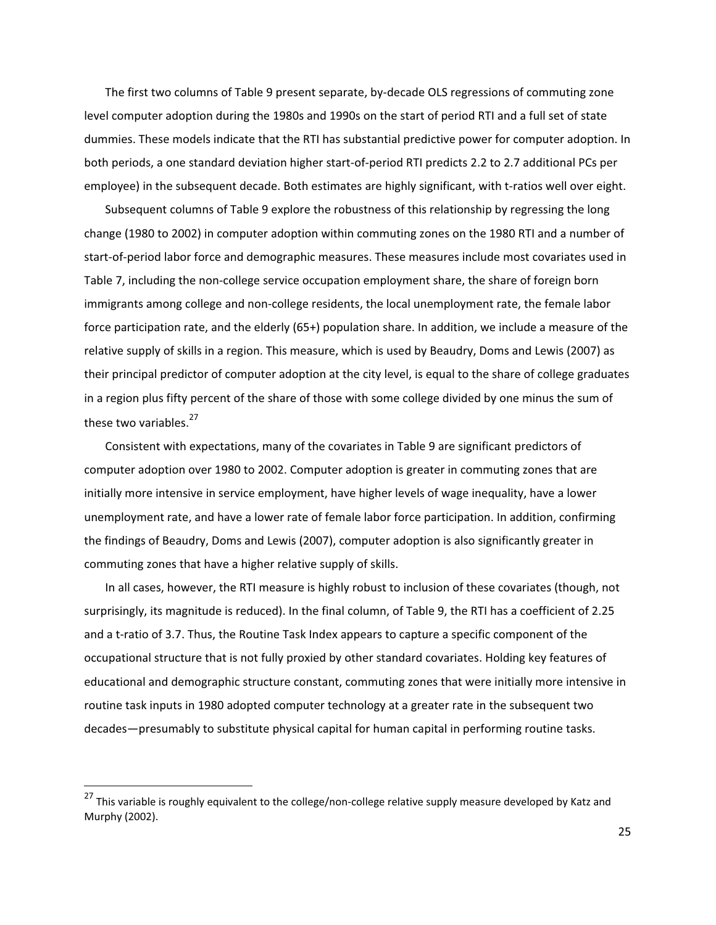The first two columns of Table 9 present separate, by-decade OLS regressions of commuting zone level computer adoption during the 1980s and 1990s on the start of period RTI and a full set of state dummies. These models indicate that the RTI has substantial predictive power for computer adoption. In both periods, a one standard deviation higher start-of-period RTI predicts 2.2 to 2.7 additional PCs per employee) in the subsequent decade. Both estimates are highly significant, with t-ratios well over eight.

Subsequent columns of Table 9 explore the robustness of this relationship by regressing the long change (1980 to 2002) in computer adoption within commuting zones on the 1980 RTI and a number of start-of-period labor force and demographic measures. These measures include most covariates used in Table 7, including the non-college service occupation employment share, the share of foreign born immigrants among college and non-college residents, the local unemployment rate, the female labor force participation rate, and the elderly (65+) population share. In addition, we include a measure of the relative supply of skills in a region. This measure, which is used by Beaudry, Doms and Lewis (2007) as their principal predictor of computer adoption at the city level, is equal to the share of college graduates in a region plus fifty percent of the share of those with some college divided by one minus the sum of these two variables.<sup>27</sup>

Consistent with expectations, many of the covariates in Table 9 are significant predictors of computer adoption over 1980 to 2002. Computer adoption is greater in commuting zones that are initially more intensive in service employment, have higher levels of wage inequality, have a lower unemployment rate, and have a lower rate of female labor force participation. In addition, confirming the findings of Beaudry, Doms and Lewis (2007), computer adoption is also significantly greater in commuting zones that have a higher relative supply of skills.

In all cases, however, the RTI measure is highly robust to inclusion of these covariates (though, not surprisingly, its magnitude is reduced). In the final column, of Table 9, the RTI has a coefficient of 2.25 and a t-ratio of 3.7. Thus, the Routine Task Index appears to capture a specific component of the occupational structure that is not fully proxied by other standard covariates. Holding key features of educational and demographic structure constant, commuting zones that were initially more intensive in routine task inputs in 1980 adopted computer technology at a greater rate in the subsequent two decades—presumably to substitute physical capital for human capital in performing routine tasks.

-----------------------------------------------------------

<sup>&</sup>lt;sup>27</sup> This variable is roughly equivalent to the college/non-college relative supply measure developed by Katz and Murphy (2002).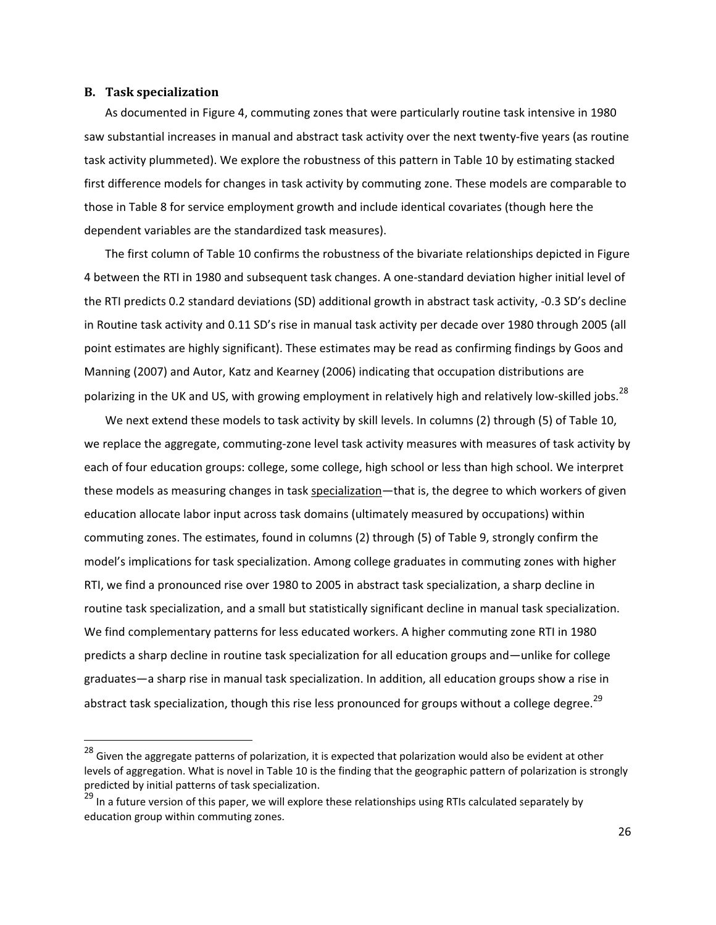#### **B. Task-specialization-**

-----------------------------------------------------------

As documented in Figure 4, commuting zones that were particularly routine task intensive in 1980 saw substantial increases in manual and abstract task activity over the next twenty-five years (as routine task activity plummeted). We explore the robustness of this pattern in Table 10 by estimating stacked first difference models for changes in task activity by commuting zone. These models are comparable to those in Table 8 for service employment growth and include identical covariates (though here the dependent variables are the standardized task measures).

The first column of Table 10 confirms the robustness of the bivariate relationships depicted in Figure 4 between the RTI in 1980 and subsequent task changes. A one-standard deviation higher initial level of the RTI predicts 0.2 standard deviations (SD) additional growth in abstract task activity, -0.3 SD's decline in Routine task activity and 0.11 SD's rise in manual task activity per decade over 1980 through 2005 (all point estimates are highly significant). These estimates may be read as confirming findings by Goos and Manning (2007) and Autor, Katz and Kearney (2006) indicating that occupation distributions are polarizing in the UK and US, with growing employment in relatively high and relatively low-skilled jobs.<sup>28</sup>

We next extend these models to task activity by skill levels. In columns (2) through (5) of Table 10, we replace the aggregate, commuting-zone level task activity measures with measures of task activity by each of four education groups: college, some college, high school or less than high school. We interpret these models as measuring changes in task specialization—that is, the degree to which workers of given education allocate labor input across task domains (ultimately measured by occupations) within commuting zones. The estimates, found in columns (2) through (5) of Table 9, strongly confirm the model's implications for task specialization. Among college graduates in commuting zones with higher RTI, we find a pronounced rise over 1980 to 2005 in abstract task specialization, a sharp decline in routine task specialization, and a small but statistically significant decline in manual task specialization. We find complementary patterns for less educated workers. A higher commuting zone RTI in 1980 predicts a sharp decline in routine task specialization for all education groups and—unlike for college graduates—a sharp rise in manual task specialization. In addition, all education groups show a rise in abstract task specialization, though this rise less pronounced for groups without a college degree.<sup>29</sup>

 $^{28}$  Given the aggregate patterns of polarization, it is expected that polarization would also be evident at other levels of aggregation. What is novel in Table 10 is the finding that the geographic pattern of polarization is strongly predicted by initial patterns of task specialization.

<sup>&</sup>lt;sup>29</sup> In a future version of this paper, we will explore these relationships using RTIs calculated separately by education group within commuting zones.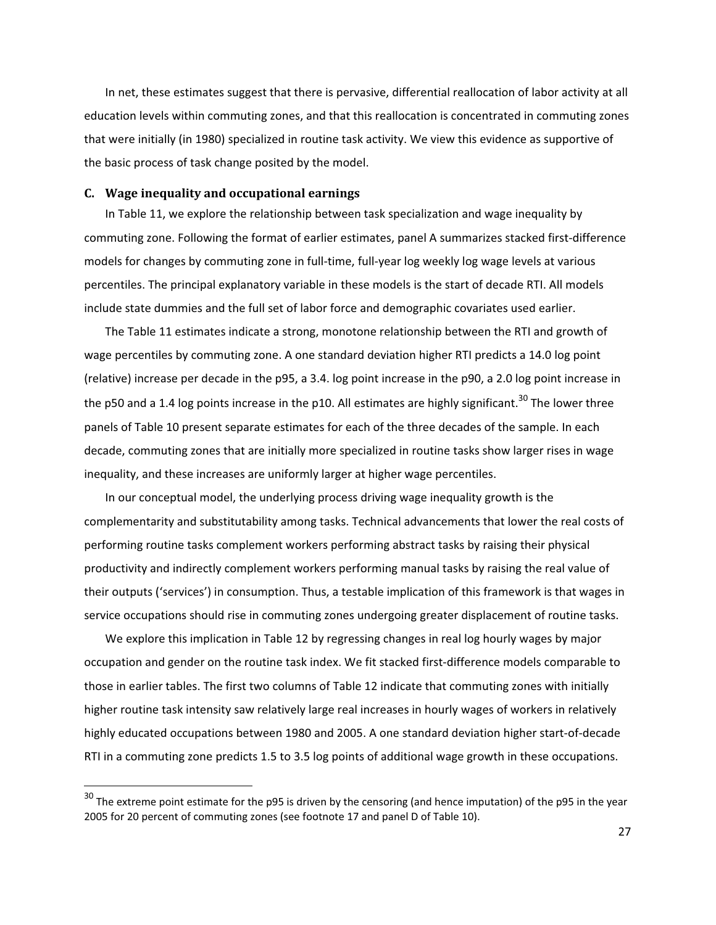In net, these estimates suggest that there is pervasive, differential reallocation of labor activity at all education levels within commuting zones, and that this reallocation is concentrated in commuting zones that were initially (in 1980) specialized in routine task activity. We view this evidence as supportive of the basic process of task change posited by the model.

#### **C.** Wage inequality and occupational earnings

-----------------------------------------------------------

In Table 11, we explore the relationship between task specialization and wage inequality by commuting zone. Following the format of earlier estimates, panel A summarizes stacked first-difference models for changes by commuting zone in full-time, full-year log weekly log wage levels at various percentiles. The principal explanatory variable in these models is the start of decade RTI. All models include state dummies and the full set of labor force and demographic covariates used earlier.

The Table 11 estimates indicate a strong, monotone relationship between the RTI and growth of wage percentiles by commuting zone. A one standard deviation higher RTI predicts a 14.0 log point (relative) increase per decade in the p95, a 3.4. log point increase in the p90, a 2.0 log point increase in the p50 and a 1.4 log points increase in the p10. All estimates are highly significant.<sup>30</sup> The lower three panels of Table 10 present separate estimates for each of the three decades of the sample. In each decade, commuting zones that are initially more specialized in routine tasks show larger rises in wage inequality, and these increases are uniformly larger at higher wage percentiles.

In our conceptual model, the underlying process driving wage inequality growth is the complementarity and substitutability among tasks. Technical advancements that lower the real costs of performing routine tasks complement workers performing abstract tasks by raising their physical productivity and indirectly complement workers performing manual tasks by raising the real value of their outputs ('services') in consumption. Thus, a testable implication of this framework is that wages in service occupations should rise in commuting zones undergoing greater displacement of routine tasks.

We explore this implication in Table 12 by regressing changes in real log hourly wages by major occupation and gender on the routine task index. We fit stacked first-difference models comparable to those in earlier tables. The first two columns of Table 12 indicate that commuting zones with initially higher routine task intensity saw relatively large real increases in hourly wages of workers in relatively highly educated occupations between 1980 and 2005. A one standard deviation higher start-of-decade RTI in a commuting zone predicts 1.5 to 3.5 log points of additional wage growth in these occupations.

<sup>&</sup>lt;sup>30</sup> The extreme point estimate for the p95 is driven by the censoring (and hence imputation) of the p95 in the year 2005 for 20 percent of commuting zones (see footnote 17 and panel D of Table 10).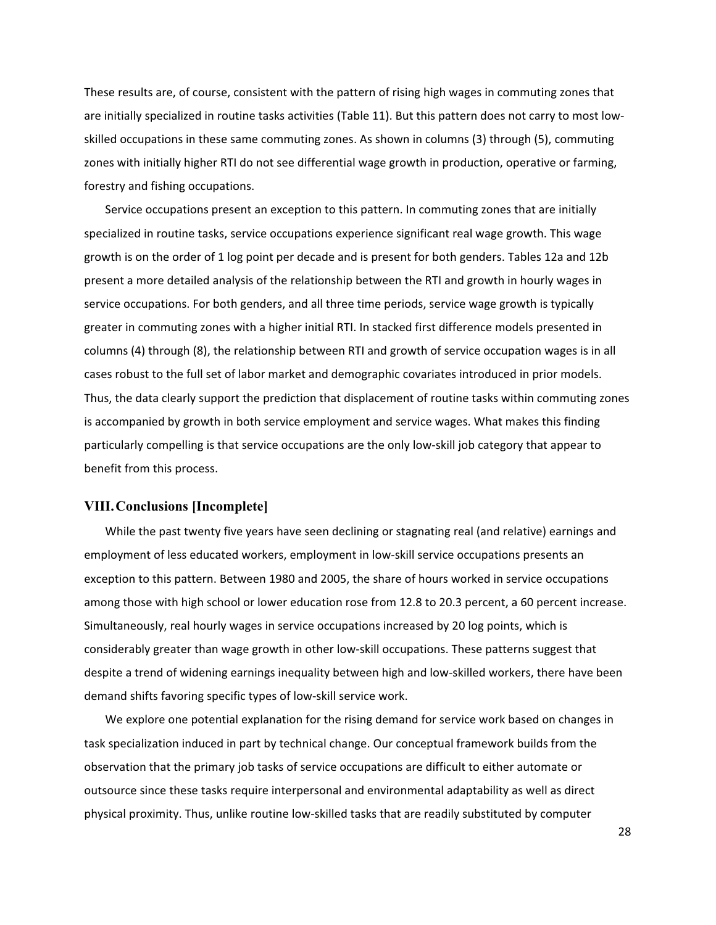These results are, of course, consistent with the pattern of rising high wages in commuting zones that are initially specialized in routine tasks activities (Table 11). But this pattern does not carry to most lowskilled occupations in these same commuting zones. As shown in columns (3) through (5), commuting zones with initially higher RTI do not see differential wage growth in production, operative or farming, forestry and fishing occupations.

Service occupations present an exception to this pattern. In commuting zones that are initially specialized in routine tasks, service occupations experience significant real wage growth. This wage growth is on the order of 1 log point per decade and is present for both genders. Tables 12a and 12b present a more detailed analysis of the relationship between the RTI and growth in hourly wages in service occupations. For both genders, and all three time periods, service wage growth is typically greater in commuting zones with a higher initial RTI. In stacked first difference models presented in columns (4) through (8), the relationship between RTI and growth of service occupation wages is in all cases robust to the full set of labor market and demographic covariates introduced in prior models. Thus, the data clearly support the prediction that displacement of routine tasks within commuting zones is accompanied by growth in both service employment and service wages. What makes this finding particularly compelling is that service occupations are the only low-skill job category that appear to benefit from this process.

## **VIII.Conclusions [Incomplete]**

While the past twenty five years have seen declining or stagnating real (and relative) earnings and employment of less educated workers, employment in low-skill service occupations presents an exception to this pattern. Between 1980 and 2005, the share of hours worked in service occupations among those with high school or lower education rose from 12.8 to 20.3 percent, a 60 percent increase. Simultaneously, real hourly wages in service occupations increased by 20 log points, which is considerably greater than wage growth in other low-skill occupations. These patterns suggest that despite a trend of widening earnings inequality between high and low-skilled workers, there have been demand shifts favoring specific types of low-skill service work.

We explore one potential explanation for the rising demand for service work based on changes in task specialization induced in part by technical change. Our conceptual framework builds from the observation that the primary job tasks of service occupations are difficult to either automate or outsource since these tasks require interpersonal and environmental adaptability as well as direct physical proximity. Thus, unlike routine low-skilled tasks that are readily substituted by computer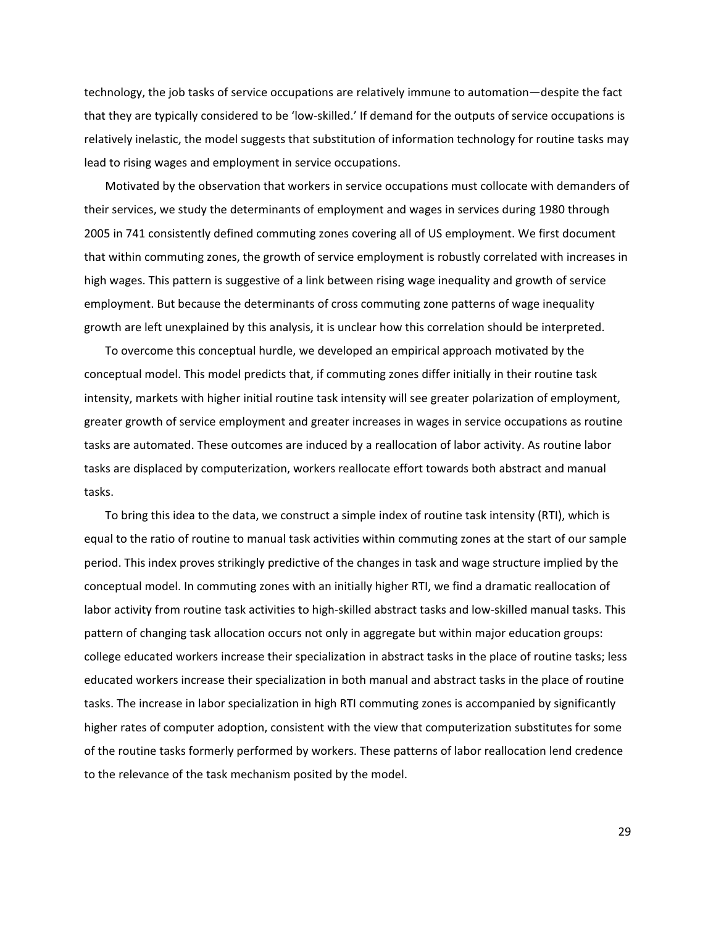technology, the job tasks of service occupations are relatively immune to automation—despite the fact that they are typically considered to be 'low-skilled.' If demand for the outputs of service occupations is relatively inelastic, the model suggests that substitution of information technology for routine tasks may lead to rising wages and employment in service occupations.

Motivated by the observation that workers in service occupations must collocate with demanders of their services, we study the determinants of employment and wages in services during 1980 through 2005 in 741 consistently defined commuting zones covering all of US employment. We first document that within commuting zones, the growth of service employment is robustly correlated with increases in high wages. This pattern is suggestive of a link between rising wage inequality and growth of service employment. But because the determinants of cross commuting zone patterns of wage inequality growth are left unexplained by this analysis, it is unclear how this correlation should be interpreted.

To overcome this conceptual hurdle, we developed an empirical approach motivated by the conceptual model. This model predicts that, if commuting zones differ initially in their routine task intensity, markets with higher initial routine task intensity will see greater polarization of employment, greater growth of service employment and greater increases in wages in service occupations as routine tasks are automated. These outcomes are induced by a reallocation of labor activity. As routine labor tasks are displaced by computerization, workers reallocate effort towards both abstract and manual tasks.

To bring this idea to the data, we construct a simple index of routine task intensity (RTI), which is equal to the ratio of routine to manual task activities within commuting zones at the start of our sample period. This index proves strikingly predictive of the changes in task and wage structure implied by the conceptual model. In commuting zones with an initially higher RTI, we find a dramatic reallocation of labor activity from routine task activities to high-skilled abstract tasks and low-skilled manual tasks. This pattern of changing task allocation occurs not only in aggregate but within major education groups: college educated workers increase their specialization in abstract tasks in the place of routine tasks; less educated workers increase their specialization in both manual and abstract tasks in the place of routine tasks. The increase in labor specialization in high RTI commuting zones is accompanied by significantly higher rates of computer adoption, consistent with the view that computerization substitutes for some of the routine tasks formerly performed by workers. These patterns of labor reallocation lend credence to the relevance of the task mechanism posited by the model.

29-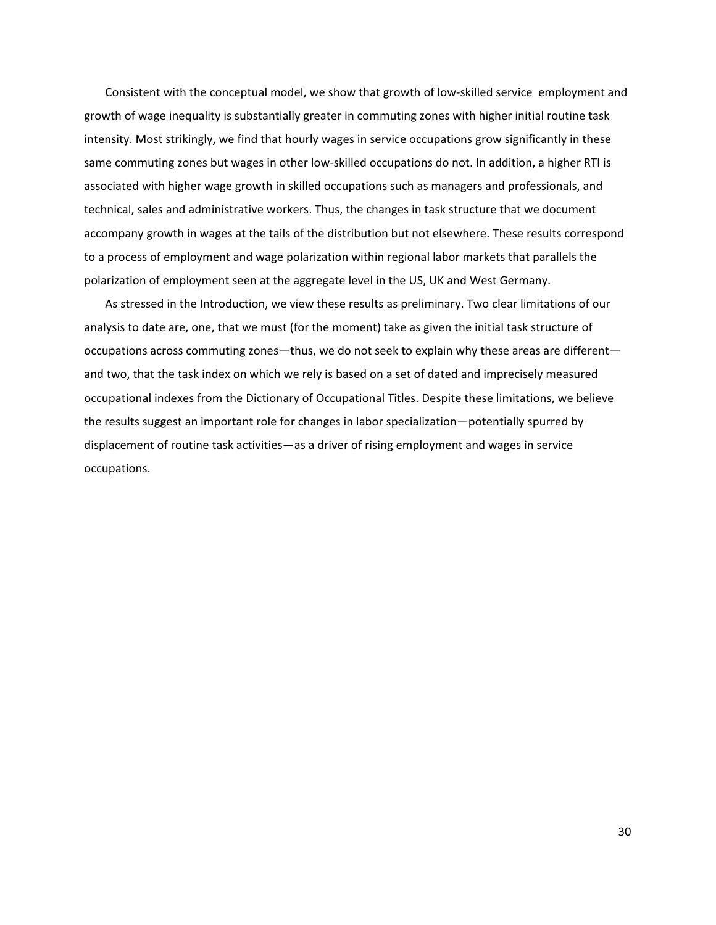Consistent with the conceptual model, we show that growth of low-skilled service employment and growth of wage inequality is substantially greater in commuting zones with higher initial routine task intensity. Most strikingly, we find that hourly wages in service occupations grow significantly in these same commuting zones but wages in other low-skilled occupations do not. In addition, a higher RTI is associated with higher wage growth in skilled occupations such as managers and professionals, and technical, sales and administrative workers. Thus, the changes in task structure that we document accompany growth in wages at the tails of the distribution but not elsewhere. These results correspond to a process of employment and wage polarization within regional labor markets that parallels the polarization of employment seen at the aggregate level in the US, UK and West Germany.

As stressed in the Introduction, we view these results as preliminary. Two clear limitations of our analysis to date are, one, that we must (for the moment) take as given the initial task structure of occupations across commuting zones—thus, we do not seek to explain why these areas are different and two, that the task index on which we rely is based on a set of dated and imprecisely measured occupational indexes from the Dictionary of Occupational Titles. Despite these limitations, we believe the results suggest an important role for changes in labor specialization—potentially spurred by displacement of routine task activities—as a driver of rising employment and wages in service occupations.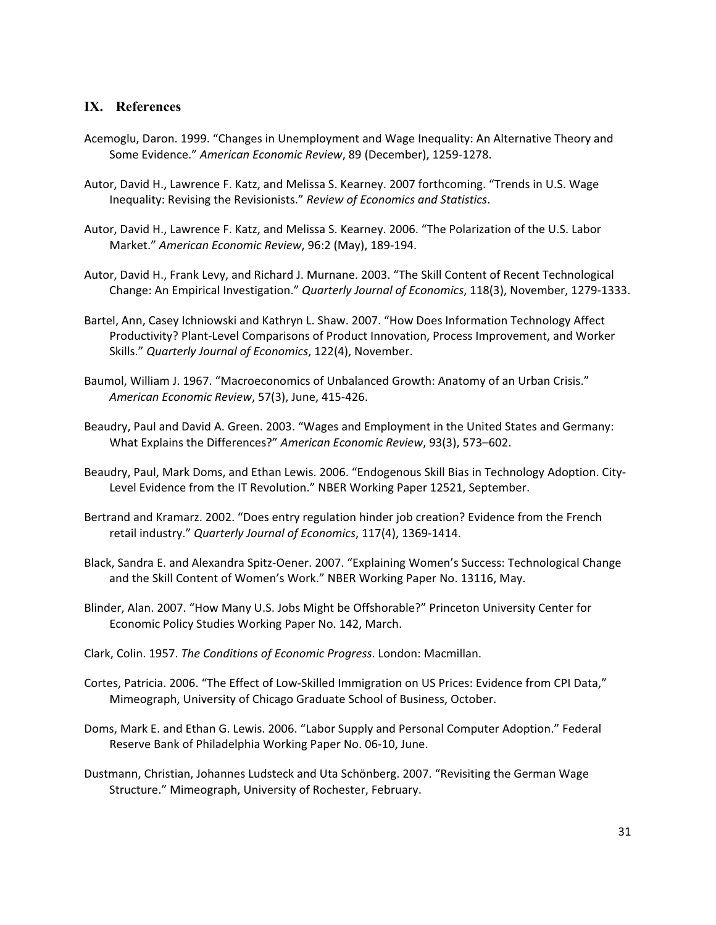# **IX. References**

- Acemoglu, Daron. 1999. "Changes in Unemployment and Wage Inequality: An Alternative Theory and Some Evidence." American Economic Review, 89 (December), 1259-1278.
- Autor, David H., Lawrence F. Katz, and Melissa S. Kearney. 2007 forthcoming. "Trends in U.S. Wage Inequality: Revising the Revisionists." Review of Economics and Statistics.
- Autor, David H., Lawrence F. Katz, and Melissa S. Kearney. 2006. "The Polarization of the U.S. Labor Market." American Economic Review, 96:2 (May), 189-194.
- Autor, David H., Frank Levy, and Richard J. Murnane. 2003. "The Skill Content of Recent Technological Change: An Empirical Investigation." Quarterly Journal of Economics, 118(3), November, 1279-1333.
- Bartel, Ann, Casey Ichniowski and Kathryn L. Shaw. 2007. "How Does Information Technology Affect Productivity? Plant-Level Comparisons of Product Innovation, Process Improvement, and Worker Skills." Quarterly Journal of Economics, 122(4), November.
- Baumol, William J. 1967. "Macroeconomics of Unbalanced Growth: Anatomy of an Urban Crisis." American Economic Review, 57(3), June, 415-426.
- Beaudry, Paul and David A. Green. 2003. "Wages and Employment in the United States and Germany: What Explains the Differences?" American Economic Review, 93(3), 573-602.
- Beaudry, Paul, Mark Doms, and Ethan Lewis. 2006. "Endogenous Skill Bias in Technology Adoption. City-Level Evidence from the IT Revolution." NBER Working Paper 12521, September.
- Bertrand and Kramarz. 2002. "Does entry regulation hinder job creation? Evidence from the French retail industry." Quarterly Journal of Economics, 117(4), 1369-1414.
- Black, Sandra E. and Alexandra Spitz-Oener. 2007. "Explaining Women's Success: Technological Change and the Skill Content of Women's Work." NBER Working Paper No. 13116, May.
- Blinder, Alan. 2007. "How Many U.S. Jobs Might be Offshorable?" Princeton University Center for Economic Policy Studies Working Paper No. 142, March.
- Clark, Colin. 1957. The Conditions of Economic Progress. London: Macmillan.
- Cortes, Patricia. 2006. "The Effect of Low-Skilled Immigration on US Prices: Evidence from CPI Data," Mimeograph, University of Chicago Graduate School of Business, October.
- Doms, Mark E. and Ethan G. Lewis. 2006. "Labor Supply and Personal Computer Adoption." Federal Reserve Bank of Philadelphia Working Paper No. 06-10, June.
- Dustmann, Christian, Johannes Ludsteck and Uta Schönberg. 2007. "Revisiting the German Wage Structure." Mimeograph, University of Rochester, February.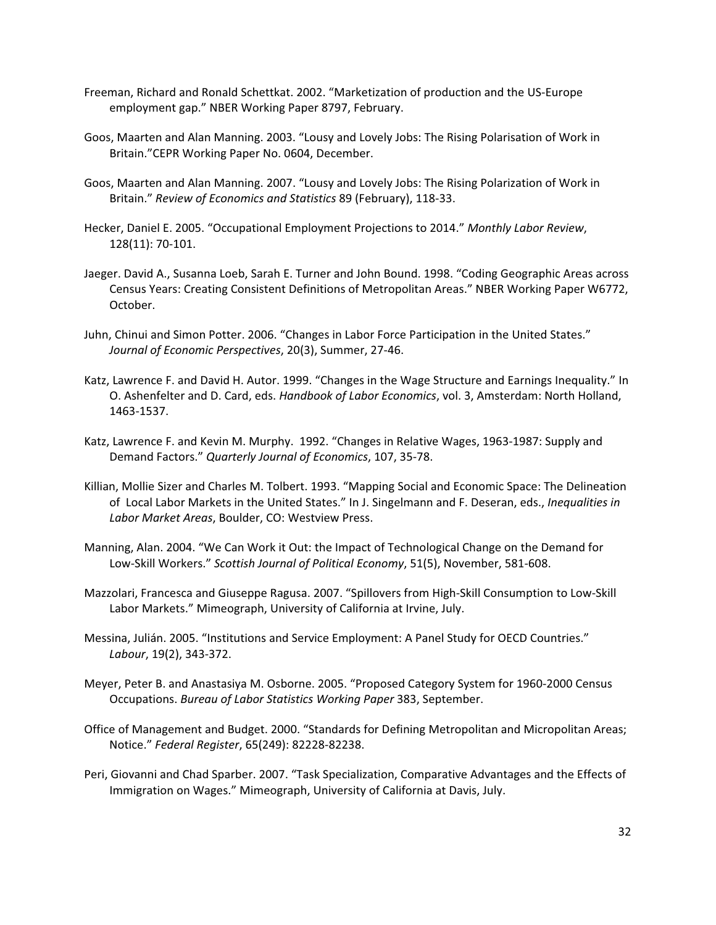- Freeman, Richard and Ronald Schettkat. 2002. "Marketization of production and the US-Europe employment gap." NBER Working Paper 8797, February.
- Goos, Maarten and Alan Manning. 2003. "Lousy and Lovely Jobs: The Rising Polarisation of Work in Britain."CEPR Working Paper No. 0604, December.
- Goos, Maarten and Alan Manning. 2007. "Lousy and Lovely Jobs: The Rising Polarization of Work in Britain."-*Review-of-Economics-and-Statistics-*89-(February),-11833.-
- Hecker, Daniel E. 2005. "Occupational Employment Projections to 2014." Monthly Labor Review, 128(11): 70-101.
- Jaeger. David A., Susanna Loeb, Sarah E. Turner and John Bound. 1998. "Coding Geographic Areas across Census Years: Creating Consistent Definitions of Metropolitan Areas." NBER Working Paper W6772, October.
- Juhn, Chinui and Simon Potter. 2006. "Changes in Labor Force Participation in the United States." Journal of Economic Perspectives, 20(3), Summer, 27-46.
- Katz, Lawrence F. and David H. Autor. 1999. "Changes in the Wage Structure and Earnings Inequality." In O. Ashenfelter and D. Card, eds. Handbook of Labor Economics, vol. 3, Amsterdam: North Holland, 1463-1537.
- Katz, Lawrence F. and Kevin M. Murphy. 1992. "Changes in Relative Wages, 1963-1987: Supply and Demand Factors." Quarterly Journal of Economics, 107, 35-78.
- Killian, Mollie Sizer and Charles M. Tolbert. 1993. "Mapping Social and Economic Space: The Delineation of Local Labor Markets in the United States." In J. Singelmann and F. Deseran, eds., Inequalities in Labor Market Areas, Boulder, CO: Westview Press.
- Manning, Alan. 2004. "We Can Work it Out: the Impact of Technological Change on the Demand for Low-Skill Workers." Scottish Journal of Political Economy, 51(5), November, 581-608.
- Mazzolari, Francesca and Giuseppe Ragusa. 2007. "Spillovers from High-Skill Consumption to Low-Skill Labor Markets." Mimeograph, University of California at Irvine, July.
- Messina, Julián. 2005. "Institutions and Service Employment: A Panel Study for OECD Countries." Labour, 19(2), 343-372.
- Meyer, Peter B. and Anastasiya M. Osborne. 2005. "Proposed Category System for 1960-2000 Census Occupations. Bureau of Labor Statistics Working Paper 383, September.
- Office of Management and Budget. 2000. "Standards for Defining Metropolitan and Micropolitan Areas; Notice." Federal Register, 65(249): 82228-82238.
- Peri, Giovanni and Chad Sparber. 2007. "Task Specialization, Comparative Advantages and the Effects of Immigration on Wages." Mimeograph, University of California at Davis, July.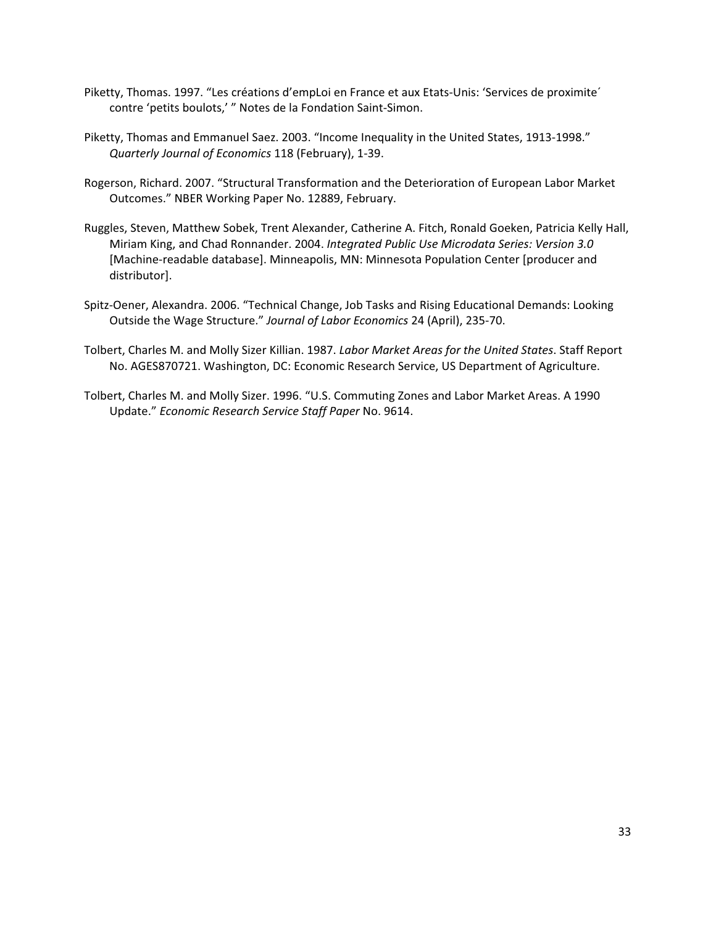- Piketty, Thomas. 1997. "Les créations d'empLoi en France et aux Etats-Unis: 'Services de proximite' contre 'petits boulots,' " Notes de la Fondation Saint-Simon.
- Piketty, Thomas and Emmanuel Saez. 2003. "Income Inequality in the United States, 1913-1998." *Quarterly-Journal-of-Economics*-118-(February),-139.-
- Rogerson, Richard. 2007. "Structural Transformation and the Deterioration of European Labor Market Outcomes." NBER Working Paper No. 12889, February.
- Ruggles, Steven, Matthew Sobek, Trent Alexander, Catherine A. Fitch, Ronald Goeken, Patricia Kelly Hall, Miriam-King,-and-Chad-Ronnander.-2004.-*Integrated-Public-Use-Microdata-Series:-Version-3.0* [Machine-readable database]. Minneapolis, MN: Minnesota Population Center [producer and distributor].
- Spitz-Oener, Alexandra. 2006. "Technical Change, Job Tasks and Rising Educational Demands: Looking Outside the Wage Structure." Journal of Labor Economics 24 (April), 235-70.
- Tolbert, Charles M. and Molly Sizer Killian. 1987. Labor Market Areas for the United States. Staff Report No. AGES870721. Washington, DC: Economic Research Service, US Department of Agriculture.
- Tolbert, Charles M. and Molly Sizer. 1996. "U.S. Commuting Zones and Labor Market Areas. A 1990 Update." Economic Research Service Staff Paper No. 9614.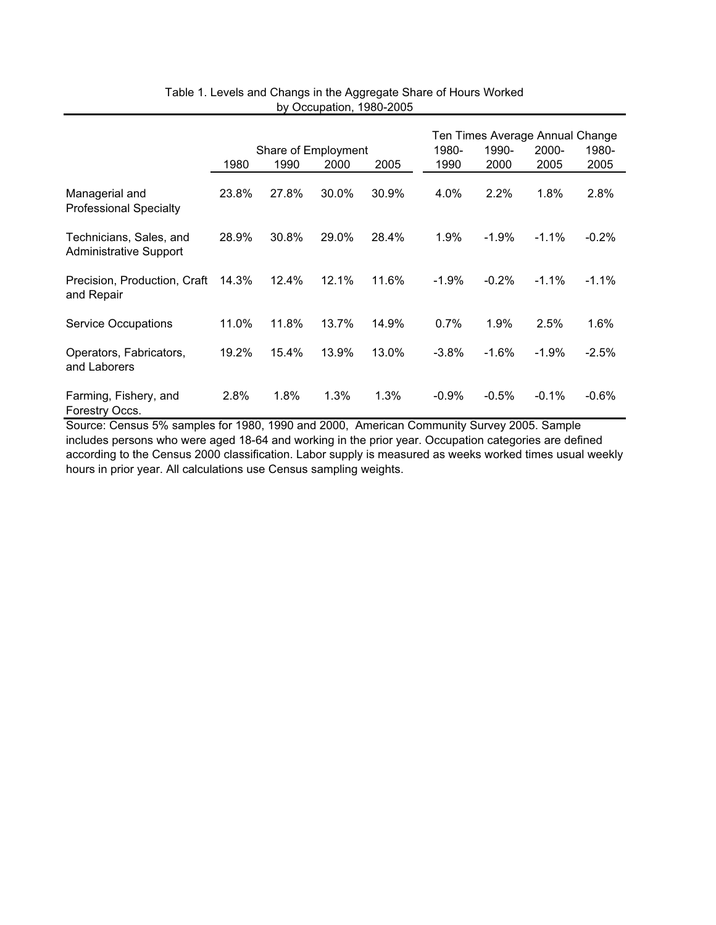|                                                          |       |       |                     |       |          | Ten Times Average Annual Change |          |         |  |
|----------------------------------------------------------|-------|-------|---------------------|-------|----------|---------------------------------|----------|---------|--|
|                                                          |       |       | Share of Employment |       | 1980-    | 1990-                           | 2000-    | 1980-   |  |
|                                                          | 1980  | 1990  | 2000                | 2005  | 1990     | 2000                            | 2005     | 2005    |  |
| Managerial and<br><b>Professional Specialty</b>          | 23.8% | 27.8% | 30.0%               | 30.9% | 4.0%     | 2.2%                            | 1.8%     | 2.8%    |  |
| Technicians, Sales, and<br><b>Administrative Support</b> | 28.9% | 30.8% | 29.0%               | 28.4% | 1.9%     | $-1.9%$                         | $-1.1\%$ | $-0.2%$ |  |
| Precision, Production, Craft<br>and Repair               | 14.3% | 12.4% | 12.1%               | 11.6% | $-1.9\%$ | $-0.2%$                         | $-1.1\%$ | $-1.1%$ |  |
| <b>Service Occupations</b>                               | 11.0% | 11.8% | 13.7%               | 14.9% | 0.7%     | 1.9%                            | 2.5%     | 1.6%    |  |
| Operators, Fabricators,<br>and Laborers                  | 19.2% | 15.4% | 13.9%               | 13.0% | $-3.8%$  | $-1.6%$                         | $-1.9%$  | $-2.5%$ |  |
| Farming, Fishery, and<br>Forestry Occs.                  | 2.8%  | 1.8%  | 1.3%                | 1.3%  | $-0.9\%$ | $-0.5%$                         | $-0.1\%$ | $-0.6%$ |  |

## Table 1. Levels and Changs in the Aggregate Share of Hours Worked by Occupation, 1980-2005

Source: Census 5% samples for 1980, 1990 and 2000, American Community Survey 2005. Sample includes persons who were aged 18-64 and working in the prior year. Occupation categories are defined according to the Census 2000 classification. Labor supply is measured as weeks worked times usual weekly hours in prior year. All calculations use Census sampling weights.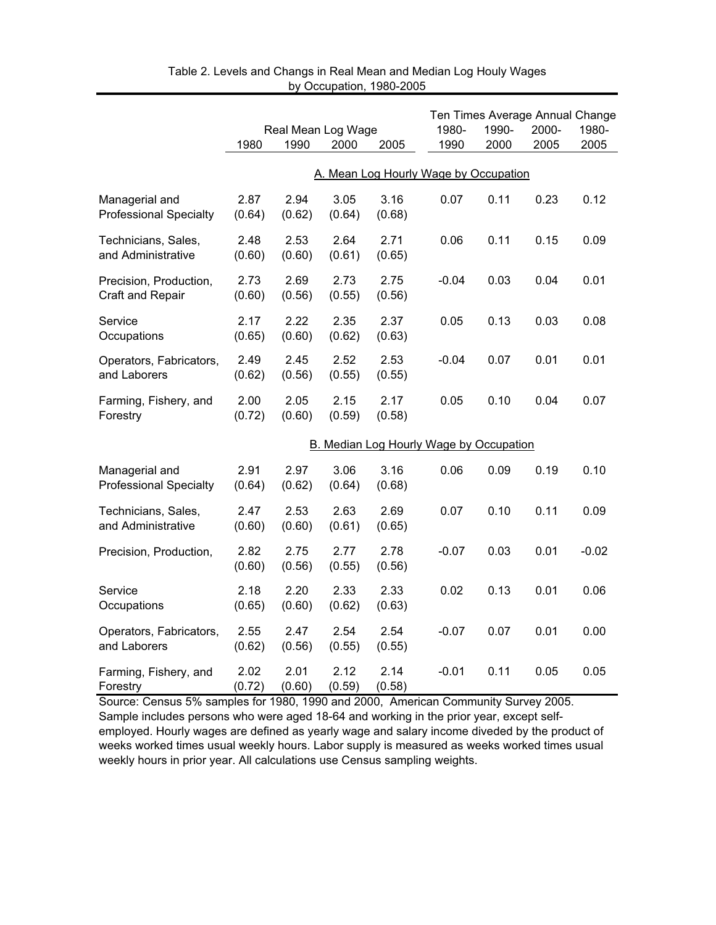|                                                 | 1980           | Real Mean Log Wage<br>1990 | 2000           | 2005           | 1980-<br>1990                           | 1990-<br>2000 | Ten Times Average Annual Change<br>2000-<br>2005 | 1980-<br>2005 |
|-------------------------------------------------|----------------|----------------------------|----------------|----------------|-----------------------------------------|---------------|--------------------------------------------------|---------------|
|                                                 |                |                            |                |                |                                         |               |                                                  |               |
|                                                 |                |                            |                |                | A. Mean Log Hourly Wage by Occupation   |               |                                                  |               |
| Managerial and<br><b>Professional Specialty</b> | 2.87<br>(0.64) | 2.94<br>(0.62)             | 3.05<br>(0.64) | 3.16<br>(0.68) | 0.07                                    | 0.11          | 0.23                                             | 0.12          |
| Technicians, Sales,<br>and Administrative       | 2.48<br>(0.60) | 2.53<br>(0.60)             | 2.64<br>(0.61) | 2.71<br>(0.65) | 0.06                                    | 0.11          | 0.15                                             | 0.09          |
| Precision, Production,<br>Craft and Repair      | 2.73<br>(0.60) | 2.69<br>(0.56)             | 2.73<br>(0.55) | 2.75<br>(0.56) | $-0.04$                                 | 0.03          | 0.04                                             | 0.01          |
| Service<br>Occupations                          | 2.17<br>(0.65) | 2.22<br>(0.60)             | 2.35<br>(0.62) | 2.37<br>(0.63) | 0.05                                    | 0.13          | 0.03                                             | 0.08          |
| Operators, Fabricators,<br>and Laborers         | 2.49<br>(0.62) | 2.45<br>(0.56)             | 2.52<br>(0.55) | 2.53<br>(0.55) | $-0.04$                                 | 0.07          | 0.01                                             | 0.01          |
| Farming, Fishery, and<br>Forestry               | 2.00<br>(0.72) | 2.05<br>(0.60)             | 2.15<br>(0.59) | 2.17<br>(0.58) | 0.05                                    | 0.10          | 0.04                                             | 0.07          |
|                                                 |                |                            |                |                | B. Median Log Hourly Wage by Occupation |               |                                                  |               |
| Managerial and<br><b>Professional Specialty</b> | 2.91<br>(0.64) | 2.97<br>(0.62)             | 3.06<br>(0.64) | 3.16<br>(0.68) | 0.06                                    | 0.09          | 0.19                                             | 0.10          |
| Technicians, Sales,<br>and Administrative       | 2.47<br>(0.60) | 2.53<br>(0.60)             | 2.63<br>(0.61) | 2.69<br>(0.65) | 0.07                                    | 0.10          | 0.11                                             | 0.09          |
| Precision, Production,                          | 2.82<br>(0.60) | 2.75<br>(0.56)             | 2.77<br>(0.55) | 2.78<br>(0.56) | $-0.07$                                 | 0.03          | 0.01                                             | $-0.02$       |
| Service<br>Occupations                          | 2.18<br>(0.65) | 2.20<br>(0.60)             | 2.33<br>(0.62) | 2.33<br>(0.63) | 0.02                                    | 0.13          | 0.01                                             | 0.06          |
| Operators, Fabricators,<br>and Laborers         | 2.55<br>(0.62) | 2.47<br>(0.56)             | 2.54<br>(0.55) | 2.54<br>(0.55) | $-0.07$                                 | 0.07          | 0.01                                             | 0.00          |
| Farming, Fishery, and<br>Forestry               | 2.02<br>(0.72) | 2.01<br>(0.60)             | 2.12<br>(0.59) | 2.14<br>(0.58) | $-0.01$                                 | 0.11          | 0.05                                             | 0.05          |

Table 2. Levels and Changs in Real Mean and Median Log Houly Wages by Occupation, 1980-2005

Source: Census 5% samples for 1980, 1990 and 2000, American Community Survey 2005. Sample includes persons who were aged 18-64 and working in the prior year, except selfemployed. Hourly wages are defined as yearly wage and salary income diveded by the product of weeks worked times usual weekly hours. Labor supply is measured as weeks worked times usual weekly hours in prior year. All calculations use Census sampling weights.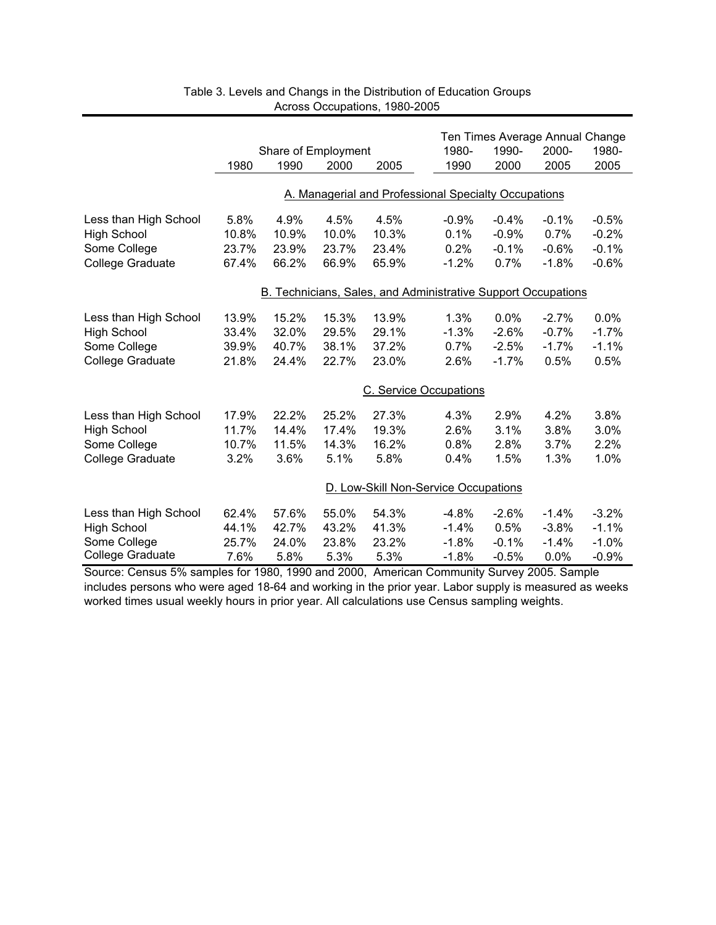|                       |       |                     |       |       |                                                               |         | Ten Times Average Annual Change |         |
|-----------------------|-------|---------------------|-------|-------|---------------------------------------------------------------|---------|---------------------------------|---------|
|                       |       | Share of Employment |       |       | 1980-                                                         | 1990-   | 2000-                           | 1980-   |
|                       | 1980  | 1990                | 2000  | 2005  | 1990                                                          | 2000    | 2005                            | 2005    |
|                       |       |                     |       |       |                                                               |         |                                 |         |
|                       |       |                     |       |       | A. Managerial and Professional Specialty Occupations          |         |                                 |         |
| Less than High School | 5.8%  | 4.9%                | 4.5%  | 4.5%  | $-0.9%$                                                       | $-0.4%$ | $-0.1%$                         | $-0.5%$ |
| <b>High School</b>    | 10.8% | 10.9%               | 10.0% | 10.3% | 0.1%                                                          | $-0.9%$ | 0.7%                            | $-0.2%$ |
| Some College          | 23.7% | 23.9%               | 23.7% | 23.4% | 0.2%                                                          | $-0.1%$ | $-0.6%$                         | $-0.1%$ |
| College Graduate      | 67.4% | 66.2%               | 66.9% | 65.9% | $-1.2%$                                                       | 0.7%    | $-1.8%$                         | $-0.6%$ |
|                       |       |                     |       |       | B. Technicians, Sales, and Administrative Support Occupations |         |                                 |         |
| Less than High School | 13.9% | 15.2%               | 15.3% | 13.9% | 1.3%                                                          | 0.0%    | $-2.7%$                         | 0.0%    |
| <b>High School</b>    | 33.4% | 32.0%               | 29.5% | 29.1% | $-1.3%$                                                       | $-2.6%$ | $-0.7%$                         | $-1.7%$ |
| Some College          | 39.9% | 40.7%               | 38.1% | 37.2% | 0.7%                                                          | $-2.5%$ | $-1.7%$                         | $-1.1%$ |
| College Graduate      | 21.8% | 24.4%               | 22.7% | 23.0% | 2.6%                                                          | $-1.7%$ | 0.5%                            | 0.5%    |
|                       |       |                     |       |       | C. Service Occupations                                        |         |                                 |         |
| Less than High School | 17.9% | 22.2%               | 25.2% | 27.3% | 4.3%                                                          | 2.9%    | 4.2%                            | 3.8%    |
| <b>High School</b>    | 11.7% | 14.4%               | 17.4% | 19.3% | 2.6%                                                          | 3.1%    | 3.8%                            | 3.0%    |
| Some College          | 10.7% | 11.5%               | 14.3% | 16.2% | 0.8%                                                          | 2.8%    | 3.7%                            | 2.2%    |
| College Graduate      | 3.2%  | 3.6%                | 5.1%  | 5.8%  | 0.4%                                                          | 1.5%    | 1.3%                            | 1.0%    |
|                       |       |                     |       |       | D. Low-Skill Non-Service Occupations                          |         |                                 |         |
| Less than High School | 62.4% | 57.6%               | 55.0% | 54.3% | $-4.8%$                                                       | $-2.6%$ | $-1.4%$                         | $-3.2%$ |
| <b>High School</b>    | 44.1% | 42.7%               | 43.2% | 41.3% | $-1.4%$                                                       | 0.5%    | $-3.8%$                         | $-1.1%$ |
| Some College          | 25.7% | 24.0%               | 23.8% | 23.2% | $-1.8%$                                                       | $-0.1%$ | $-1.4%$                         | $-1.0%$ |
| College Graduate      | 7.6%  | 5.8%                | 5.3%  | 5.3%  | $-1.8%$                                                       | $-0.5%$ | $0.0\%$                         | $-0.9%$ |

| Table 3. Levels and Changs in the Distribution of Education Groups |
|--------------------------------------------------------------------|
| Across Occupations, 1980-2005                                      |

Source: Census 5% samples for 1980, 1990 and 2000, American Community Survey 2005. Sample includes persons who were aged 18-64 and working in the prior year. Labor supply is measured as weeks worked times usual weekly hours in prior year. All calculations use Census sampling weights.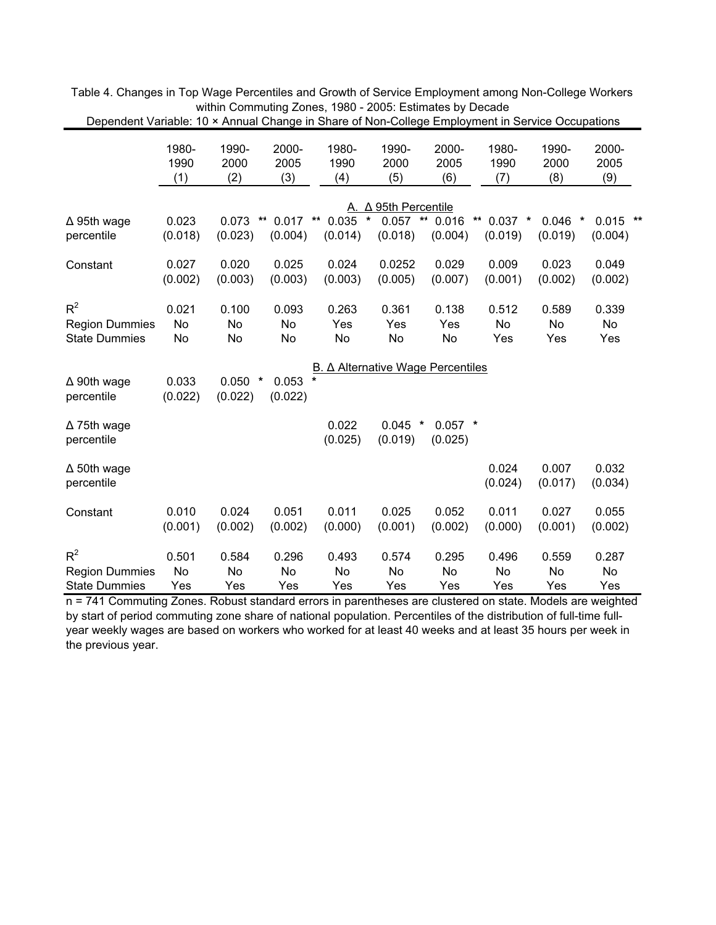|                                                        |                      |                            |                                  | rumaan onango ini onaro or rion oollog       |                                                 |                          |                               |                            |                       |
|--------------------------------------------------------|----------------------|----------------------------|----------------------------------|----------------------------------------------|-------------------------------------------------|--------------------------|-------------------------------|----------------------------|-----------------------|
|                                                        | 1980-<br>1990<br>(1) | 1990-<br>2000<br>(2)       | 2000-<br>2005<br>(3)             | 1980-<br>1990<br>(4)                         | 1990-<br>2000<br>(5)                            | 2000-<br>2005<br>(6)     | 1980-<br>1990<br>(7)          | 1990-<br>2000<br>(8)       | 2000-<br>2005<br>(9)  |
|                                                        |                      |                            |                                  |                                              |                                                 |                          |                               |                            |                       |
| $\Delta$ 95th wage<br>percentile                       | 0.023<br>(0.018)     | 0.073<br>(0.023)           | $\star\star$<br>0.017<br>(0.004) | $0.035$ *<br>$\star\star$<br>(0.014)         | A. $\Delta$ 95th Percentile<br>0.057<br>(0.018) | $**$<br>0.016<br>(0.004) | $***$<br>$0.037$ *<br>(0.019) | 0.046<br>$\ast$<br>(0.019) | $0.015$ **<br>(0.004) |
| Constant                                               | 0.027<br>(0.002)     | 0.020<br>(0.003)           | 0.025<br>(0.003)                 | 0.024<br>(0.003)                             | 0.0252<br>(0.005)                               | 0.029<br>(0.007)         | 0.009<br>(0.001)              | 0.023<br>(0.002)           | 0.049<br>(0.002)      |
| $R^2$<br><b>Region Dummies</b><br><b>State Dummies</b> | 0.021<br>No<br>No    | 0.100<br>No<br>No          | 0.093<br>No<br>No                | 0.263<br>Yes<br>No                           | 0.361<br>Yes<br>No                              | 0.138<br>Yes<br>No       | 0.512<br>No<br>Yes            | 0.589<br>No<br>Yes         | 0.339<br>No<br>Yes    |
| $\Delta$ 90th wage<br>percentile                       | 0.033<br>(0.022)     | 0.050<br>$\ast$<br>(0.022) | 0.053<br>(0.022)                 | B. Δ Alternative Wage Percentiles<br>$\star$ |                                                 |                          |                               |                            |                       |
| $\Delta$ 75th wage<br>percentile                       |                      |                            |                                  | 0.022<br>(0.025)                             | $0.045$ *<br>(0.019)                            | $0.057$ *<br>(0.025)     |                               |                            |                       |
| $\Delta$ 50th wage<br>percentile                       |                      |                            |                                  |                                              |                                                 |                          | 0.024<br>(0.024)              | 0.007<br>(0.017)           | 0.032<br>(0.034)      |
| Constant                                               | 0.010<br>(0.001)     | 0.024<br>(0.002)           | 0.051<br>(0.002)                 | 0.011<br>(0.000)                             | 0.025<br>(0.001)                                | 0.052<br>(0.002)         | 0.011<br>(0.000)              | 0.027<br>(0.001)           | 0.055<br>(0.002)      |
| $R^2$<br><b>Region Dummies</b><br><b>State Dummies</b> | 0.501<br>No<br>Yes   | 0.584<br>No<br>Yes         | 0.296<br>No<br>Yes               | 0.493<br>No<br>Yes                           | 0.574<br>No<br>Yes                              | 0.295<br>No<br>Yes       | 0.496<br>No<br>Yes            | 0.559<br>No<br>Yes         | 0.287<br>No<br>Yes    |

Table 4. Changes in Top Wage Percentiles and Growth of Service Employment among Non-College Workers within Commuting Zones, 1980 - 2005: Estimates by Decade Dependent Variable: 10 × Annual Change in Share of Non-College Employment in Service Occupations

n = 741 Commuting Zones. Robust standard errors in parentheses are clustered on state. Models are weighted by start of period commuting zone share of national population. Percentiles of the distribution of full-time fullyear weekly wages are based on workers who worked for at least 40 weeks and at least 35 hours per week in the previous year.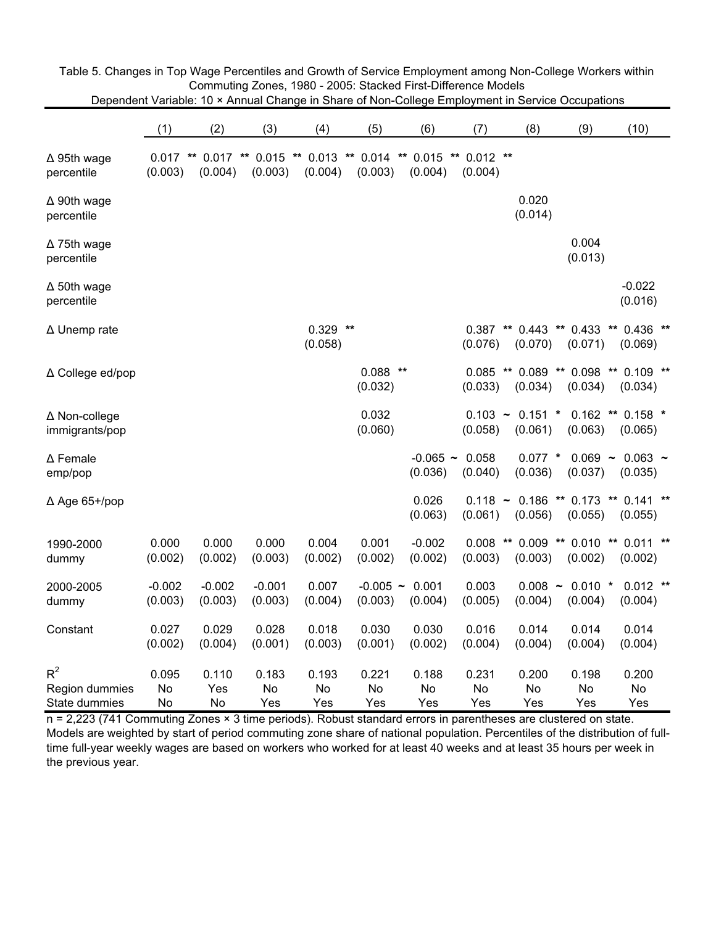|                                          | (1)                   | (2)                   | (3)                   | (4)                   | (5)                   | (6)                                     | (7)                   | (8)                              | (9)                                    | (10)                                     |
|------------------------------------------|-----------------------|-----------------------|-----------------------|-----------------------|-----------------------|-----------------------------------------|-----------------------|----------------------------------|----------------------------------------|------------------------------------------|
| $\Delta$ 95th wage<br>percentile         | $0.017$ **<br>(0.003) | $0.017$ **<br>(0.004) | $0.015$ **<br>(0.003) | (0.004)               | (0.003)               | $0.013$ ** 0.014 ** 0.015 **<br>(0.004) | $0.012$ **<br>(0.004) |                                  |                                        |                                          |
| $\Delta$ 90th wage<br>percentile         |                       |                       |                       |                       |                       |                                         |                       | 0.020<br>(0.014)                 |                                        |                                          |
| $\Delta$ 75th wage<br>percentile         |                       |                       |                       |                       |                       |                                         |                       |                                  | 0.004<br>(0.013)                       |                                          |
| $\Delta$ 50th wage<br>percentile         |                       |                       |                       |                       |                       |                                         |                       |                                  |                                        | $-0.022$<br>(0.016)                      |
| ∆ Unemp rate                             |                       |                       |                       | $0.329$ **<br>(0.058) |                       |                                         | (0.076)               | $0.387$ ** $0.443$ **<br>(0.070) | (0.071)                                | $0.433$ ** $0.436$ **<br>(0.069)         |
| ∆ College ed/pop                         |                       |                       |                       |                       | $0.088$ **<br>(0.032) |                                         | (0.033)               | (0.034)                          | 0.085 ** 0.089 ** 0.098 **<br>(0.034)  | $0.109$ **<br>(0.034)                    |
| ∆ Non-college<br>immigrants/pop          |                       |                       |                       |                       | 0.032<br>(0.060)      |                                         | (0.058)               | $0.103 - 0.151$ *<br>(0.061)     | (0.063)                                | $0.162$ ** $0.158$ *<br>(0.065)          |
| ∆ Female<br>emp/pop                      |                       |                       |                       |                       |                       | $-0.065 -$<br>(0.036)                   | 0.058<br>(0.040)      | $0.077$ *<br>(0.036)             | (0.037)                                | $0.069 - 0.063$ ~<br>(0.035)             |
| $\Delta$ Age 65+/pop                     |                       |                       |                       |                       |                       | 0.026<br>(0.063)                        | (0.061)               | (0.056)                          | $0.118$ ~ 0.186 ** 0.173 **<br>(0.055) | $0.141$ **<br>(0.055)                    |
| 1990-2000<br>dummy                       | 0.000<br>(0.002)      | 0.000<br>(0.002)      | 0.000<br>(0.003)      | 0.004<br>(0.002)      | 0.001<br>(0.002)      | $-0.002$<br>(0.002)                     | 0.008<br>(0.003)      | (0.003)                          | (0.002)                                | ** 0.009 ** 0.010 ** 0.011 **<br>(0.002) |
| 2000-2005<br>dummy                       | $-0.002$<br>(0.003)   | $-0.002$<br>(0.003)   | $-0.001$<br>(0.003)   | 0.007<br>(0.004)      | $-0.005$ ~<br>(0.003) | 0.001<br>(0.004)                        | 0.003<br>(0.005)      | $0.008$ ~<br>(0.004)             | $0.010$ *<br>(0.004)                   | $0.012$ **<br>(0.004)                    |
| Constant                                 | 0.027<br>(0.002)      | 0.029<br>(0.004)      | 0.028<br>(0.001)      | 0.018<br>(0.003)      | 0.030<br>(0.001)      | 0.030<br>(0.002)                        | 0.016<br>(0.004)      | 0.014<br>(0.004)                 | 0.014<br>(0.004)                       | 0.014<br>(0.004)                         |
| $R^2$<br>Region dummies<br>State dummies | 0.095<br>No<br>No     | 0.110<br>Yes<br>No    | 0.183<br>No<br>Yes    | 0.193<br>No<br>Yes    | 0.221<br>No<br>Yes    | 0.188<br>No<br>Yes                      | 0.231<br>No<br>Yes    | 0.200<br>No<br>Yes               | 0.198<br>No<br>Yes                     | 0.200<br>No<br>Yes                       |

Table 5. Changes in Top Wage Percentiles and Growth of Service Employment among Non-College Workers within Commuting Zones, 1980 - 2005: Stacked First-Difference Models Dependent Variable: 10 × Annual Change in Share of Non-College Employment in Service Occupations

n = 2,223 (741 Commuting Zones × 3 time periods). Robust standard errors in parentheses are clustered on state. Models are weighted by start of period commuting zone share of national population. Percentiles of the distribution of fulltime full-year weekly wages are based on workers who worked for at least 40 weeks and at least 35 hours per week in the previous year.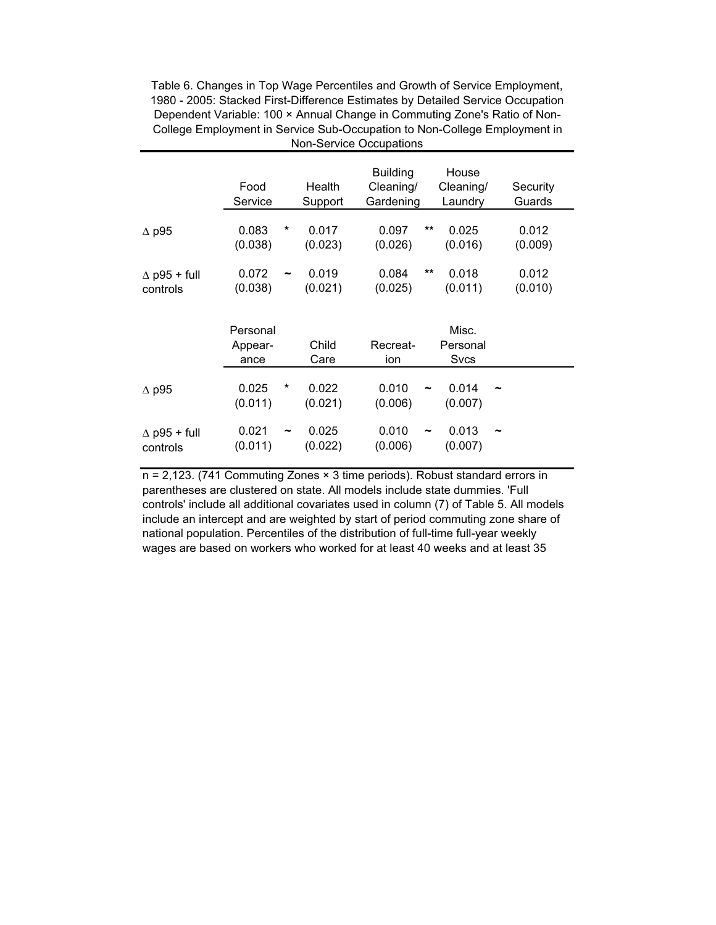Table 6. Changes in Top Wage Percentiles and Growth of Service Employment, 1980 - 2005: Stacked First-Difference Estimates by Detailed Service Occupation Dependent Variable: 100 × Annual Change in Commuting Zone's Ratio of Non-College Employment in Service Sub-Occupation to Non-College Employment in Non-Service Occupations

|                                    | Food<br>Service             | Health<br>Support              | <b>Building</b><br>Cleaning/<br>Gardening | House<br>Cleaning/<br>Laundry | Security<br>Guards |
|------------------------------------|-----------------------------|--------------------------------|-------------------------------------------|-------------------------------|--------------------|
| $\Delta$ p95                       | 0.083<br>*<br>(0.038)       | 0.017<br>(0.023)               | $***$<br>0.097<br>(0.026)                 | 0.025<br>(0.016)              | 0.012<br>(0.009)   |
| $\triangle$ p95 + full<br>controls | 0.072<br>(0.038)            | 0.019<br>∼<br>(0.021)          | $***$<br>0.084<br>(0.025)                 | 0.018<br>(0.011)              | 0.012<br>(0.010)   |
|                                    | Personal<br>Appear-<br>ance | Child<br>Care                  | Recreat-<br>ion                           | Misc.<br>Personal<br>Svcs     |                    |
| $\Delta$ p95                       | 0.025<br>*<br>(0.011)       | 0.022<br>(0.021)               | 0.010<br>(0.006)                          | 0.014<br>(0.007)              |                    |
| $\triangle$ p95 + full<br>controls | 0.021<br>(0.011)            | 0.025<br>$\tilde{}$<br>(0.022) | 0.010<br>$\tilde{\phantom{a}}$<br>(0.006) | 0.013<br>(0.007)              |                    |

n = 2,123. (741 Commuting Zones × 3 time periods). Robust standard errors in parentheses are clustered on state. All models include state dummies. 'Full controls' include all additional covariates used in column (7) of Table 5. All models include an intercept and are weighted by start of period commuting zone share of national population. Percentiles of the distribution of full-time full-year weekly wages are based on workers who worked for at least 40 weeks and at least 35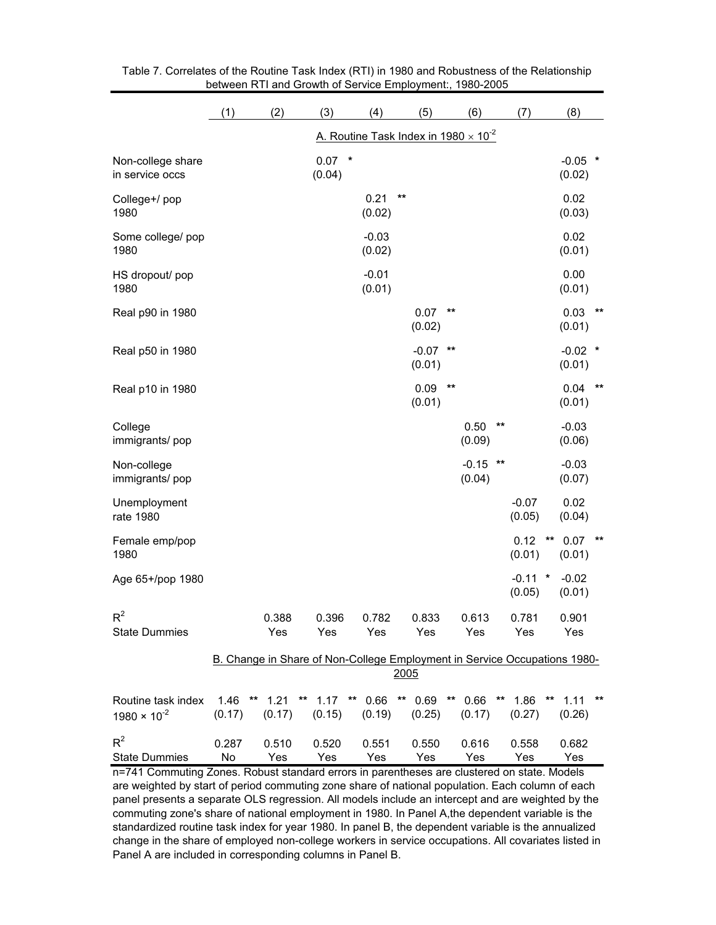|                                                                                                                              | (1)         | (2)          | (3)                | (4)               | (5)               | (6)                                            | (7)               | (8)                                                                       |
|------------------------------------------------------------------------------------------------------------------------------|-------------|--------------|--------------------|-------------------|-------------------|------------------------------------------------|-------------------|---------------------------------------------------------------------------|
|                                                                                                                              |             |              |                    |                   |                   | A. Routine Task Index in $1980 \times 10^{-2}$ |                   |                                                                           |
| Non-college share<br>in service occs                                                                                         |             |              | $0.07$ *<br>(0.04) |                   |                   |                                                |                   | $-0.05$ *<br>(0.02)                                                       |
| College+/pop<br>1980                                                                                                         |             |              |                    | 0.21<br>(0.02)    | $\star\star$      |                                                |                   | 0.02<br>(0.03)                                                            |
| Some college/ pop<br>1980                                                                                                    |             |              |                    | $-0.03$<br>(0.02) |                   |                                                |                   | 0.02<br>(0.01)                                                            |
| HS dropout/ pop<br>1980                                                                                                      |             |              |                    | $-0.01$<br>(0.01) |                   |                                                |                   | 0.00<br>(0.01)                                                            |
| Real p90 in 1980                                                                                                             |             |              |                    |                   | 0.07<br>(0.02)    | $\star\star$                                   |                   | 0.03<br>**<br>(0.01)                                                      |
| Real p50 in 1980                                                                                                             |             |              |                    |                   | $-0.07$<br>(0.01) | $***$                                          |                   | $-0.02$ *<br>(0.01)                                                       |
| Real p10 in 1980                                                                                                             |             |              |                    |                   | 0.09<br>(0.01)    | $\star\star$                                   |                   | 0.04<br>$^{\star\star}$<br>(0.01)                                         |
| College<br>immigrants/pop                                                                                                    |             |              |                    |                   |                   | 0.50<br>(0.09)                                 | $\star\star$      | $-0.03$<br>(0.06)                                                         |
| Non-college<br>immigrants/pop                                                                                                |             |              |                    |                   |                   | $-0.15$<br>(0.04)                              | $\star\star$      | $-0.03$<br>(0.07)                                                         |
| Unemployment<br>rate 1980                                                                                                    |             |              |                    |                   |                   |                                                | $-0.07$<br>(0.05) | 0.02<br>(0.04)                                                            |
| Female emp/pop<br>1980                                                                                                       |             |              |                    |                   |                   |                                                | 0.12<br>(0.01)    | **<br>0.07<br>$***$<br>(0.01)                                             |
| Age 65+/pop 1980                                                                                                             |             |              |                    |                   |                   |                                                | $-0.11$<br>(0.05) | $-0.02$<br>$\ast$<br>(0.01)                                               |
| $\mathsf{R}^2$<br><b>State Dummies</b>                                                                                       |             | 0.388<br>Yes | 0.396<br>Yes       | 0.782<br>Yes      | 0.833<br>Yes      | 0.613<br>Yes                                   | 0.781<br>Yes      | 0.901<br>Yes                                                              |
|                                                                                                                              |             |              |                    |                   | 2005              |                                                |                   | B. Change in Share of Non-College Employment in Service Occupations 1980- |
| Routine task index<br>$1980 \times 10^{-2}$                                                                                  | (0.17)      | (0.17)       | (0.15)             | (0.19)            | (0.25)            | (0.17)                                         | (0.27)            | 1.46 ** 1.21 ** 1.17 ** 0.66 ** 0.69 ** 0.66 ** 1.86 ** 1.11 **<br>(0.26) |
| $R^2$<br><b>State Dummies</b><br>n=741 Commuting Zones. Robust standard errors in parentheses are clustered on state. Models | 0.287<br>No | 0.510<br>Yes | 0.520<br>Yes       | 0.551<br>Yes      | 0.550<br>Yes      | 0.616<br>Yes                                   | 0.558<br>Yes      | 0.682<br>Yes                                                              |

Table 7. Correlates of the Routine Task Index (RTI) in 1980 and Robustness of the Relationship between RTI and Growth of Service Employment:, 1980-2005

n=741 Commuting Zones. Robust standard errors in parentheses are clustered on state. Models are weighted by start of period commuting zone share of national population. Each column of each panel presents a separate OLS regression. All models include an intercept and are weighted by the commuting zone's share of national employment in 1980. In Panel A,the dependent variable is the standardized routine task index for year 1980. In panel B, the dependent variable is the annualized change in the share of employed non-college workers in service occupations. All covariates listed in Panel A are included in corresponding columns in Panel B.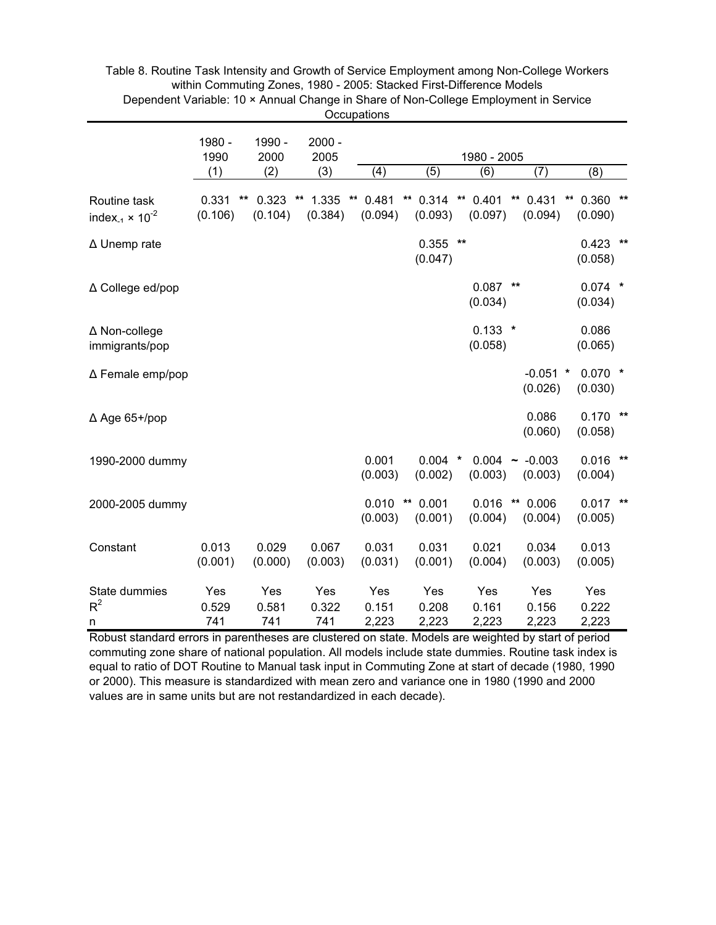|                                                               |                                  |                     |                                     | Occupations            |                                  |                                     |                                     |                           |       |
|---------------------------------------------------------------|----------------------------------|---------------------|-------------------------------------|------------------------|----------------------------------|-------------------------------------|-------------------------------------|---------------------------|-------|
|                                                               | 1980 -<br>1990                   | 1990 -<br>2000      | $2000 -$<br>2005                    |                        |                                  | 1980 - 2005                         |                                     |                           |       |
|                                                               | (1)                              | (2)                 | (3)                                 | (4)                    | (5)                              | (6)                                 | (7)                                 | (8)                       |       |
| Routine task<br>index <sub>-1</sub> $\times$ 10 <sup>-2</sup> | 0.331<br>$\star\star$<br>(0.106) | 0.323<br>(0.104)    | 1.335<br>$^{\star\star}$<br>(0.384) | 0.481<br>**<br>(0.094) | 0.314<br>**<br>(0.093)           | $^{\star\star}$<br>0.401<br>(0.097) | $^{\star\star}$<br>0.431<br>(0.094) | 0.360<br>**<br>(0.090)    | $***$ |
| ∆ Unemp rate                                                  |                                  |                     |                                     |                        | 0.355<br>(0.047)                 | $\star\star$                        |                                     | 0.423<br>$***$<br>(0.058) |       |
| ∆ College ed/pop                                              |                                  |                     |                                     |                        |                                  | 0.087<br>(0.034)                    | $\star\star$                        | $0.074$ *<br>(0.034)      |       |
| $\Delta$ Non-college<br>immigrants/pop                        |                                  |                     |                                     |                        |                                  | $0.133$ *<br>(0.058)                |                                     | 0.086<br>(0.065)          |       |
| $\Delta$ Female emp/pop                                       |                                  |                     |                                     |                        |                                  |                                     | $-0.051$ *<br>(0.026)               | $0.070$ *<br>(0.030)      |       |
| $\Delta$ Age 65+/pop                                          |                                  |                     |                                     |                        |                                  |                                     | 0.086<br>(0.060)                    | $0.170$ **<br>(0.058)     |       |
| 1990-2000 dummy                                               |                                  |                     |                                     | 0.001<br>(0.003)       | 0.004<br>(0.002)                 | $\ast$<br>(0.003)                   | $0.004 - 0.003$<br>(0.003)          | 0.016<br>$***$<br>(0.004) |       |
| 2000-2005 dummy                                               |                                  |                     |                                     | 0.010<br>(0.003)       | $\star\star$<br>0.001<br>(0.001) | 0.016<br>(0.004)                    | $\star\star$<br>0.006<br>(0.004)    | $0.017$ **<br>(0.005)     |       |
| Constant                                                      | 0.013<br>(0.001)                 | 0.029<br>(0.000)    | 0.067<br>(0.003)                    | 0.031<br>(0.031)       | 0.031<br>(0.001)                 | 0.021<br>(0.004)                    | 0.034<br>(0.003)                    | 0.013<br>(0.005)          |       |
| State dummies<br>$R^2$<br>n                                   | Yes<br>0.529<br>741              | Yes<br>0.581<br>741 | Yes<br>0.322<br>741                 | Yes<br>0.151<br>2,223  | Yes<br>0.208<br>2,223            | Yes<br>0.161<br>2,223               | Yes<br>0.156<br>2,223               | Yes<br>0.222<br>2,223     |       |

Table 8. Routine Task Intensity and Growth of Service Employment among Non-College Workers within Commuting Zones, 1980 - 2005: Stacked First-Difference Models Dependent Variable: 10 × Annual Change in Share of Non-College Employment in Service Occupations

Robust standard errors in parentheses are clustered on state. Models are weighted by start of period commuting zone share of national population. All models include state dummies. Routine task index is equal to ratio of DOT Routine to Manual task input in Commuting Zone at start of decade (1980, 1990 or 2000). This measure is standardized with mean zero and variance one in 1980 (1990 and 2000 values are in same units but are not restandardized in each decade).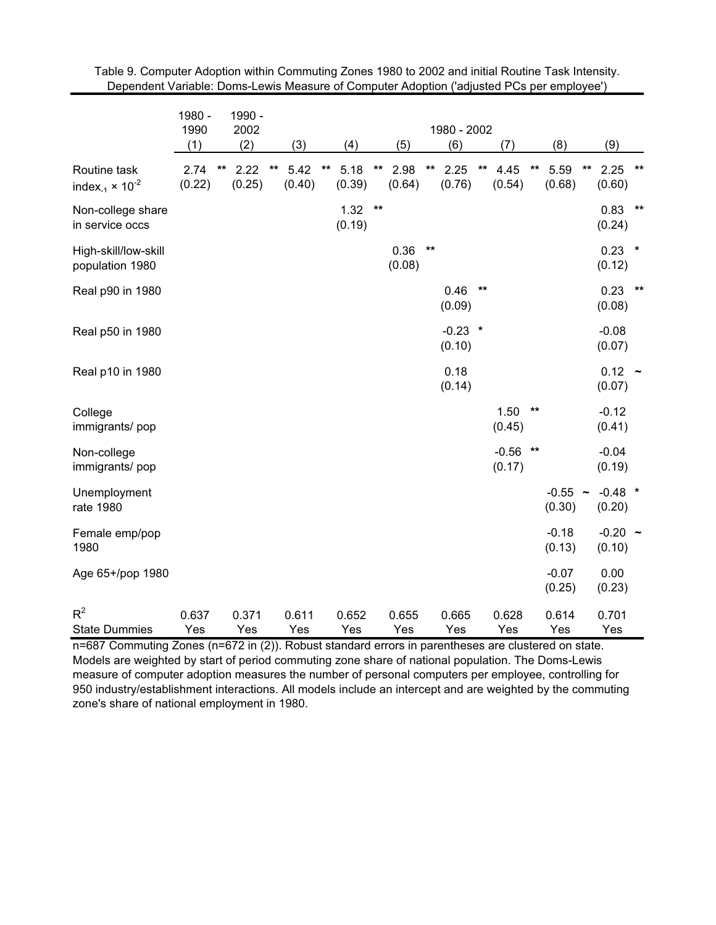|                                                               | 1980 -<br>1990 | 1990 -<br>2002       |       |                |              |                |              |                |              | 1980 - 2002         |              |                   |              |                     |    |                     |              |
|---------------------------------------------------------------|----------------|----------------------|-------|----------------|--------------|----------------|--------------|----------------|--------------|---------------------|--------------|-------------------|--------------|---------------------|----|---------------------|--------------|
|                                                               | (1)            | (2)                  |       | (3)            |              | (4)            |              | (5)            |              | (6)                 |              | (7)               |              | (8)                 |    | (9)                 |              |
| Routine task<br>index <sub>-1</sub> $\times$ 10 <sup>-2</sup> | 2.74<br>(0.22) | 2.22<br>**<br>(0.25) | $***$ | 5.42<br>(0.40) | $\star\star$ | 5.18<br>(0.39) | $\star\star$ | 2.98<br>(0.64) | $***$        | 2.25<br>(0.76)      | $\star\star$ | 4.45<br>(0.54)    | $\star\star$ | 5.59<br>(0.68)      | ** | 2.25<br>(0.60)      | $\star\star$ |
| Non-college share<br>in service occs                          |                |                      |       |                |              | 1.32<br>(0.19) | $***$        |                |              |                     |              |                   |              |                     |    | 0.83<br>(0.24)      | $\star\star$ |
| High-skill/low-skill<br>population 1980                       |                |                      |       |                |              |                |              | 0.36<br>(0.08) | $\star\star$ |                     |              |                   |              |                     |    | $0.23$ *<br>(0.12)  |              |
| Real p90 in 1980                                              |                |                      |       |                |              |                |              |                |              | 0.46<br>(0.09)      | $***$        |                   |              |                     |    | 0.23<br>(0.08)      | $**$         |
| Real p50 in 1980                                              |                |                      |       |                |              |                |              |                |              | $-0.23$ *<br>(0.10) |              |                   |              |                     |    | $-0.08$<br>(0.07)   |              |
| Real p10 in 1980                                              |                |                      |       |                |              |                |              |                |              | 0.18<br>(0.14)      |              |                   |              |                     |    | $0.12 -$<br>(0.07)  |              |
| College<br>immigrants/pop                                     |                |                      |       |                |              |                |              |                |              |                     |              | 1.50<br>(0.45)    | $***$        |                     |    | $-0.12$<br>(0.41)   |              |
| Non-college<br>immigrants/pop                                 |                |                      |       |                |              |                |              |                |              |                     |              | $-0.56$<br>(0.17) | $\star\star$ |                     |    | $-0.04$<br>(0.19)   |              |
| Unemployment<br>rate 1980                                     |                |                      |       |                |              |                |              |                |              |                     |              |                   |              | $-0.55$ ~<br>(0.30) |    | $-0.48$ *<br>(0.20) |              |
| Female emp/pop<br>1980                                        |                |                      |       |                |              |                |              |                |              |                     |              |                   |              | $-0.18$<br>(0.13)   |    | $-0.20$ ~<br>(0.10) |              |
| Age 65+/pop 1980                                              |                |                      |       |                |              |                |              |                |              |                     |              |                   |              | $-0.07$<br>(0.25)   |    | 0.00<br>(0.23)      |              |
| $R^2$<br><b>State Dummies</b>                                 | 0.637<br>Yes   | 0.371<br>Yes         |       | 0.611<br>Yes   |              | 0.652<br>Yes   |              | 0.655<br>Yes   |              | 0.665<br>Yes        |              | 0.628<br>Yes      |              | 0.614<br>Yes        |    | 0.701<br>Yes        |              |

Table 9. Computer Adoption within Commuting Zones 1980 to 2002 and initial Routine Task Intensity. Dependent Variable: Doms-Lewis Measure of Computer Adoption ('adjusted PCs per employee')

n=687 Commuting Zones (n=672 in (2)). Robust standard errors in parentheses are clustered on state. Models are weighted by start of period commuting zone share of national population. The Doms-Lewis measure of computer adoption measures the number of personal computers per employee, controlling for 950 industry/establishment interactions. All models include an intercept and are weighted by the commuting zone's share of national employment in 1980.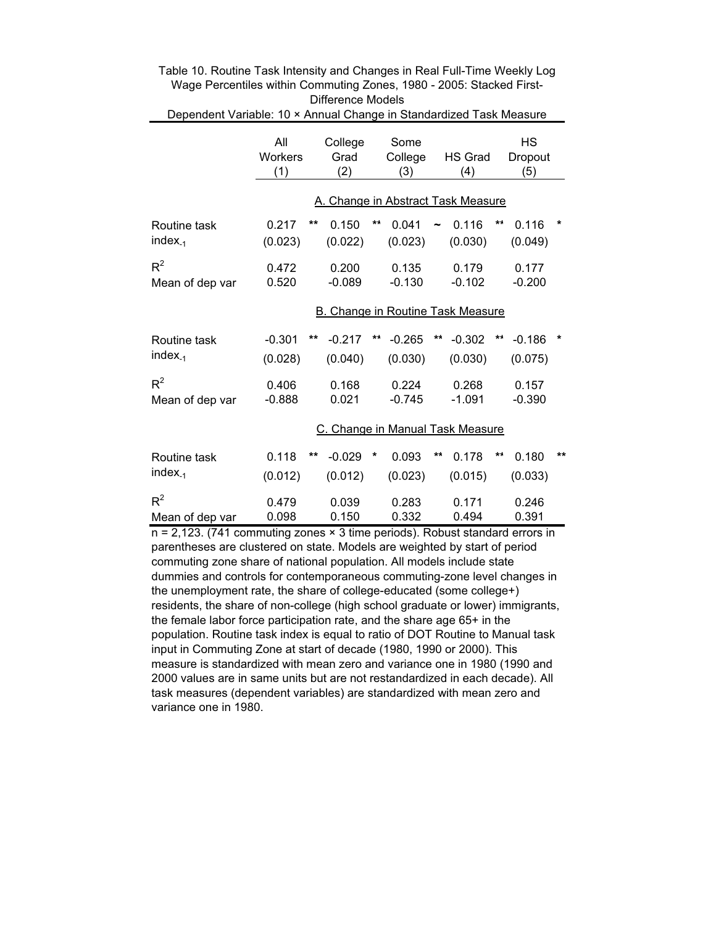| Dependent Variable: 10 × Annual Change in Standardized Task Measure |                       |    |                        |    |                        |    |                                          |    |                             |    |
|---------------------------------------------------------------------|-----------------------|----|------------------------|----|------------------------|----|------------------------------------------|----|-----------------------------|----|
|                                                                     | All<br>Workers<br>(1) |    | College<br>Grad<br>(2) |    | Some<br>College<br>(3) |    | <b>HS Grad</b><br>(4)                    |    | <b>HS</b><br>Dropout<br>(5) |    |
|                                                                     |                       |    |                        |    |                        |    | A. Change in Abstract Task Measure       |    |                             |    |
| Routine task<br>$index_{-1}$                                        | 0.217<br>(0.023)      | ** | 0.150<br>(0.022)       | ** | 0.041<br>(0.023)       |    | 0.116<br>(0.030)                         | ** | 0.116<br>(0.049)            | *  |
| $R^2$<br>Mean of dep var                                            | 0.472<br>0.520        |    | 0.200<br>$-0.089$      |    | 0.135<br>$-0.130$      |    | 0.179<br>$-0.102$                        |    | 0.177<br>$-0.200$           |    |
|                                                                     |                       |    |                        |    |                        |    | <b>B. Change in Routine Task Measure</b> |    |                             |    |
| Routine task<br>$index_{-1}$                                        | $-0.301$<br>(0.028)   | ** | $-0.217$<br>(0.040)    | ** | $-0.265$<br>(0.030)    | ** | $-0.302$<br>(0.030)                      | ** | $-0.186$<br>(0.075)         | *  |
| $R^2$<br>Mean of dep var                                            | 0.406<br>$-0.888$     |    | 0.168<br>0.021         |    | 0.224<br>$-0.745$      |    | 0.268<br>$-1.091$                        |    | 0.157<br>$-0.390$           |    |
|                                                                     |                       |    |                        |    |                        |    | C. Change in Manual Task Measure         |    |                             |    |
| Routine task<br>$index_{-1}$                                        | 0.118<br>(0.012)      | ** | $-0.029$<br>(0.012)    | *  | 0.093<br>(0.023)       | ** | 0.178<br>(0.015)                         | ** | 0.180<br>(0.033)            | ** |
| $R^2$<br>Mean of dep var                                            | 0.479<br>0.098        |    | 0.039<br>0.150         |    | 0.283<br>0.332         |    | 0.171<br>0.494                           |    | 0.246<br>0.391              |    |

Table 10. Routine Task Intensity and Changes in Real Full-Time Weekly Log Wage Percentiles within Commuting Zones, 1980 - 2005: Stacked First-Difference Models

n = 2,123. (741 commuting zones × 3 time periods). Robust standard errors in parentheses are clustered on state. Models are weighted by start of period commuting zone share of national population. All models include state dummies and controls for contemporaneous commuting-zone level changes in the unemployment rate, the share of college-educated (some college+) residents, the share of non-college (high school graduate or lower) immigrants, the female labor force participation rate, and the share age 65+ in the population. Routine task index is equal to ratio of DOT Routine to Manual task input in Commuting Zone at start of decade (1980, 1990 or 2000). This measure is standardized with mean zero and variance one in 1980 (1990 and 2000 values are in same units but are not restandardized in each decade). All task measures (dependent variables) are standardized with mean zero and variance one in 1980.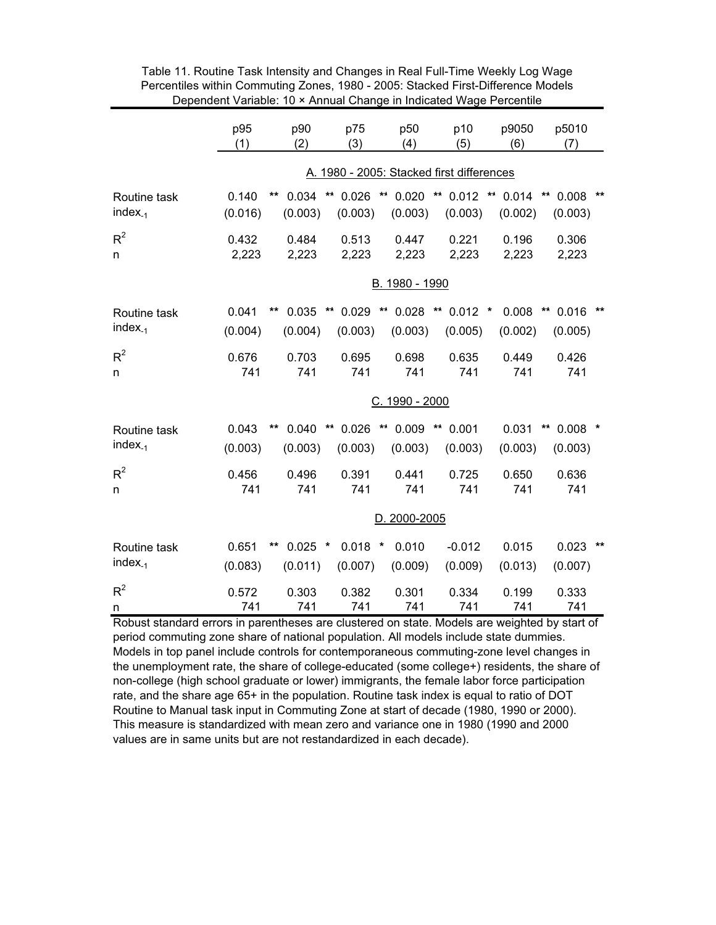|                              | p95<br>(1)       | p90<br>(2)             | p75<br>(3)             | p50<br>(4)                 | p10<br>(5)                                | p9050<br>(6)                     | p5010<br>(7)                         |
|------------------------------|------------------|------------------------|------------------------|----------------------------|-------------------------------------------|----------------------------------|--------------------------------------|
|                              |                  |                        |                        |                            | A. 1980 - 2005: Stacked first differences |                                  |                                      |
| Routine task<br>$index_{-1}$ | 0.140<br>(0.016) | **<br>0.034<br>(0.003) | **<br>0.026<br>(0.003) | ** 0.020<br>(0.003)        | $*$ 0.012<br>(0.003)                      | $\star\star$<br>0.014<br>(0.002) | $***$<br>**<br>0.008<br>(0.003)      |
| $R^2$<br>n                   | 0.432<br>2,223   | 0.484<br>2,223         | 0.513<br>2,223         | 0.447<br>2,223             | 0.221<br>2,223                            | 0.196<br>2,223                   | 0.306<br>2,223                       |
|                              |                  |                        |                        | B. 1980 - 1990             |                                           |                                  |                                      |
| Routine task<br>$index_{-1}$ | 0.041<br>(0.004) | 0.035<br>**<br>(0.004) | **<br>0.029<br>(0.003) | ** 0.028<br>(0.003)        | $*$ 0.012 $*$<br>(0.005)                  | 0.008<br>(0.002)                 | $***$<br>0.016<br>(0.005)            |
| $R^2$<br>n                   | 0.676<br>741     | 0.703<br>741           | 0.695<br>741           | 0.698<br>741               | 0.635<br>741                              | 0.449<br>741                     | 0.426<br>741                         |
|                              |                  |                        |                        | C. 1990 - 2000             |                                           |                                  |                                      |
| Routine task<br>$index_{-1}$ | 0.043<br>(0.003) | **<br>0.040<br>(0.003) | **<br>0.026<br>(0.003) | ** 0.009<br>(0.003)        | $\star\star$<br>0.001<br>(0.003)          | 0.031<br>(0.003)                 | $\star\star$<br>$0.008$ *<br>(0.003) |
| $R^2$<br>n                   | 0.456<br>741     | 0.496<br>741           | 0.391<br>741           | 0.441<br>741               | 0.725<br>741                              | 0.650<br>741                     | 0.636<br>741                         |
|                              |                  |                        |                        | D. 2000-2005               |                                           |                                  |                                      |
| Routine task<br>$index_{-1}$ | 0.651<br>(0.083) | $0.025$ *<br>(0.011)   | 0.018<br>(0.007)       | 0.010<br>$\ast$<br>(0.009) | $-0.012$<br>(0.009)                       | 0.015<br>(0.013)                 | 0.023<br>**<br>(0.007)               |
| $R^2$<br>n                   | 0.572<br>741     | 0.303<br>741           | 0.382<br>741           | 0.301<br>741               | 0.334<br>741                              | 0.199<br>741                     | 0.333<br>741                         |

Table 11. Routine Task Intensity and Changes in Real Full-Time Weekly Log Wage Percentiles within Commuting Zones, 1980 - 2005: Stacked First-Difference Models Dependent Variable: 10 × Annual Change in Indicated Wage Percentile

Robust standard errors in parentheses are clustered on state. Models are weighted by start of period commuting zone share of national population. All models include state dummies. Models in top panel include controls for contemporaneous commuting-zone level changes in the unemployment rate, the share of college-educated (some college+) residents, the share of non-college (high school graduate or lower) immigrants, the female labor force participation rate, and the share age 65+ in the population. Routine task index is equal to ratio of DOT Routine to Manual task input in Commuting Zone at start of decade (1980, 1990 or 2000). This measure is standardized with mean zero and variance one in 1980 (1990 and 2000 values are in same units but are not restandardized in each decade).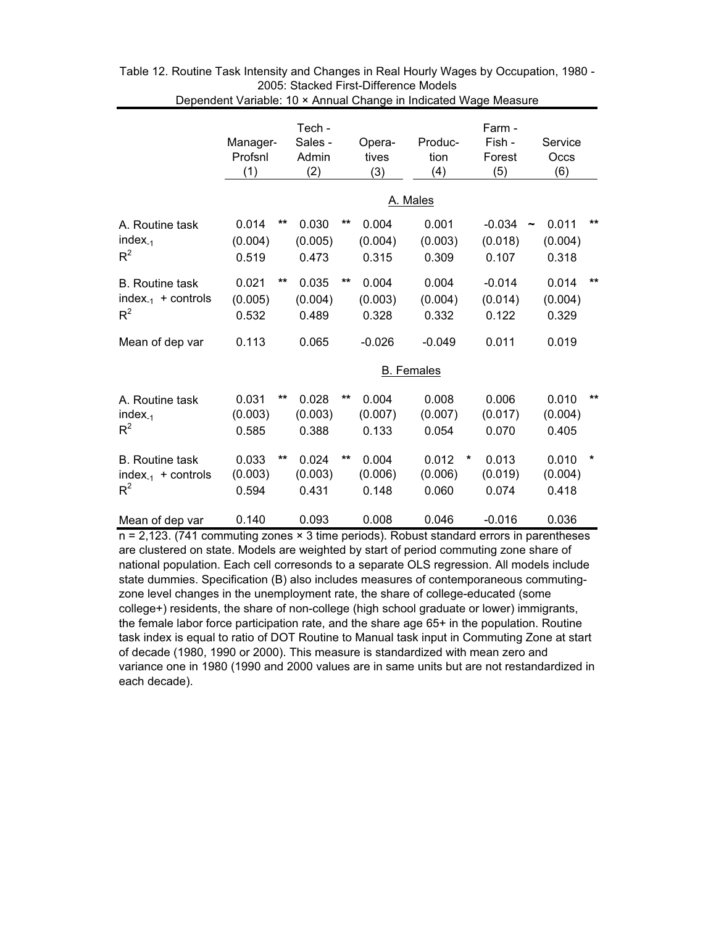|                                                                   | Manager-<br>Profsnl<br>(1) |       | Tech -<br>Sales -<br>Admin<br>(2) |              | Opera-<br>tives<br>(3)    |  | Produc-<br>tion<br>(4)    |         | Farm -<br>Fish -<br>Forest<br>(5) |                       | Service<br>Occs<br>(6)    |         |
|-------------------------------------------------------------------|----------------------------|-------|-----------------------------------|--------------|---------------------------|--|---------------------------|---------|-----------------------------------|-----------------------|---------------------------|---------|
|                                                                   | A. Males                   |       |                                   |              |                           |  |                           |         |                                   |                       |                           |         |
| A. Routine task<br>$index_{-1}$<br>$R^2$                          | 0.014<br>(0.004)<br>0.519  | $***$ | 0.030<br>(0.005)<br>0.473         | $\star\star$ | 0.004<br>(0.004)<br>0.315 |  | 0.001<br>(0.003)<br>0.309 |         | $-0.034$<br>(0.018)<br>0.107      | $\tilde{\phantom{a}}$ | 0.011<br>(0.004)<br>0.318 | $***$   |
| <b>B.</b> Routine task<br>index <sub>-1</sub> + controls<br>$R^2$ | 0.021<br>(0.005)<br>0.532  | $***$ | 0.035<br>(0.004)<br>0.489         | $\star\star$ | 0.004<br>(0.003)<br>0.328 |  | 0.004<br>(0.004)<br>0.332 |         | $-0.014$<br>(0.014)<br>0.122      |                       | 0.014<br>(0.004)<br>0.329 | $***$   |
| Mean of dep var                                                   | 0.113                      |       | 0.065                             |              | $-0.026$                  |  | $-0.049$                  |         | 0.011                             |                       | 0.019                     |         |
|                                                                   | <b>B.</b> Females          |       |                                   |              |                           |  |                           |         |                                   |                       |                           |         |
| A. Routine task<br>$index_{-1}$<br>$R^2$                          | 0.031<br>(0.003)<br>0.585  | $***$ | 0.028<br>(0.003)<br>0.388         | **           | 0.004<br>(0.007)<br>0.133 |  | 0.008<br>(0.007)<br>0.054 |         | 0.006<br>(0.017)<br>0.070         |                       | 0.010<br>(0.004)<br>0.405 | $***$   |
| <b>B.</b> Routine task<br>index <sub>-1</sub> + controls<br>$R^2$ | 0.033<br>(0.003)<br>0.594  | $***$ | 0.024<br>(0.003)<br>0.431         | $***$        | 0.004<br>(0.006)<br>0.148 |  | 0.012<br>(0.006)<br>0.060 | $\star$ | 0.013<br>(0.019)<br>0.074         |                       | 0.010<br>(0.004)<br>0.418 | $\star$ |
| Mean of dep var                                                   | 0.140                      |       | 0.093                             |              | 0.008                     |  | 0.046                     |         | $-0.016$                          |                       | 0.036                     |         |

| Table 12. Routine Task Intensity and Changes in Real Hourly Wages by Occupation, 1980 - |  |
|-----------------------------------------------------------------------------------------|--|
| 2005: Stacked First-Difference Models                                                   |  |
| Dependent Variable: 10 × Annual Change in Indicated Wage Measure                        |  |

n = 2,123. (741 commuting zones × 3 time periods). Robust standard errors in parentheses are clustered on state. Models are weighted by start of period commuting zone share of national population. Each cell corresonds to a separate OLS regression. All models include state dummies. Specification (B) also includes measures of contemporaneous commutingzone level changes in the unemployment rate, the share of college-educated (some college+) residents, the share of non-college (high school graduate or lower) immigrants, the female labor force participation rate, and the share age 65+ in the population. Routine task index is equal to ratio of DOT Routine to Manual task input in Commuting Zone at start of decade (1980, 1990 or 2000). This measure is standardized with mean zero and variance one in 1980 (1990 and 2000 values are in same units but are not restandardized in each decade).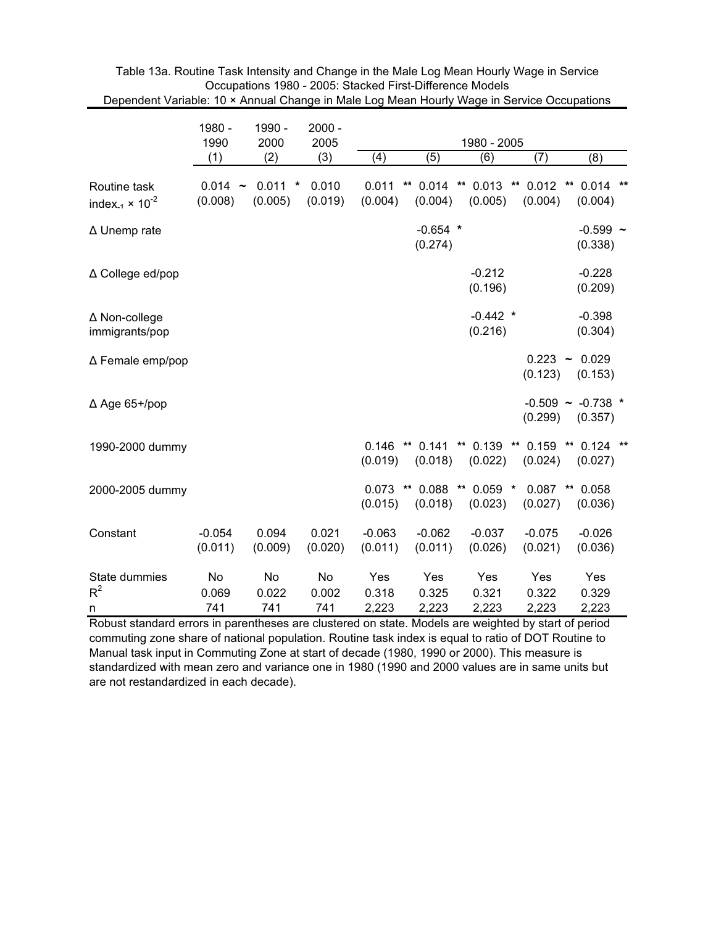| Dependent vanable. TV ^ Annual Onalige in Male Lug Mean Hudify Wage in Service Occupations |                      |                            |                    |                       |                                  |                                      |                                  |                                  |
|--------------------------------------------------------------------------------------------|----------------------|----------------------------|--------------------|-----------------------|----------------------------------|--------------------------------------|----------------------------------|----------------------------------|
|                                                                                            | 1980 -<br>1990       | 1990 -<br>2000             | $2000 -$<br>2005   |                       |                                  |                                      |                                  |                                  |
|                                                                                            | (1)                  | (2)                        | (3)                | (4)                   | (5)                              | (6)                                  | (7)                              | (8)                              |
| Routine task<br>index <sub>-1</sub> $\times$ 10 <sup>-2</sup>                              | $0.014 -$<br>(0.008) | 0.011<br>$\ast$<br>(0.005) | 0.010<br>(0.019)   | 0.011<br>(0.004)      | 0.014<br>$\star\star$<br>(0.004) | **<br>0.013<br>(0.005)               | 0.012<br>$\star\star$<br>(0.004) | $0.014$ **<br>**<br>(0.004)      |
| ∆ Unemp rate                                                                               |                      |                            |                    |                       | $-0.654$ *<br>(0.274)            |                                      |                                  | $-0.599$ ~<br>(0.338)            |
| ∆ College ed/pop                                                                           |                      |                            |                    |                       |                                  | $-0.212$<br>(0.196)                  |                                  | $-0.228$<br>(0.209)              |
| ∆ Non-college<br>immigrants/pop                                                            |                      |                            |                    |                       |                                  | $-0.442$ *<br>(0.216)                |                                  | $-0.398$<br>(0.304)              |
| ∆ Female emp/pop                                                                           |                      |                            |                    |                       |                                  |                                      | $0.223 -$<br>(0.123)             | 0.029<br>(0.153)                 |
| $\Delta$ Age 65+/pop                                                                       |                      |                            |                    |                       |                                  |                                      | (0.299)                          | $-0.509$ ~ $-0.738$ *<br>(0.357) |
| 1990-2000 dummy                                                                            |                      |                            |                    | 0.146<br>(0.019)      | $\star\star$<br>0.141<br>(0.018) | (0.022)                              | ** 0.139 ** 0.159 **<br>(0.024)  | $0.124$ **<br>(0.027)            |
| 2000-2005 dummy                                                                            |                      |                            |                    | 0.073<br>(0.015)      | 0.088<br>$***$<br>(0.018)        | $\star\star$<br>$0.059$ *<br>(0.023) | $0.087$ **<br>(0.027)            | 0.058<br>(0.036)                 |
| Constant                                                                                   | $-0.054$<br>(0.011)  | 0.094<br>(0.009)           | 0.021<br>(0.020)   | $-0.063$<br>(0.011)   | $-0.062$<br>(0.011)              | $-0.037$<br>(0.026)                  | $-0.075$<br>(0.021)              | $-0.026$<br>(0.036)              |
| State dummies<br>$R^2$<br>n                                                                | No<br>0.069<br>741   | No<br>0.022<br>741         | No<br>0.002<br>741 | Yes<br>0.318<br>2,223 | Yes<br>0.325<br>2,223            | Yes<br>0.321<br>2,223                | Yes<br>0.322<br>2,223            | Yes<br>0.329<br>2,223            |

Table 13a. Routine Task Intensity and Change in the Male Log Mean Hourly Wage in Service Occupations 1980 - 2005: Stacked First-Difference Models Dependent Variable: 10 × Annual Change in Male Log Mean Hourly Wage in Service Occupations

Robust standard errors in parentheses are clustered on state. Models are weighted by start of period commuting zone share of national population. Routine task index is equal to ratio of DOT Routine to Manual task input in Commuting Zone at start of decade (1980, 1990 or 2000). This measure is standardized with mean zero and variance one in 1980 (1990 and 2000 values are in same units but are not restandardized in each decade).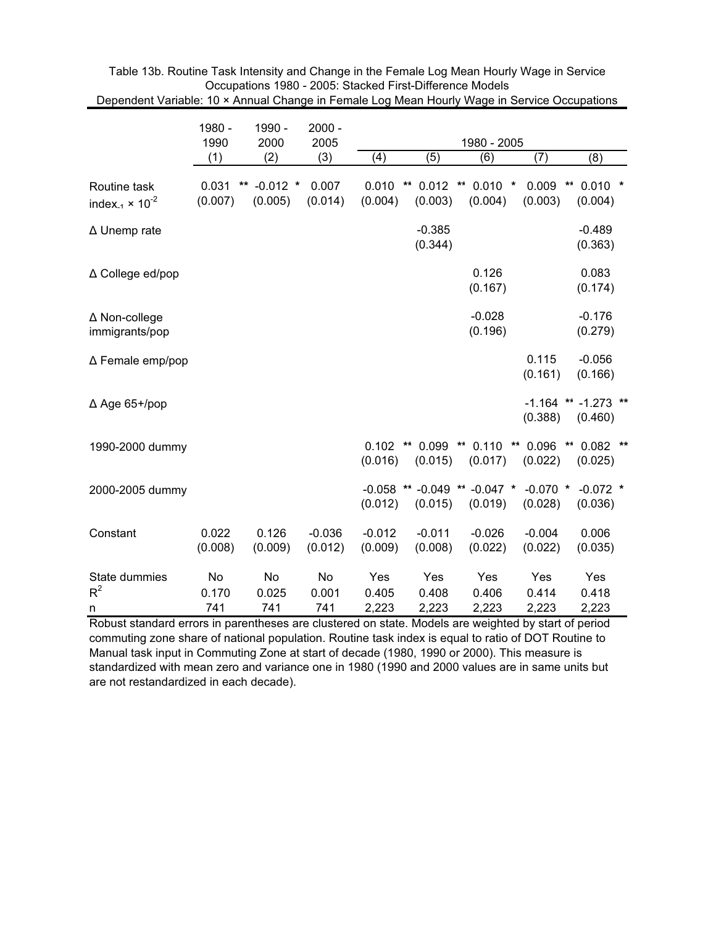|                                                               | 1980 -<br>1990            | 1990 -<br>2000        | $2000 -$<br>2005    | 1980 - 2005            |                                       |                                   |                        |                                    |
|---------------------------------------------------------------|---------------------------|-----------------------|---------------------|------------------------|---------------------------------------|-----------------------------------|------------------------|------------------------------------|
|                                                               | (1)                       | (2)                   | (3)                 | (4)                    | (5)                                   | (6)                               | (7)                    | (8)                                |
| Routine task<br>index <sub>-1</sub> $\times$ 10 <sup>-2</sup> | 0.031<br>$***$<br>(0.007) | $-0.012$ *<br>(0.005) | 0.007<br>(0.014)    | 0.010<br>(0.004)       | $0.012$ **<br>$\star\star$<br>(0.003) | $0.010$ *<br>(0.004)              | 0.009<br>(0.003)       | **<br>$0.010$ *<br>(0.004)         |
| ∆ Unemp rate                                                  |                           |                       |                     |                        | $-0.385$<br>(0.344)                   |                                   |                        | $-0.489$<br>(0.363)                |
| ∆ College ed/pop                                              |                           |                       |                     |                        |                                       | 0.126<br>(0.167)                  |                        | 0.083<br>(0.174)                   |
| ∆ Non-college<br>immigrants/pop                               |                           |                       |                     |                        |                                       | $-0.028$<br>(0.196)               |                        | $-0.176$<br>(0.279)                |
| $\Delta$ Female emp/pop                                       |                           |                       |                     |                        |                                       |                                   | 0.115<br>(0.161)       | $-0.056$<br>(0.166)                |
| $\Delta$ Age 65+/pop                                          |                           |                       |                     |                        |                                       |                                   | (0.388)                | $-1.164$ ** $-1.273$ **<br>(0.460) |
| 1990-2000 dummy                                               |                           |                       |                     | 0.102<br>(0.016)       | $\star\star$<br>(0.015)               | $0.099$ ** $0.110$<br>(0.017)     | ** 0.096 **<br>(0.022) | $0.082$ **<br>(0.025)              |
| 2000-2005 dummy                                               |                           |                       |                     | $-0.058$ **<br>(0.012) | (0.015)                               | $-0.049$ ** $-0.047$ *<br>(0.019) | $-0.070$ *<br>(0.028)  | $-0.072$ *<br>(0.036)              |
| Constant                                                      | 0.022<br>(0.008)          | 0.126<br>(0.009)      | $-0.036$<br>(0.012) | $-0.012$<br>(0.009)    | $-0.011$<br>(0.008)                   | $-0.026$<br>(0.022)               | $-0.004$<br>(0.022)    | 0.006<br>(0.035)                   |
| State dummies<br>$R^2$<br>n                                   | No<br>0.170<br>741        | No<br>0.025<br>741    | No<br>0.001<br>741  | Yes<br>0.405<br>2,223  | Yes<br>0.408<br>2,223                 | Yes<br>0.406<br>2,223             | Yes<br>0.414<br>2,223  | Yes<br>0.418<br>2,223              |

Table 13b. Routine Task Intensity and Change in the Female Log Mean Hourly Wage in Service Occupations 1980 - 2005: Stacked First-Difference Models Dependent Variable: 10 × Annual Change in Female Log Mean Hourly Wage in Service Occupations

Robust standard errors in parentheses are clustered on state. Models are weighted by start of period commuting zone share of national population. Routine task index is equal to ratio of DOT Routine to Manual task input in Commuting Zone at start of decade (1980, 1990 or 2000). This measure is standardized with mean zero and variance one in 1980 (1990 and 2000 values are in same units but are not restandardized in each decade).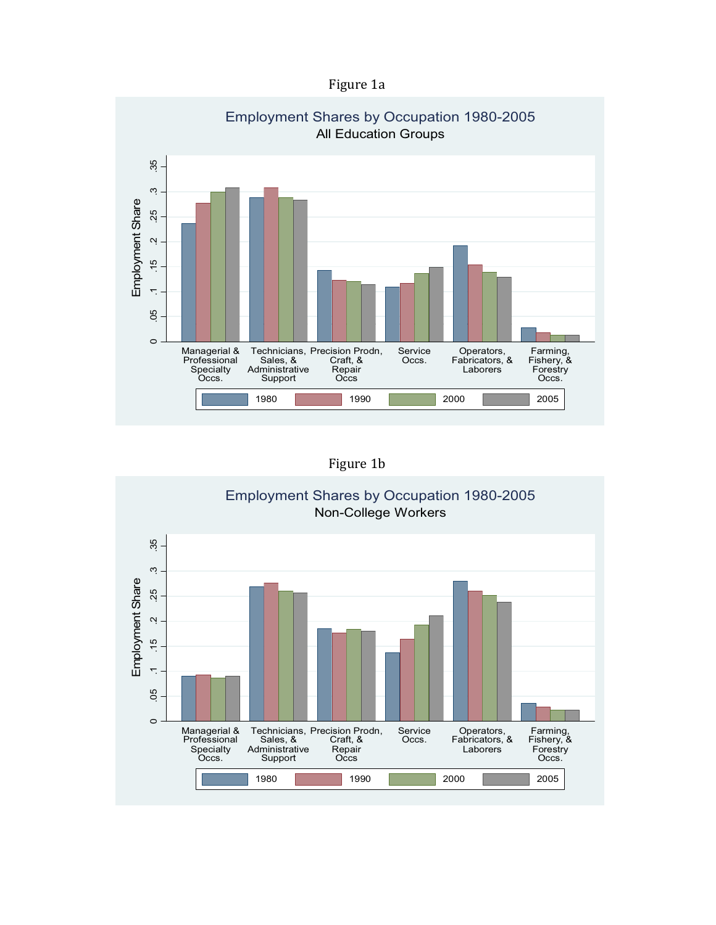



Figure 1b

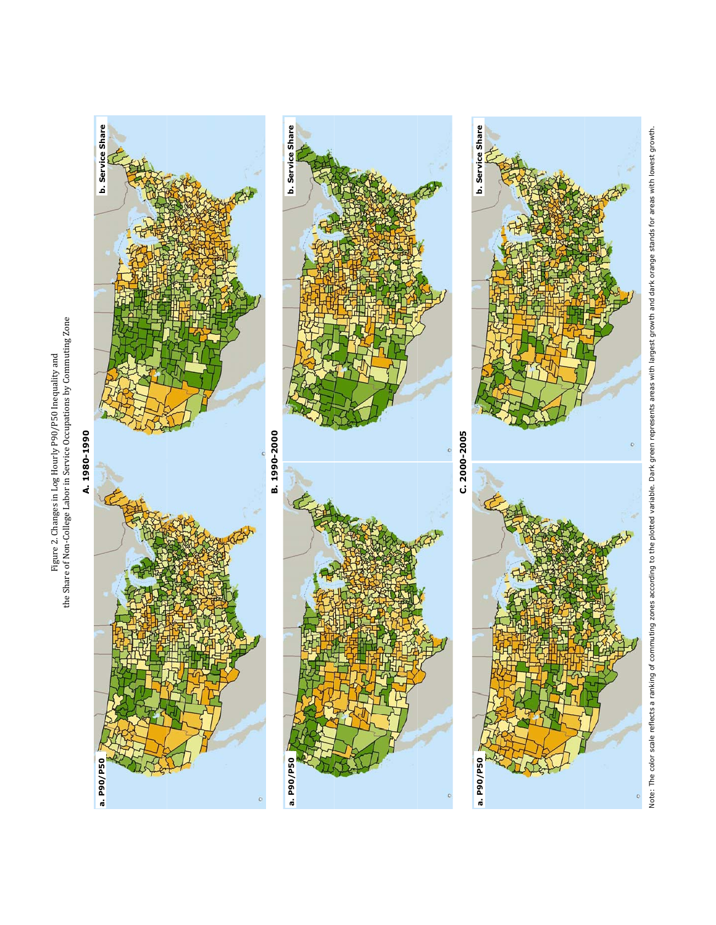

**A 1980 1990 . 1980-1990**

A.1980-1990







Note: The color scale reflects a ranking of commuting zones according to the plotted variable. Dark green represents areas with largest growth and dark orange stands for areas with lowest growth. Note: The color scale reflects a ranking of commuting zones according to the plotted variable. Dark green represents areas with largest growth and dark orange stands for areas with lowest growth.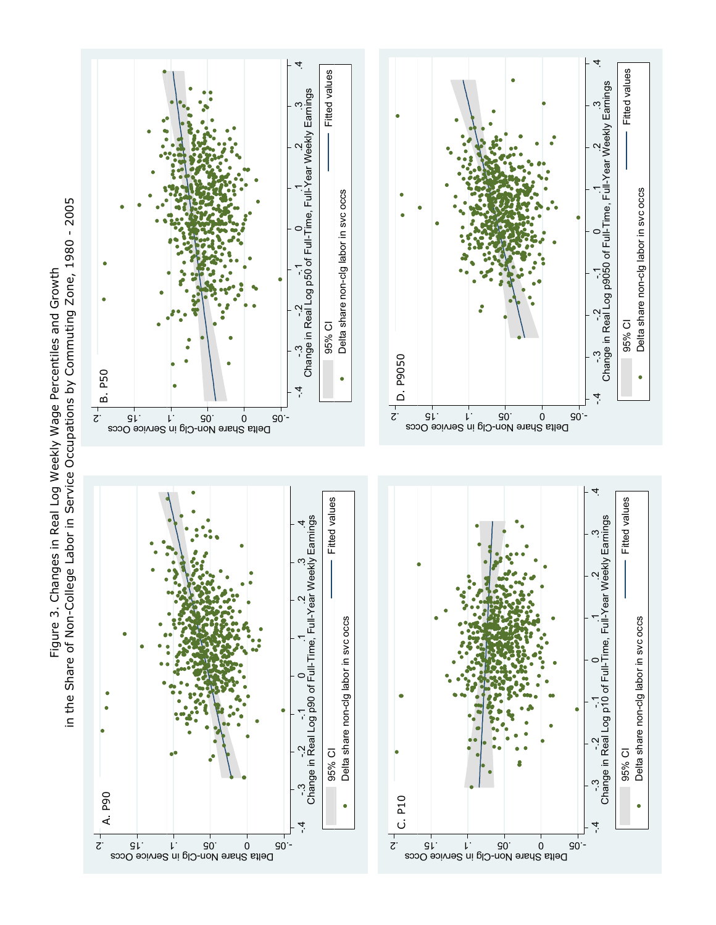in the Share of Non-College Labor in Service Occupations by Commuting Zone, 1980 - 2005 in the Share of Non-College Labor in Service Occupations by Commuting Zone, 1980 - 2005 Figure 3. Changes in Real Log Weekly Wage Percentiles and Growth Figure 3. Changes in Real Log Weekly Wage Percentiles and Growth

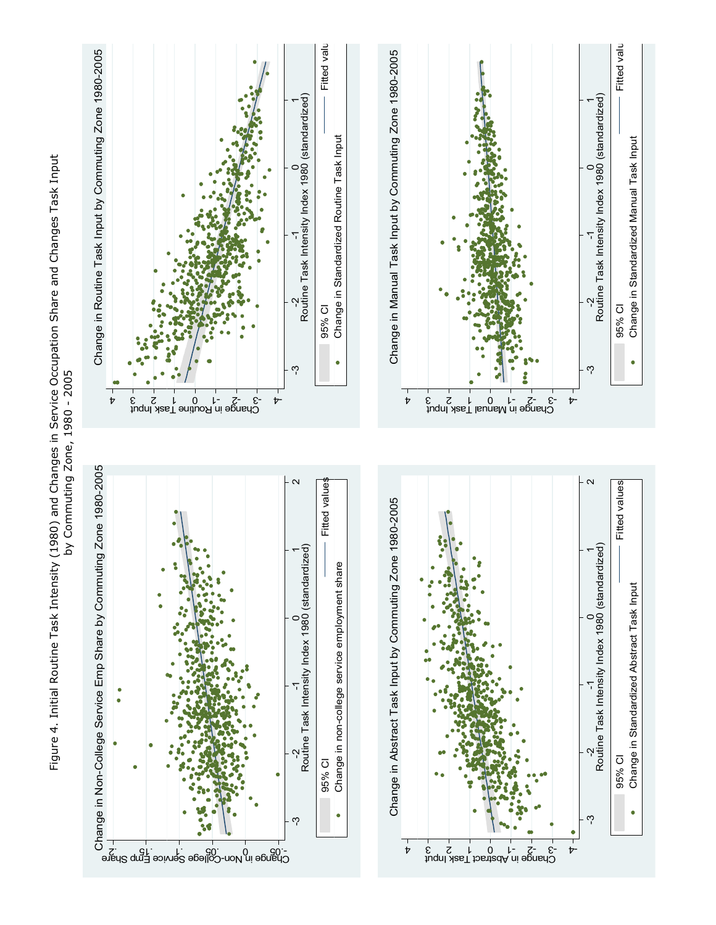Figure 4. Initial Routine Task Intensity (1980) and Changes in Service Occupation Share and Changes Task Input Figure 4. Initial Routine Task Intensity (1980) and Changes in Service Occupation Share and Changes Task Input by Commuting Zone, 1980 - 2005 by Commuting Zone, 1980 - 2005